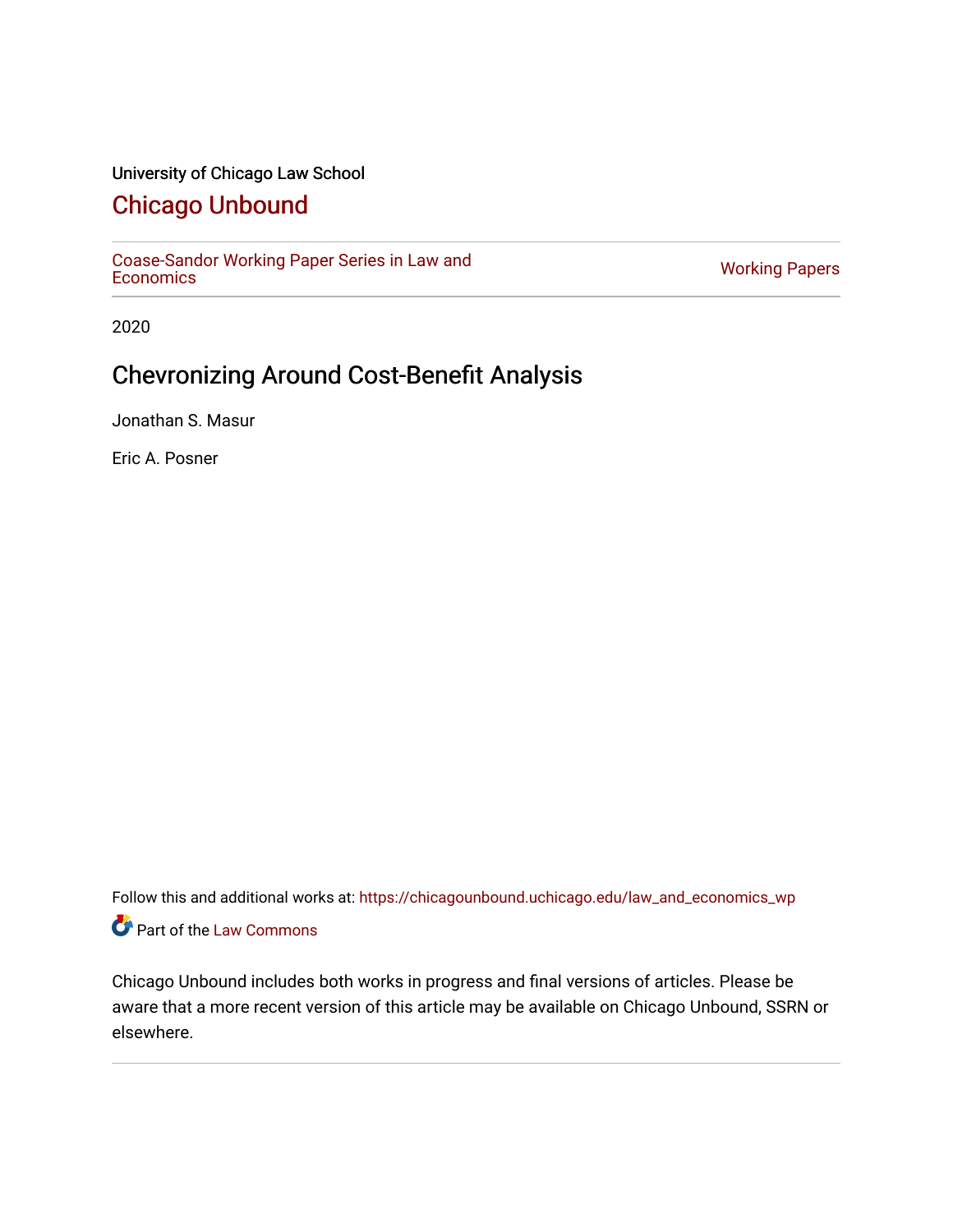## University of Chicago Law School

## [Chicago Unbound](https://chicagounbound.uchicago.edu/)

[Coase-Sandor Working Paper Series in Law and](https://chicagounbound.uchicago.edu/law_and_economics_wp) [Economics](https://chicagounbound.uchicago.edu/law_and_economics_wp) [Working Papers](https://chicagounbound.uchicago.edu/working_papers) 

2020

# Chevronizing Around Cost-Benefit Analysis

Jonathan S. Masur

Eric A. Posner

Follow this and additional works at: [https://chicagounbound.uchicago.edu/law\\_and\\_economics\\_wp](https://chicagounbound.uchicago.edu/law_and_economics_wp?utm_source=chicagounbound.uchicago.edu%2Flaw_and_economics_wp%2F45&utm_medium=PDF&utm_campaign=PDFCoverPages)  Part of the [Law Commons](http://network.bepress.com/hgg/discipline/578?utm_source=chicagounbound.uchicago.edu%2Flaw_and_economics_wp%2F45&utm_medium=PDF&utm_campaign=PDFCoverPages)

Chicago Unbound includes both works in progress and final versions of articles. Please be aware that a more recent version of this article may be available on Chicago Unbound, SSRN or elsewhere.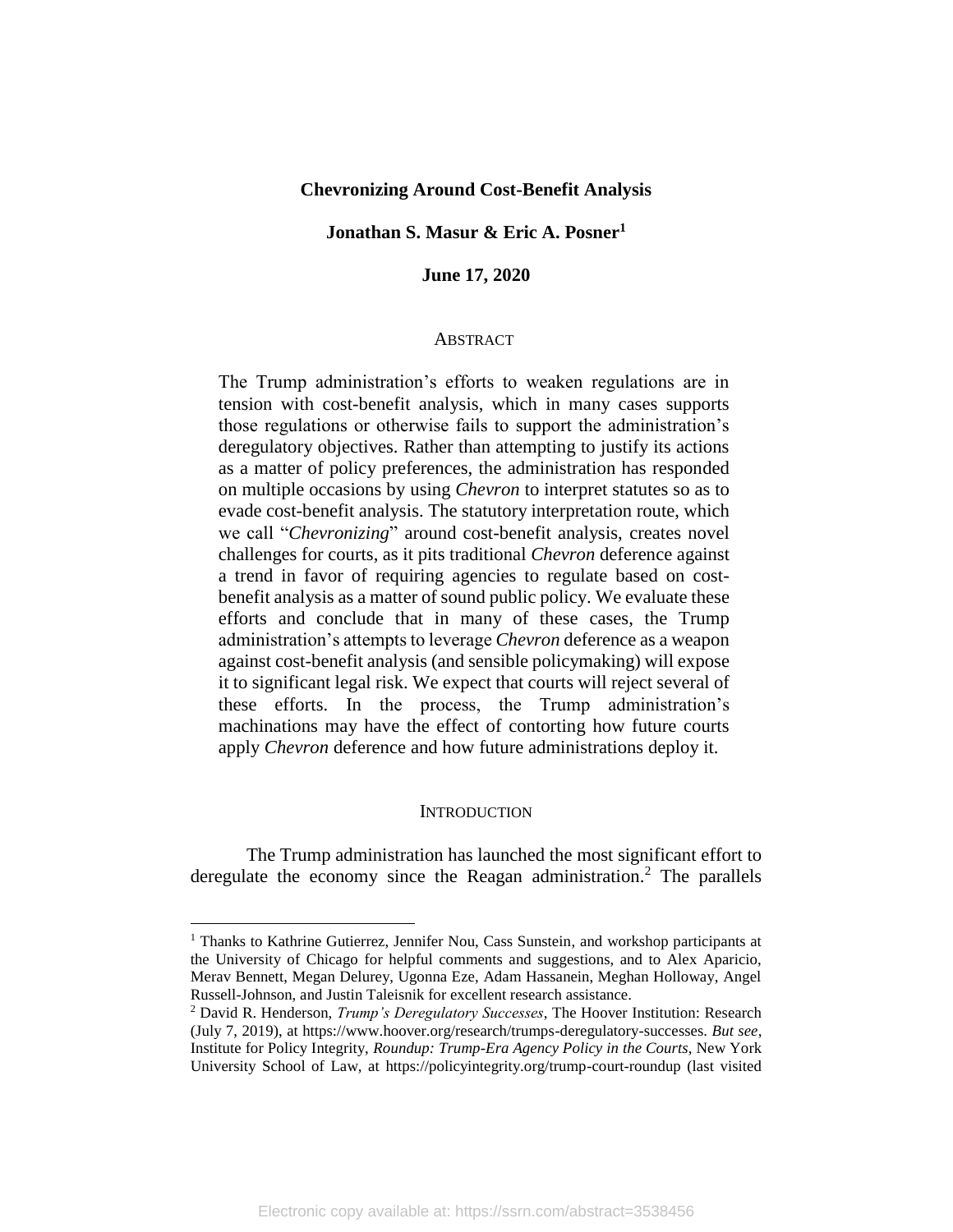## **Chevronizing Around Cost-Benefit Analysis**

## **Jonathan S. Masur & Eric A. Posner<sup>1</sup>**

## **June 17, 2020**

#### **ABSTRACT**

The Trump administration's efforts to weaken regulations are in tension with cost-benefit analysis, which in many cases supports those regulations or otherwise fails to support the administration's deregulatory objectives. Rather than attempting to justify its actions as a matter of policy preferences, the administration has responded on multiple occasions by using *Chevron* to interpret statutes so as to evade cost-benefit analysis. The statutory interpretation route, which we call "*Chevronizing*" around cost-benefit analysis, creates novel challenges for courts, as it pits traditional *Chevron* deference against a trend in favor of requiring agencies to regulate based on costbenefit analysis as a matter of sound public policy. We evaluate these efforts and conclude that in many of these cases, the Trump administration's attempts to leverage *Chevron* deference as a weapon against cost-benefit analysis (and sensible policymaking) will expose it to significant legal risk. We expect that courts will reject several of these efforts. In the process, the Trump administration's machinations may have the effect of contorting how future courts apply *Chevron* deference and how future administrations deploy it.

#### **INTRODUCTION**

The Trump administration has launched the most significant effort to deregulate the economy since the Reagan administration.<sup>2</sup> The parallels

<sup>&</sup>lt;sup>1</sup> Thanks to Kathrine Gutierrez, Jennifer Nou, Cass Sunstein, and workshop participants at the University of Chicago for helpful comments and suggestions, and to Alex Aparicio, Merav Bennett, Megan Delurey, Ugonna Eze, Adam Hassanein, Meghan Holloway, Angel Russell-Johnson, and Justin Taleisnik for excellent research assistance.

<sup>2</sup> David R. Henderson, *Trump's Deregulatory Successes*, The Hoover Institution: Research (July 7, 2019), at https://www.hoover.org/research/trumps-deregulatory-successes. *But see*, Institute for Policy Integrity, *Roundup: Trump-Era Agency Policy in the Courts*, New York University School of Law, at https://policyintegrity.org/trump-court-roundup (last visited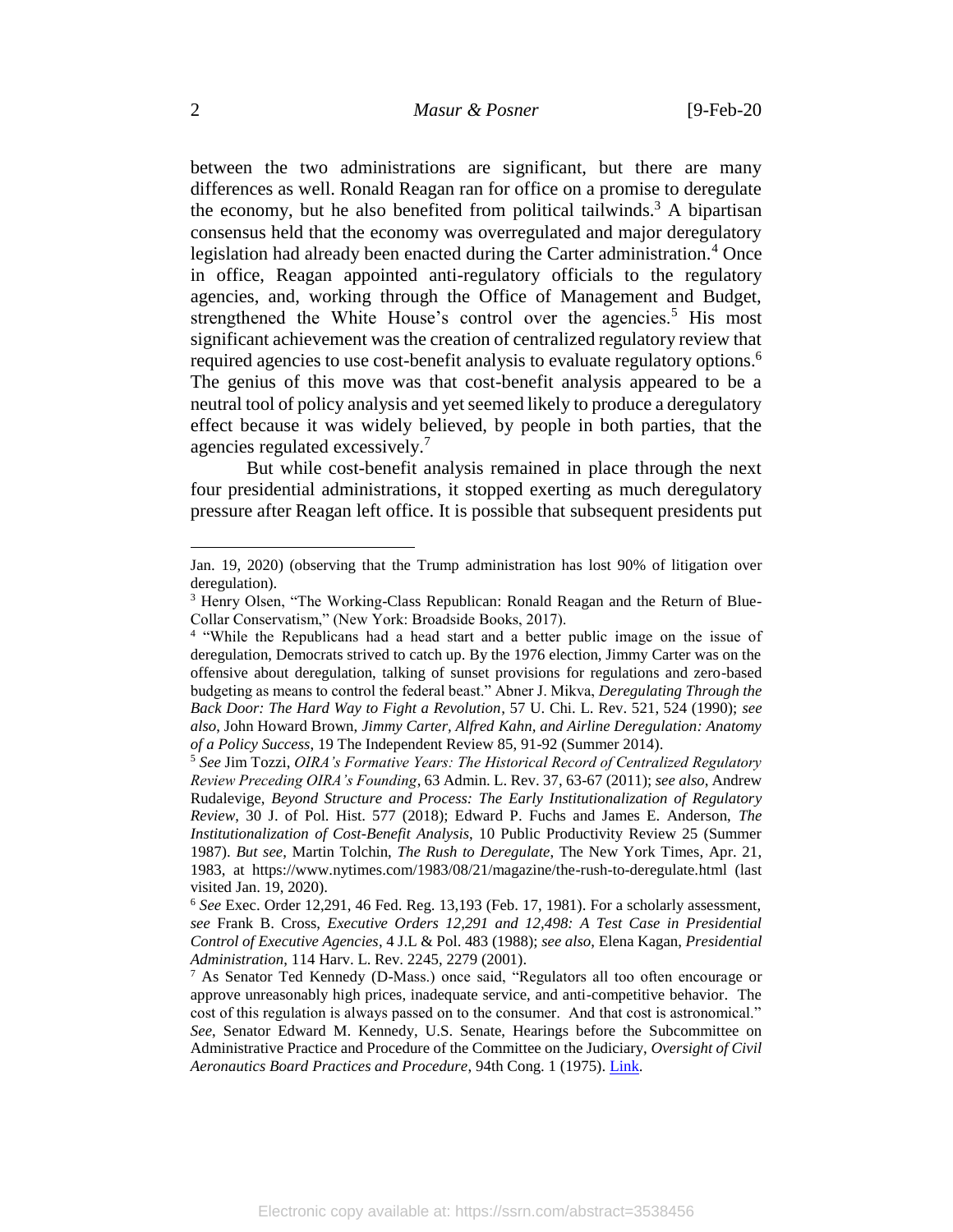between the two administrations are significant, but there are many differences as well. Ronald Reagan ran for office on a promise to deregulate the economy, but he also benefited from political tailwinds.<sup>3</sup> A bipartisan consensus held that the economy was overregulated and major deregulatory legislation had already been enacted during the Carter administration.<sup>4</sup> Once in office, Reagan appointed anti-regulatory officials to the regulatory agencies, and, working through the Office of Management and Budget, strengthened the White House's control over the agencies.<sup>5</sup> His most significant achievement was the creation of centralized regulatory review that required agencies to use cost-benefit analysis to evaluate regulatory options.<sup>6</sup> The genius of this move was that cost-benefit analysis appeared to be a neutral tool of policy analysis and yet seemed likely to produce a deregulatory effect because it was widely believed, by people in both parties, that the agencies regulated excessively.<sup>7</sup>

But while cost-benefit analysis remained in place through the next four presidential administrations, it stopped exerting as much deregulatory pressure after Reagan left office. It is possible that subsequent presidents put

Jan. 19, 2020) (observing that the Trump administration has lost 90% of litigation over deregulation).

<sup>3</sup> Henry Olsen, "The Working-Class Republican: Ronald Reagan and the Return of Blue-Collar Conservatism," (New York: Broadside Books, 2017).

<sup>&</sup>lt;sup>4</sup> "While the Republicans had a head start and a better public image on the issue of deregulation, Democrats strived to catch up. By the 1976 election, Jimmy Carter was on the offensive about deregulation, talking of sunset provisions for regulations and zero-based budgeting as means to control the federal beast." Abner J. Mikva, *Deregulating Through the Back Door: The Hard Way to Fight a Revolution*, 57 U. Chi. L. Rev. 521, 524 (1990); *see also*, John Howard Brown, *Jimmy Carter, Alfred Kahn, and Airline Deregulation: Anatomy of a Policy Success*, 19 The Independent Review 85, 91-92 (Summer 2014).

<sup>5</sup> *See* Jim Tozzi, *OIRA's Formative Years: The Historical Record of Centralized Regulatory Review Preceding OIRA's Founding*, 63 Admin. L. Rev. 37, 63-67 (2011); *see also*, Andrew Rudalevige, *Beyond Structure and Process: The Early Institutionalization of Regulatory Review*, 30 J. of Pol. Hist. 577 (2018); Edward P. Fuchs and James E. Anderson, *The Institutionalization of Cost-Benefit Analysis*, 10 Public Productivity Review 25 (Summer 1987). *But see*, Martin Tolchin, *The Rush to Deregulate*, The New York Times, Apr. 21, 1983, at https://www.nytimes.com/1983/08/21/magazine/the-rush-to-deregulate.html (last visited Jan. 19, 2020).

<sup>6</sup> *See* Exec. Order 12,291, 46 Fed. Reg. 13,193 (Feb. 17, 1981). For a scholarly assessment, *see* Frank B. Cross, *Executive Orders 12,291 and 12,498: A Test Case in Presidential Control of Executive Agencies*, 4 J.L & Pol. 483 (1988); *see also*, Elena Kagan, *Presidential Administration*, 114 Harv. L. Rev. 2245, 2279 (2001).

<sup>7</sup> As Senator Ted Kennedy (D-Mass.) once said, "Regulators all too often encourage or approve unreasonably high prices, inadequate service, and anti-competitive behavior. The cost of this regulation is always passed on to the consumer. And that cost is astronomical." *See*, Senator Edward M. Kennedy, U.S. Senate, Hearings before the Subcommittee on Administrative Practice and Procedure of the Committee on the Judiciary, *Oversight of Civil Aeronautics Board Practices and Procedure*, 94th Cong. 1 (1975). [Link.](http://www.archive.org/stream/oversightofcivil01unit/oversightofcivil01unit_djvu.txt)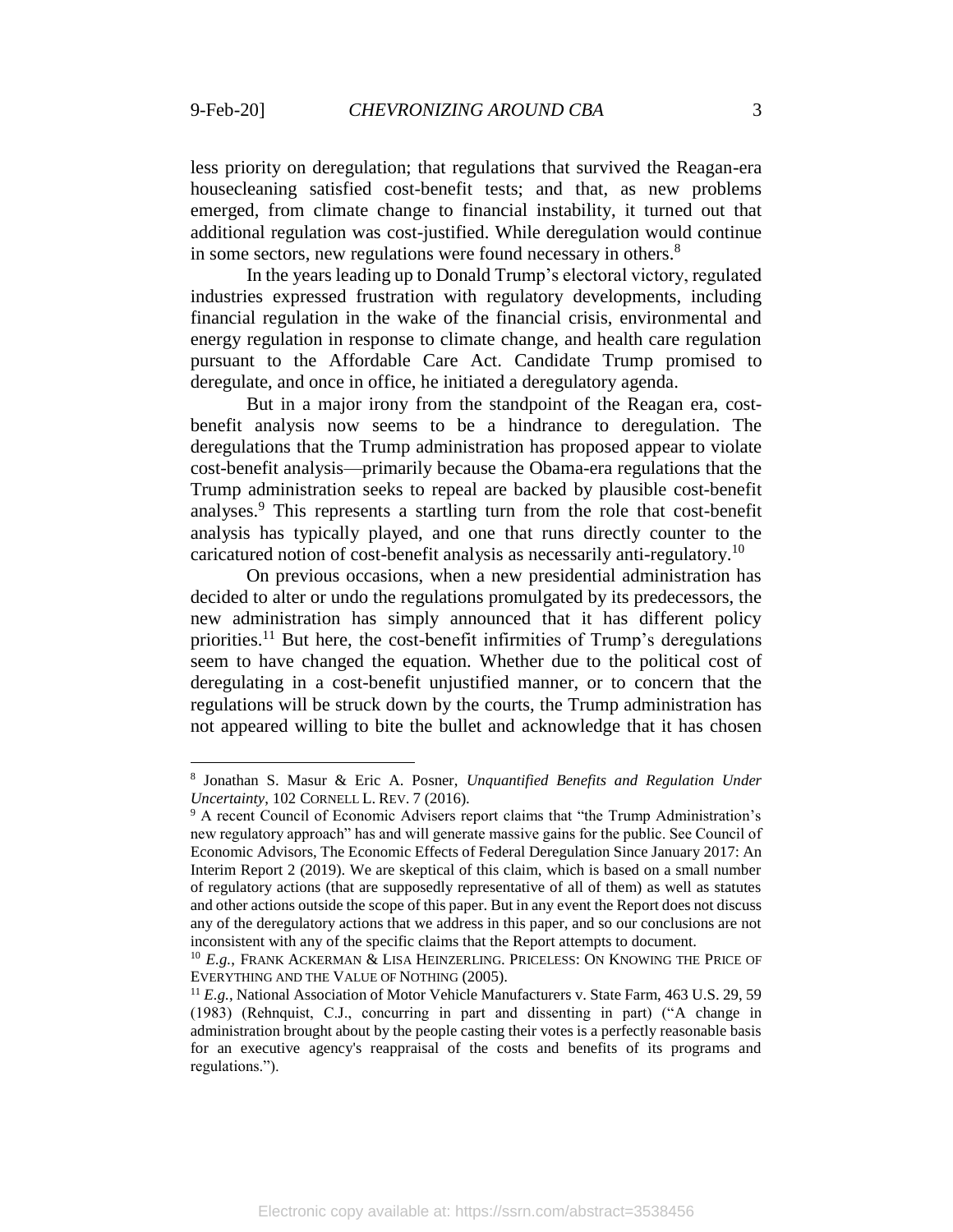$\overline{a}$ 

less priority on deregulation; that regulations that survived the Reagan-era housecleaning satisfied cost-benefit tests; and that, as new problems emerged, from climate change to financial instability, it turned out that additional regulation was cost-justified. While deregulation would continue in some sectors, new regulations were found necessary in others.<sup>8</sup>

In the years leading up to Donald Trump's electoral victory, regulated industries expressed frustration with regulatory developments, including financial regulation in the wake of the financial crisis, environmental and energy regulation in response to climate change, and health care regulation pursuant to the Affordable Care Act. Candidate Trump promised to deregulate, and once in office, he initiated a deregulatory agenda.

But in a major irony from the standpoint of the Reagan era, costbenefit analysis now seems to be a hindrance to deregulation. The deregulations that the Trump administration has proposed appear to violate cost-benefit analysis—primarily because the Obama-era regulations that the Trump administration seeks to repeal are backed by plausible cost-benefit analyses. <sup>9</sup> This represents a startling turn from the role that cost-benefit analysis has typically played, and one that runs directly counter to the caricatured notion of cost-benefit analysis as necessarily anti-regulatory.<sup>10</sup>

On previous occasions, when a new presidential administration has decided to alter or undo the regulations promulgated by its predecessors, the new administration has simply announced that it has different policy priorities.<sup>11</sup> But here, the cost-benefit infirmities of Trump's deregulations seem to have changed the equation. Whether due to the political cost of deregulating in a cost-benefit unjustified manner, or to concern that the regulations will be struck down by the courts, the Trump administration has not appeared willing to bite the bullet and acknowledge that it has chosen

<sup>8</sup> Jonathan S. Masur & Eric A. Posner, *Unquantified Benefits and Regulation Under Uncertainty*, 102 CORNELL L. REV. 7 (2016).

<sup>9</sup> A recent Council of Economic Advisers report claims that "the Trump Administration's new regulatory approach" has and will generate massive gains for the public. See Council of Economic Advisors, The Economic Effects of Federal Deregulation Since January 2017: An Interim Report 2 (2019). We are skeptical of this claim, which is based on a small number of regulatory actions (that are supposedly representative of all of them) as well as statutes and other actions outside the scope of this paper. But in any event the Report does not discuss any of the deregulatory actions that we address in this paper, and so our conclusions are not inconsistent with any of the specific claims that the Report attempts to document.

<sup>&</sup>lt;sup>10</sup> E.g., FRANK ACKERMAN & LISA HEINZERLING. PRICELESS: ON KNOWING THE PRICE OF EVERYTHING AND THE VALUE OF NOTHING (2005).

<sup>11</sup> *E.g.*, National Association of Motor Vehicle Manufacturers v. State Farm, 463 U.S. 29, 59 (1983) (Rehnquist, C.J., concurring in part and dissenting in part) ("A change in administration brought about by the people casting their votes is a perfectly reasonable basis for an executive agency's reappraisal of the costs and benefits of its programs and regulations.").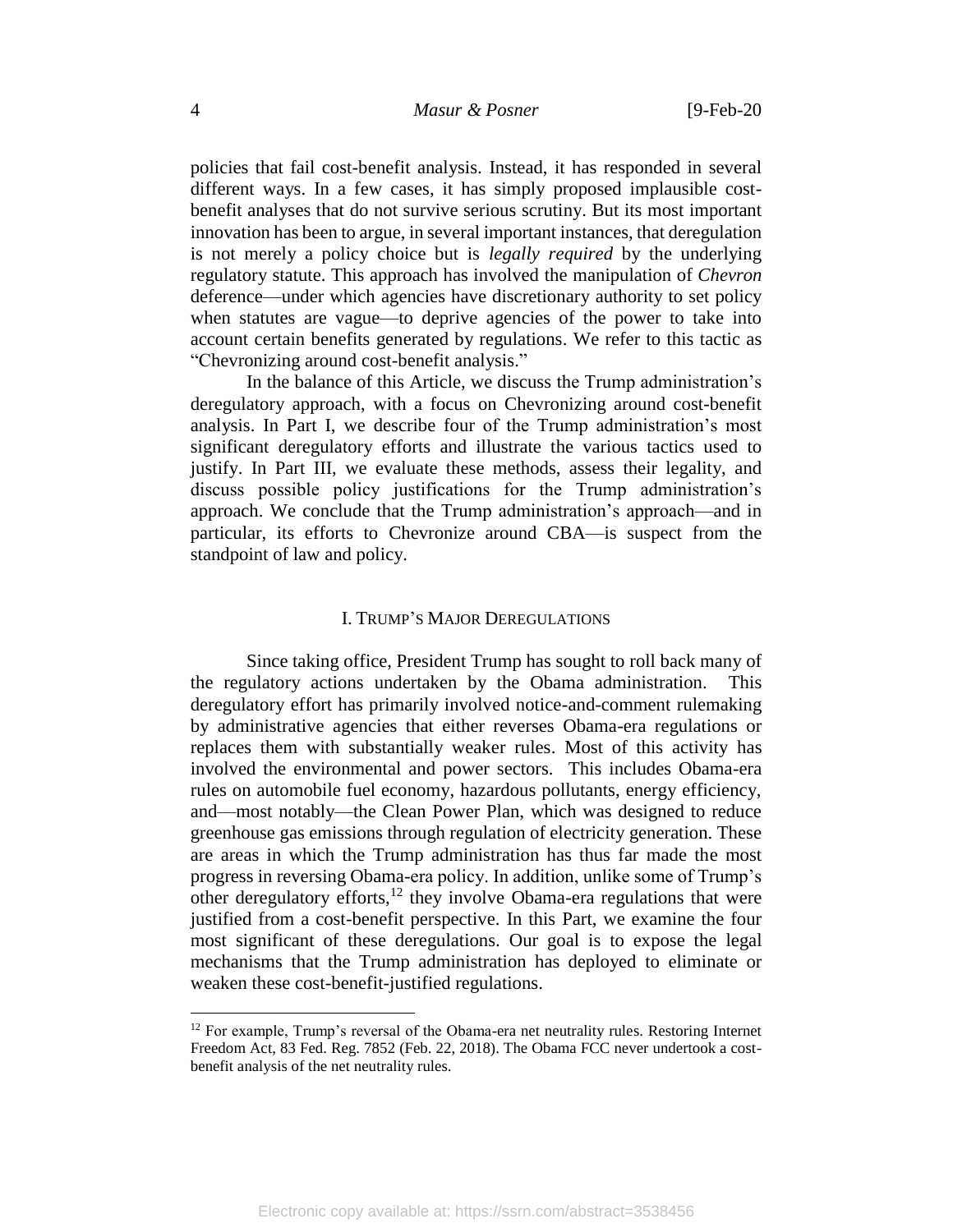policies that fail cost-benefit analysis. Instead, it has responded in several different ways. In a few cases, it has simply proposed implausible costbenefit analyses that do not survive serious scrutiny. But its most important innovation has been to argue, in several important instances, that deregulation is not merely a policy choice but is *legally required* by the underlying regulatory statute. This approach has involved the manipulation of *Chevron* deference—under which agencies have discretionary authority to set policy when statutes are vague—to deprive agencies of the power to take into account certain benefits generated by regulations. We refer to this tactic as "Chevronizing around cost-benefit analysis."

In the balance of this Article, we discuss the Trump administration's deregulatory approach, with a focus on Chevronizing around cost-benefit analysis. In Part I, we describe four of the Trump administration's most significant deregulatory efforts and illustrate the various tactics used to justify. In Part III, we evaluate these methods, assess their legality, and discuss possible policy justifications for the Trump administration's approach. We conclude that the Trump administration's approach—and in particular, its efforts to Chevronize around CBA—is suspect from the standpoint of law and policy.

## I. TRUMP'S MAJOR DEREGULATIONS

Since taking office, President Trump has sought to roll back many of the regulatory actions undertaken by the Obama administration. This deregulatory effort has primarily involved notice-and-comment rulemaking by administrative agencies that either reverses Obama-era regulations or replaces them with substantially weaker rules. Most of this activity has involved the environmental and power sectors. This includes Obama-era rules on automobile fuel economy, hazardous pollutants, energy efficiency, and—most notably—the Clean Power Plan, which was designed to reduce greenhouse gas emissions through regulation of electricity generation. These are areas in which the Trump administration has thus far made the most progress in reversing Obama-era policy. In addition, unlike some of Trump's other deregulatory efforts,<sup>12</sup> they involve Obama-era regulations that were justified from a cost-benefit perspective. In this Part, we examine the four most significant of these deregulations. Our goal is to expose the legal mechanisms that the Trump administration has deployed to eliminate or weaken these cost-benefit-justified regulations.

<sup>&</sup>lt;sup>12</sup> For example, Trump's reversal of the Obama-era net neutrality rules. Restoring Internet Freedom Act, 83 Fed. Reg. 7852 (Feb. 22, 2018). The Obama FCC never undertook a costbenefit analysis of the net neutrality rules.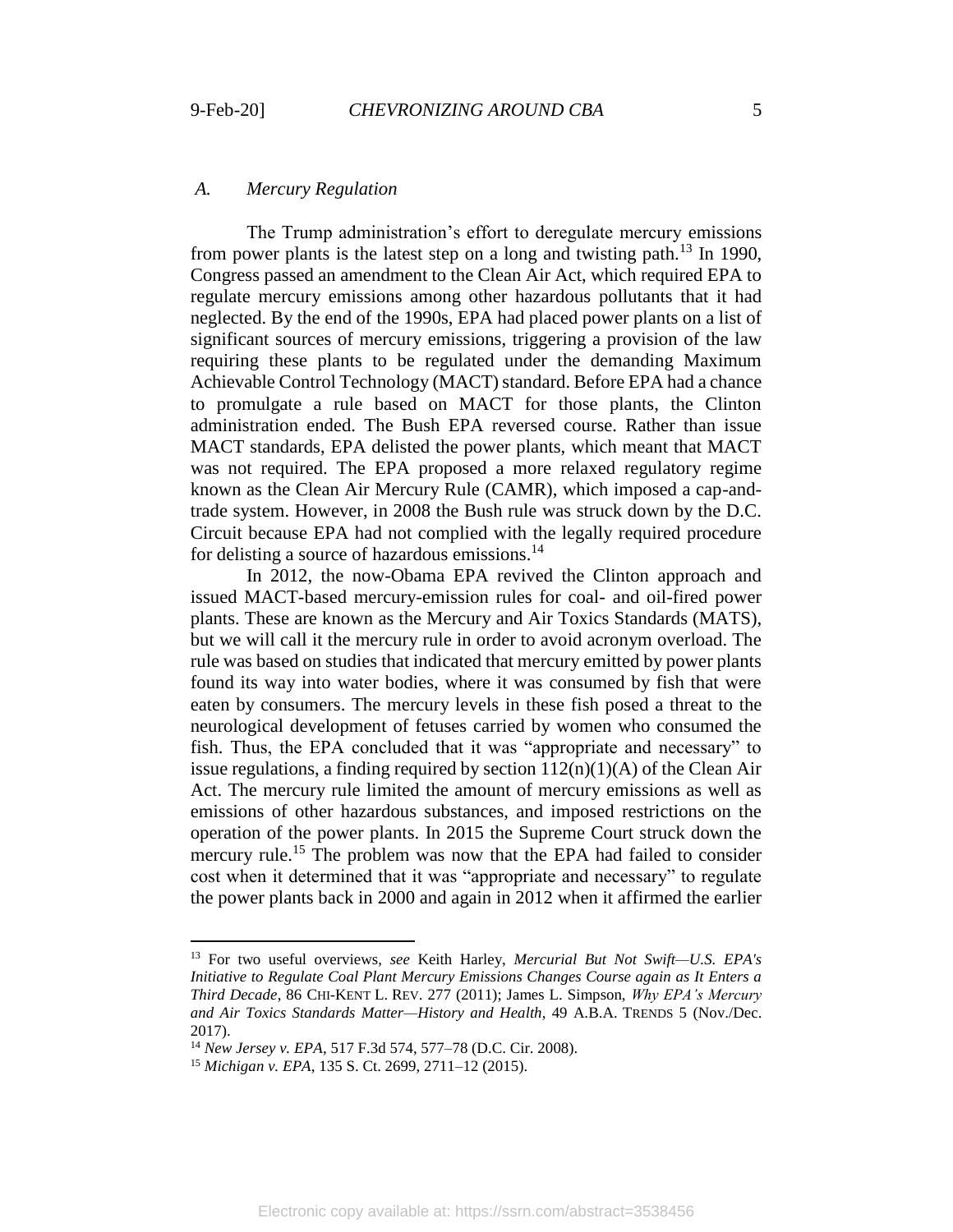## *A. Mercury Regulation*

The Trump administration's effort to deregulate mercury emissions from power plants is the latest step on a long and twisting path.<sup>13</sup> In 1990, Congress passed an amendment to the Clean Air Act, which required EPA to regulate mercury emissions among other hazardous pollutants that it had neglected. By the end of the 1990s, EPA had placed power plants on a list of significant sources of mercury emissions, triggering a provision of the law requiring these plants to be regulated under the demanding Maximum Achievable Control Technology (MACT) standard. Before EPA had a chance to promulgate a rule based on MACT for those plants, the Clinton administration ended. The Bush EPA reversed course. Rather than issue MACT standards, EPA delisted the power plants, which meant that MACT was not required. The EPA proposed a more relaxed regulatory regime known as the Clean Air Mercury Rule (CAMR), which imposed a cap-andtrade system. However, in 2008 the Bush rule was struck down by the D.C. Circuit because EPA had not complied with the legally required procedure for delisting a source of hazardous emissions.<sup>14</sup>

In 2012, the now-Obama EPA revived the Clinton approach and issued MACT-based mercury-emission rules for coal- and oil-fired power plants. These are known as the Mercury and Air Toxics Standards (MATS), but we will call it the mercury rule in order to avoid acronym overload. The rule was based on studies that indicated that mercury emitted by power plants found its way into water bodies, where it was consumed by fish that were eaten by consumers. The mercury levels in these fish posed a threat to the neurological development of fetuses carried by women who consumed the fish. Thus, the EPA concluded that it was "appropriate and necessary" to issue regulations, a finding required by section  $112(n)(1)(A)$  of the Clean Air Act. The mercury rule limited the amount of mercury emissions as well as emissions of other hazardous substances, and imposed restrictions on the operation of the power plants. In 2015 the Supreme Court struck down the mercury rule.<sup>15</sup> The problem was now that the EPA had failed to consider cost when it determined that it was "appropriate and necessary" to regulate the power plants back in 2000 and again in 2012 when it affirmed the earlier

<sup>13</sup> For two useful overviews, *see* Keith Harley, *Mercurial But Not Swift—U.S. EPA's Initiative to Regulate Coal Plant Mercury Emissions Changes Course again as It Enters a Third Decade*, 86 CHI-KENT L. REV. 277 (2011); James L. Simpson, *Why EPA's Mercury and Air Toxics Standards Matter—History and Health*, 49 A.B.A. TRENDS 5 (Nov./Dec. 2017).

<sup>14</sup> *New Jersey v. EPA*, 517 F.3d 574, 577–78 (D.C. Cir. 2008).

<sup>15</sup> *Michigan v. EPA*, 135 S. Ct. 2699, 2711–12 (2015).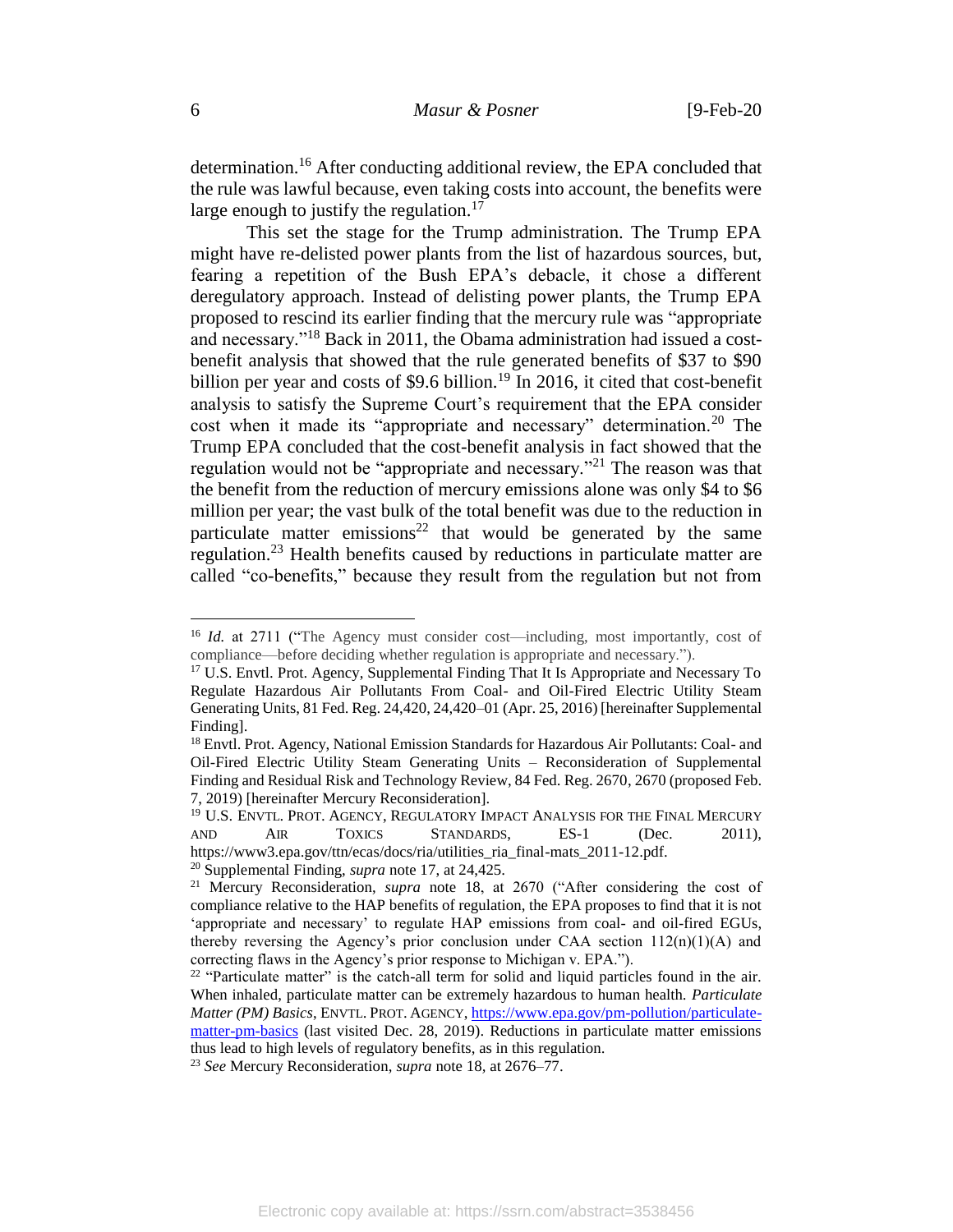determination.<sup>16</sup> After conducting additional review, the EPA concluded that the rule was lawful because, even taking costs into account, the benefits were large enough to justify the regulation.<sup>17</sup>

<span id="page-6-1"></span><span id="page-6-0"></span>This set the stage for the Trump administration. The Trump EPA might have re-delisted power plants from the list of hazardous sources, but, fearing a repetition of the Bush EPA's debacle, it chose a different deregulatory approach. Instead of delisting power plants, the Trump EPA proposed to rescind its earlier finding that the mercury rule was "appropriate and necessary."<sup>18</sup> Back in 2011, the Obama administration had issued a costbenefit analysis that showed that the rule generated benefits of \$37 to \$90 billion per year and costs of \$9.6 billion.<sup>19</sup> In 2016, it cited that cost-benefit analysis to satisfy the Supreme Court's requirement that the EPA consider cost when it made its "appropriate and necessary" determination.<sup>20</sup> The Trump EPA concluded that the cost-benefit analysis in fact showed that the regulation would not be "appropriate and necessary."<sup>21</sup> The reason was that the benefit from the reduction of mercury emissions alone was only \$4 to \$6 million per year; the vast bulk of the total benefit was due to the reduction in particulate matter emissions<sup>22</sup> that would be generated by the same regulation.<sup>23</sup> Health benefits caused by reductions in particulate matter are called "co-benefits," because they result from the regulation but not from

<sup>&</sup>lt;sup>16</sup> *Id.* at 2711 ("The Agency must consider cost—including, most importantly, cost of compliance—before deciding whether regulation is appropriate and necessary.").

<sup>&</sup>lt;sup>17</sup> U.S. Envtl. Prot. Agency, Supplemental Finding That It Is Appropriate and Necessary To Regulate Hazardous Air Pollutants From Coal- and Oil-Fired Electric Utility Steam Generating Units, 81 Fed. Reg. 24,420, 24,420–01 (Apr. 25, 2016) [hereinafter Supplemental Finding].

<sup>&</sup>lt;sup>18</sup> Envtl. Prot. Agency, National Emission Standards for Hazardous Air Pollutants: Coal- and Oil-Fired Electric Utility Steam Generating Units – Reconsideration of Supplemental Finding and Residual Risk and Technology Review, 84 Fed. Reg. 2670, 2670 (proposed Feb. 7, 2019) [hereinafter Mercury Reconsideration].

<sup>&</sup>lt;sup>19</sup> U.S. ENVTL. PROT. AGENCY, REGULATORY IMPACT ANALYSIS FOR THE FINAL MERCURY AND AIR TOXICS STANDARDS, ES-1 (Dec. 2011), https://www3.epa.gov/ttn/ecas/docs/ria/utilities\_ria\_final-mats\_2011-12.pdf.

<sup>20</sup> Supplemental Finding, *supra* note [17,](#page-6-0) at 24,425.

<sup>21</sup> Mercury Reconsideration, *supra* note [18,](#page-6-1) at 2670 ("After considering the cost of compliance relative to the HAP benefits of regulation, the EPA proposes to find that it is not 'appropriate and necessary' to regulate HAP emissions from coal- and oil-fired EGUs, thereby reversing the Agency's prior conclusion under CAA section  $112(n)(1)(A)$  and correcting flaws in the Agency's prior response to Michigan v. EPA.").

<sup>&</sup>lt;sup>22</sup> "Particulate matter" is the catch-all term for solid and liquid particles found in the air. When inhaled, particulate matter can be extremely hazardous to human health. *Particulate Matter (PM) Basics*, ENVTL. PROT. AGENCY, [https://www.epa.gov/pm-pollution/particulate](https://www.epa.gov/pm-pollution/particulate-matter-pm-basics)[matter-pm-basics](https://www.epa.gov/pm-pollution/particulate-matter-pm-basics) (last visited Dec. 28, 2019). Reductions in particulate matter emissions thus lead to high levels of regulatory benefits, as in this regulation.

<sup>23</sup> *See* Mercury Reconsideration, *supra* not[e 18](#page-6-1)*,* at 2676–77.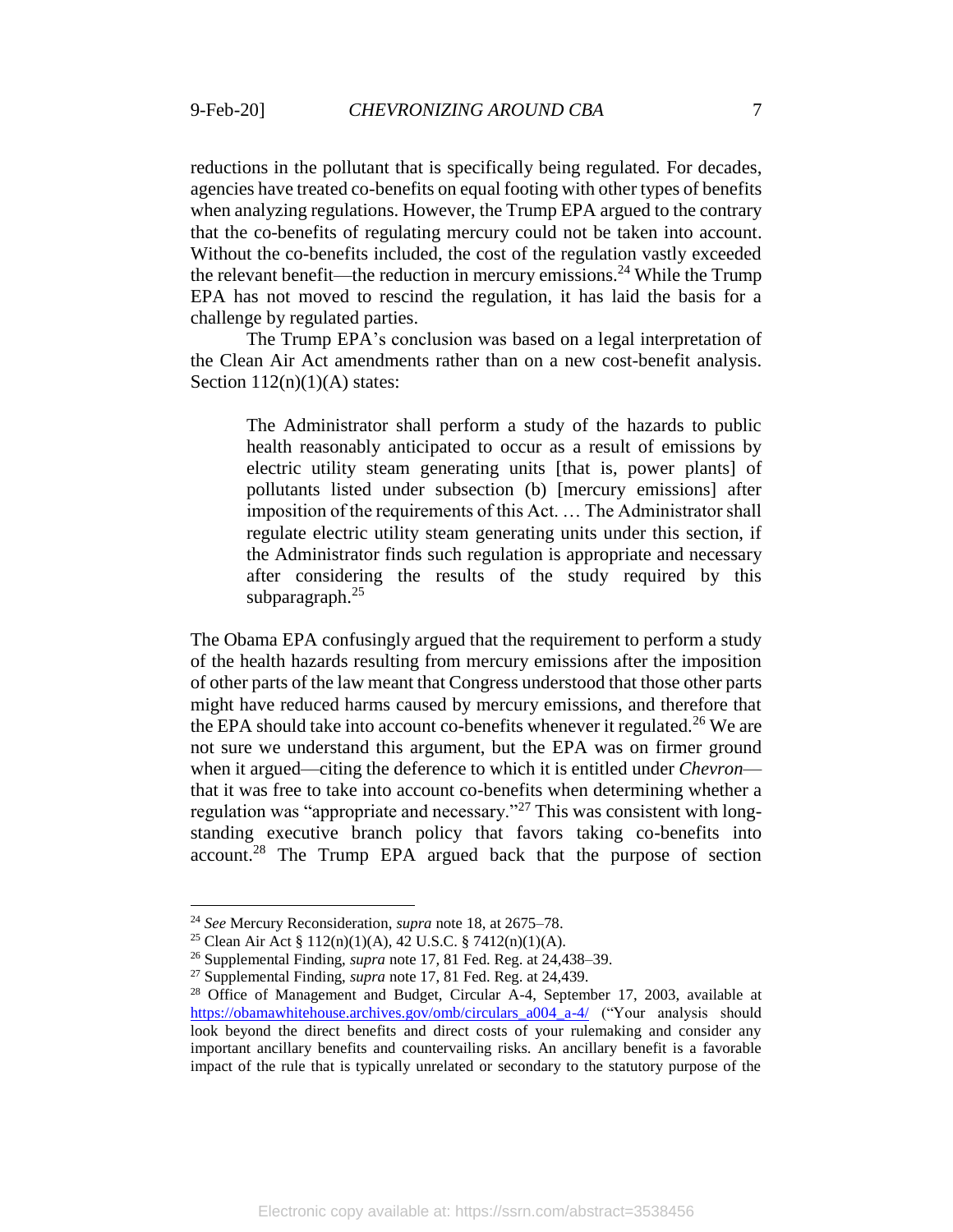reductions in the pollutant that is specifically being regulated. For decades, agencies have treated co-benefits on equal footing with other types of benefits when analyzing regulations. However, the Trump EPA argued to the contrary that the co-benefits of regulating mercury could not be taken into account. Without the co-benefits included, the cost of the regulation vastly exceeded the relevant benefit—the reduction in mercury emissions.<sup>24</sup> While the Trump EPA has not moved to rescind the regulation, it has laid the basis for a challenge by regulated parties.

The Trump EPA's conclusion was based on a legal interpretation of the Clean Air Act amendments rather than on a new cost-benefit analysis. Section  $112(n)(1)(A)$  states:

The Administrator shall perform a study of the hazards to public health reasonably anticipated to occur as a result of emissions by electric utility steam generating units [that is, power plants] of pollutants listed under subsection (b) [mercury emissions] after imposition of the requirements of this Act. … The Administrator shall regulate electric utility steam generating units under this section, if the Administrator finds such regulation is appropriate and necessary after considering the results of the study required by this subparagraph.<sup>25</sup>

The Obama EPA confusingly argued that the requirement to perform a study of the health hazards resulting from mercury emissions after the imposition of other parts of the law meant that Congress understood that those other parts might have reduced harms caused by mercury emissions, and therefore that the EPA should take into account co-benefits whenever it regulated.<sup>26</sup> We are not sure we understand this argument, but the EPA was on firmer ground when it argued—citing the deference to which it is entitled under *Chevron* that it was free to take into account co-benefits when determining whether a regulation was "appropriate and necessary."<sup>27</sup> This was consistent with longstanding executive branch policy that favors taking co-benefits into account.<sup>28</sup> The Trump EPA argued back that the purpose of section

<sup>24</sup> *See* Mercury Reconsideration, *supra* not[e 18,](#page-6-1) at 2675–78.

<sup>25</sup> Clean Air Act § 112(n)(1)(A), 42 U.S.C. § 7412(n)(1)(A).

<sup>26</sup> Supplemental Finding, *supra* note [17](#page-6-0)*,* 81 Fed. Reg. at 24,438–39.

<sup>27</sup> Supplemental Finding, *supra* note [17,](#page-6-0) 81 Fed. Reg. at 24,439.

<sup>&</sup>lt;sup>28</sup> Office of Management and Budget, Circular A-4, September 17, 2003, available at [https://obamawhitehouse.archives.gov/omb/circulars\\_a004\\_a-4/](https://obamawhitehouse.archives.gov/omb/circulars_a004_a-4/) ("Your analysis should look beyond the direct benefits and direct costs of your rulemaking and consider any important ancillary benefits and countervailing risks. An ancillary benefit is a favorable impact of the rule that is typically unrelated or secondary to the statutory purpose of the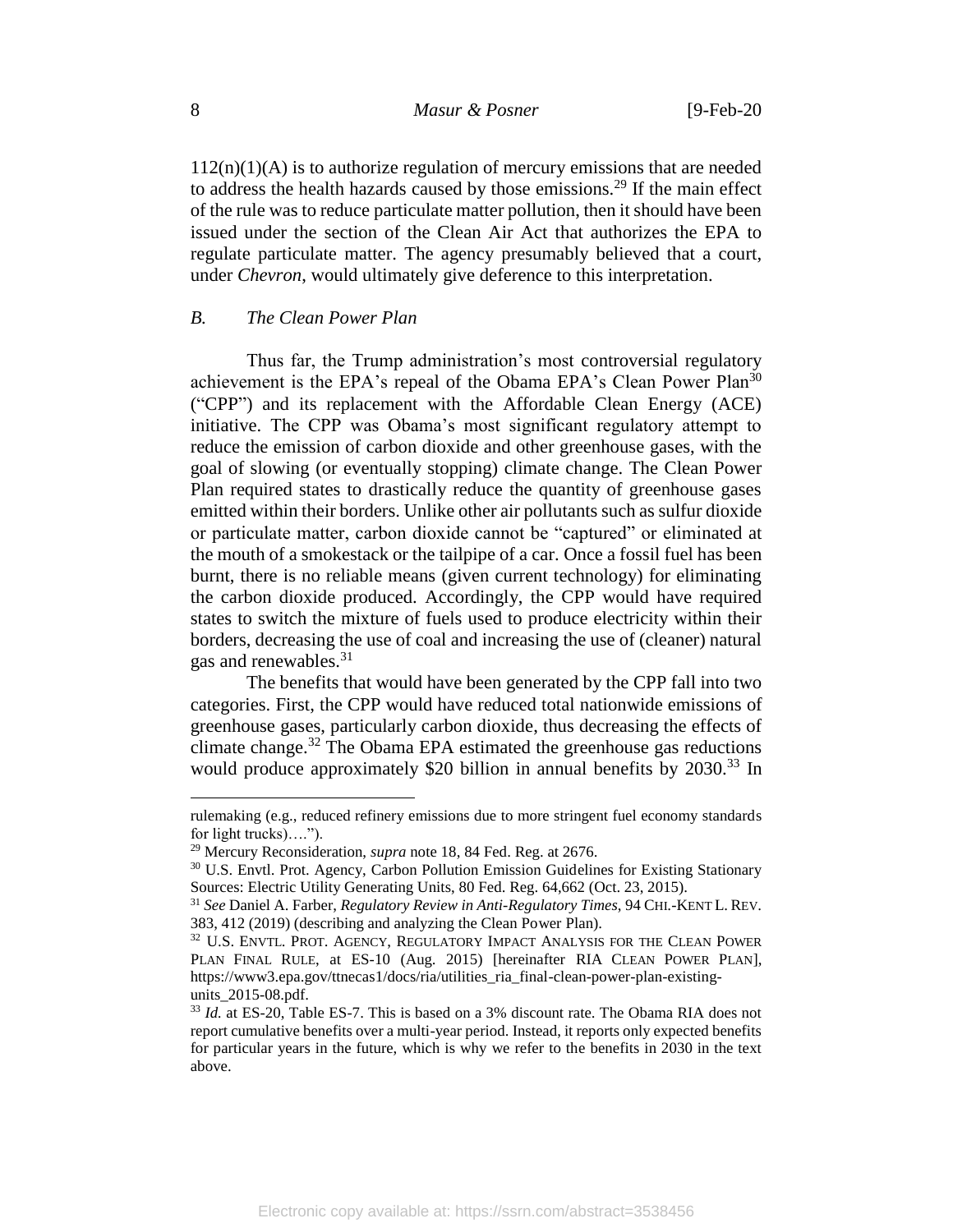$112(n)(1)(A)$  is to authorize regulation of mercury emissions that are needed to address the health hazards caused by those emissions.<sup>29</sup> If the main effect of the rule was to reduce particulate matter pollution, then it should have been issued under the section of the Clean Air Act that authorizes the EPA to regulate particulate matter. The agency presumably believed that a court, under *Chevron*, would ultimately give deference to this interpretation.

## *B. The Clean Power Plan*

Thus far, the Trump administration's most controversial regulatory achievement is the EPA's repeal of the Obama EPA's Clean Power Plan<sup>30</sup> ("CPP") and its replacement with the Affordable Clean Energy (ACE) initiative. The CPP was Obama's most significant regulatory attempt to reduce the emission of carbon dioxide and other greenhouse gases, with the goal of slowing (or eventually stopping) climate change. The Clean Power Plan required states to drastically reduce the quantity of greenhouse gases emitted within their borders. Unlike other air pollutants such as sulfur dioxide or particulate matter, carbon dioxide cannot be "captured" or eliminated at the mouth of a smokestack or the tailpipe of a car. Once a fossil fuel has been burnt, there is no reliable means (given current technology) for eliminating the carbon dioxide produced. Accordingly, the CPP would have required states to switch the mixture of fuels used to produce electricity within their borders, decreasing the use of coal and increasing the use of (cleaner) natural gas and renewables. $31$ 

<span id="page-8-1"></span><span id="page-8-0"></span>The benefits that would have been generated by the CPP fall into two categories. First, the CPP would have reduced total nationwide emissions of greenhouse gases, particularly carbon dioxide, thus decreasing the effects of climate change. <sup>32</sup> The Obama EPA estimated the greenhouse gas reductions would produce approximately \$20 billion in annual benefits by 2030.<sup>33</sup> In

rulemaking (e.g., reduced refinery emissions due to more stringent fuel economy standards for light trucks)….").

<sup>29</sup> Mercury Reconsideration, *supra* note [18,](#page-6-1) 84 Fed. Reg. at 2676.

<sup>&</sup>lt;sup>30</sup> U.S. Envtl. Prot. Agency, Carbon Pollution Emission Guidelines for Existing Stationary Sources: Electric Utility Generating Units, 80 Fed. Reg. 64,662 (Oct. 23, 2015).

<sup>31</sup> *See* Daniel A. Farber, *Regulatory Review in Anti-Regulatory Times*, 94 CHI.-KENT L. REV. 383, 412 (2019) (describing and analyzing the Clean Power Plan).

<sup>&</sup>lt;sup>32</sup> U.S. ENVTL. PROT. AGENCY, REGULATORY IMPACT ANALYSIS FOR THE CLEAN POWER PLAN FINAL RULE, at ES-10 (Aug. 2015) [hereinafter RIA CLEAN POWER PLAN], https://www3.epa.gov/ttnecas1/docs/ria/utilities\_ria\_final-clean-power-plan-existingunits 2015-08.pdf.

<sup>33</sup> *Id.* at ES-20, Table ES-7. This is based on a 3% discount rate. The Obama RIA does not report cumulative benefits over a multi-year period. Instead, it reports only expected benefits for particular years in the future, which is why we refer to the benefits in 2030 in the text above.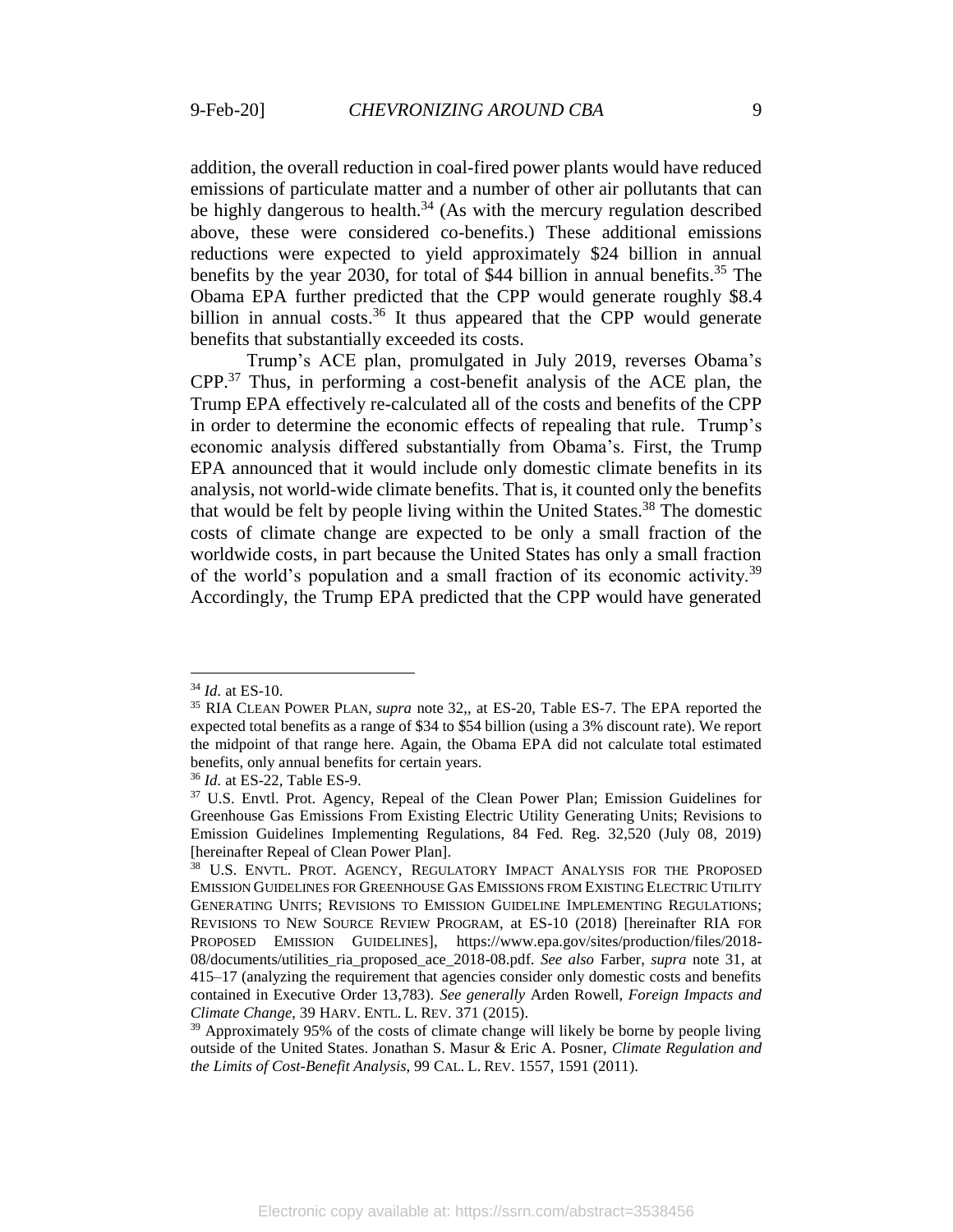addition, the overall reduction in coal-fired power plants would have reduced emissions of particulate matter and a number of other air pollutants that can be highly dangerous to health. $34$  (As with the mercury regulation described above, these were considered co-benefits.) These additional emissions reductions were expected to yield approximately \$24 billion in annual benefits by the year 2030, for total of \$44 billion in annual benefits. <sup>35</sup> The Obama EPA further predicted that the CPP would generate roughly \$8.4 billion in annual costs.<sup>36</sup> It thus appeared that the CPP would generate benefits that substantially exceeded its costs.

<span id="page-9-2"></span><span id="page-9-1"></span><span id="page-9-0"></span>Trump's ACE plan, promulgated in July 2019, reverses Obama's CPP.<sup>37</sup> Thus, in performing a cost-benefit analysis of the ACE plan, the Trump EPA effectively re-calculated all of the costs and benefits of the CPP in order to determine the economic effects of repealing that rule. Trump's economic analysis differed substantially from Obama's. First, the Trump EPA announced that it would include only domestic climate benefits in its analysis, not world-wide climate benefits. That is, it counted only the benefits that would be felt by people living within the United States.<sup>38</sup> The domestic costs of climate change are expected to be only a small fraction of the worldwide costs, in part because the United States has only a small fraction of the world's population and a small fraction of its economic activity.<sup>39</sup> Accordingly, the Trump EPA predicted that the CPP would have generated

<sup>34</sup> *Id.* at ES-10.

<sup>35</sup> RIA CLEAN POWER PLAN, *supra* note [32,](#page-8-0), at ES-20, Table ES-7. The EPA reported the expected total benefits as a range of \$34 to \$54 billion (using a 3% discount rate). We report the midpoint of that range here. Again, the Obama EPA did not calculate total estimated benefits, only annual benefits for certain years.

<sup>36</sup> *Id.* at ES-22, Table ES-9.

<sup>37</sup> U.S. Envtl. Prot. Agency, Repeal of the Clean Power Plan; Emission Guidelines for Greenhouse Gas Emissions From Existing Electric Utility Generating Units; Revisions to Emission Guidelines Implementing Regulations, 84 Fed. Reg. 32,520 (July 08, 2019) [hereinafter Repeal of Clean Power Plan].

<sup>38</sup> U.S. ENVTL. PROT. AGENCY, REGULATORY IMPACT ANALYSIS FOR THE PROPOSED EMISSION GUIDELINES FOR GREENHOUSE GAS EMISSIONS FROM EXISTING ELECTRIC UTILITY GENERATING UNITS; REVISIONS TO EMISSION GUIDELINE IMPLEMENTING REGULATIONS; REVISIONS TO NEW SOURCE REVIEW PROGRAM, at ES-10 (2018) [hereinafter RIA FOR PROPOSED EMISSION GUIDELINES], https://www.epa.gov/sites/production/files/2018- 08/documents/utilities\_ria\_proposed\_ace\_2018-08.pdf. *See also* Farber, *supra* note [31,](#page-8-1) at 415–17 (analyzing the requirement that agencies consider only domestic costs and benefits contained in Executive Order 13,783). *See generally* Arden Rowell, *Foreign Impacts and Climate Change*, 39 HARV. ENTL. L. REV. 371 (2015).

 $39$  Approximately 95% of the costs of climate change will likely be borne by people living outside of the United States. Jonathan S. Masur & Eric A. Posner, *Climate Regulation and the Limits of Cost-Benefit Analysis*, 99 CAL. L. REV. 1557, 1591 (2011).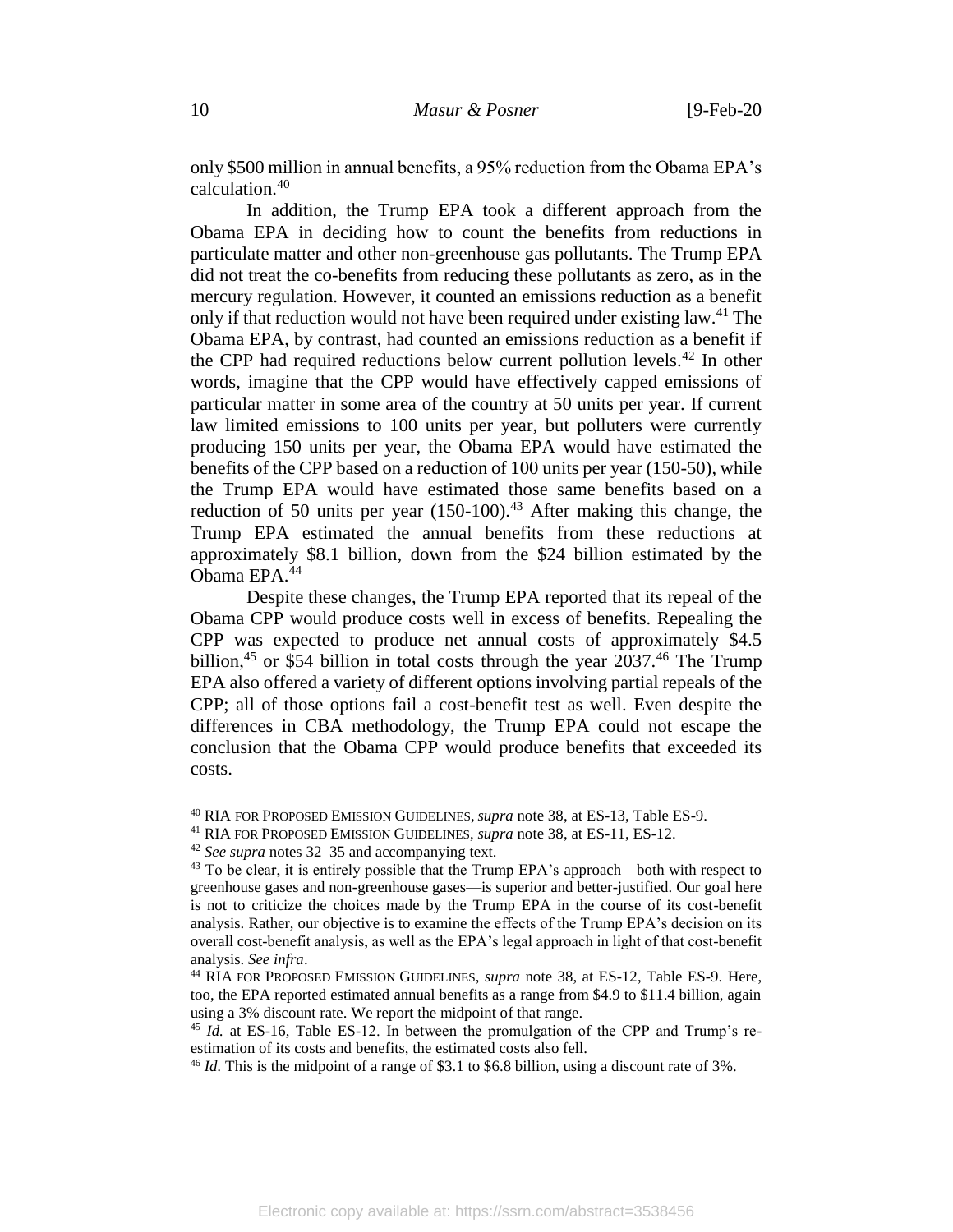only \$500 million in annual benefits, a 95% reduction from the Obama EPA's calculation. 40

In addition, the Trump EPA took a different approach from the Obama EPA in deciding how to count the benefits from reductions in particulate matter and other non-greenhouse gas pollutants. The Trump EPA did not treat the co-benefits from reducing these pollutants as zero, as in the mercury regulation. However, it counted an emissions reduction as a benefit only if that reduction would not have been required under existing law.<sup>41</sup> The Obama EPA, by contrast, had counted an emissions reduction as a benefit if the CPP had required reductions below current pollution levels.<sup>42</sup> In other words, imagine that the CPP would have effectively capped emissions of particular matter in some area of the country at 50 units per year. If current law limited emissions to 100 units per year, but polluters were currently producing 150 units per year, the Obama EPA would have estimated the benefits of the CPP based on a reduction of 100 units per year (150-50), while the Trump EPA would have estimated those same benefits based on a reduction of 50 units per year  $(150-100)^{43}$  After making this change, the Trump EPA estimated the annual benefits from these reductions at approximately \$8.1 billion, down from the \$24 billion estimated by the Obama EPA. 44

<span id="page-10-0"></span>Despite these changes, the Trump EPA reported that its repeal of the Obama CPP would produce costs well in excess of benefits. Repealing the CPP was expected to produce net annual costs of approximately \$4.5 billion,<sup>45</sup> or \$54 billion in total costs through the year  $2037<sup>46</sup>$  The Trump EPA also offered a variety of different options involving partial repeals of the CPP; all of those options fail a cost-benefit test as well. Even despite the differences in CBA methodology, the Trump EPA could not escape the conclusion that the Obama CPP would produce benefits that exceeded its costs.

<sup>40</sup> RIA FOR PROPOSED EMISSION GUIDELINES, *supra* note [38,](#page-9-0) at ES-13, Table ES-9.

<sup>41</sup> RIA FOR PROPOSED EMISSION GUIDELINES, *supra* note [38,](#page-9-0) at ES-11, ES-12.

<sup>42</sup> *See supra* note[s 32](#page-8-0)[–35](#page-9-1) and accompanying text.

<sup>&</sup>lt;sup>43</sup> To be clear, it is entirely possible that the Trump EPA's approach—both with respect to greenhouse gases and non-greenhouse gases—is superior and better-justified. Our goal here is not to criticize the choices made by the Trump EPA in the course of its cost-benefit analysis. Rather, our objective is to examine the effects of the Trump EPA's decision on its overall cost-benefit analysis, as well as the EPA's legal approach in light of that cost-benefit analysis. *See infra*.

<sup>44</sup> RIA FOR PROPOSED EMISSION GUIDELINES, *supra* note [38,](#page-9-0) at ES-12, Table ES-9. Here, too, the EPA reported estimated annual benefits as a range from \$4.9 to \$11.4 billion, again using a 3% discount rate. We report the midpoint of that range.

<sup>45</sup> *Id.* at ES-16, Table ES-12. In between the promulgation of the CPP and Trump's reestimation of its costs and benefits, the estimated costs also fell.

<sup>46</sup> *Id.* This is the midpoint of a range of \$3.1 to \$6.8 billion, using a discount rate of 3%.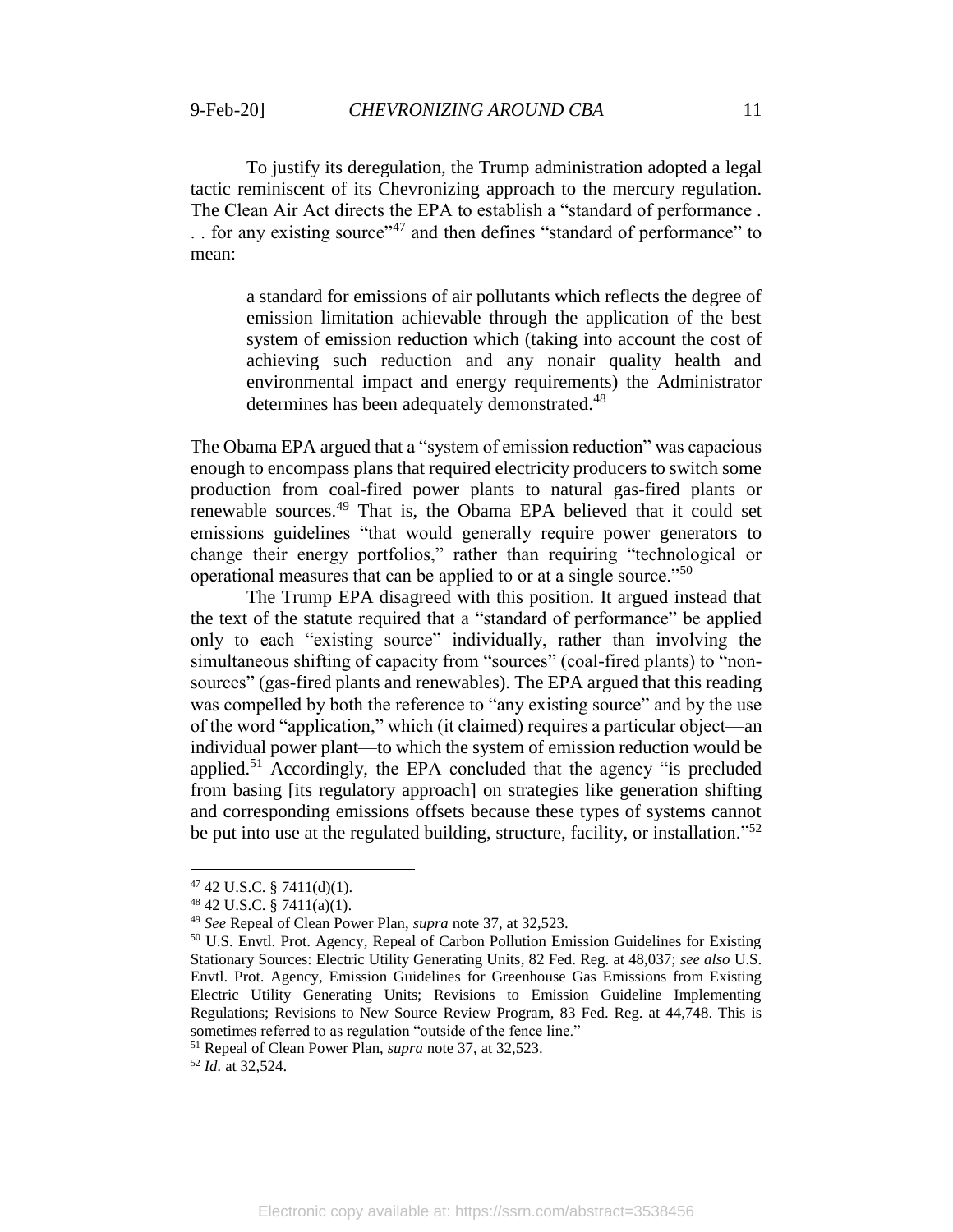To justify its deregulation, the Trump administration adopted a legal tactic reminiscent of its Chevronizing approach to the mercury regulation. The Clean Air Act directs the EPA to establish a "standard of performance . . . for any existing source"<sup>47</sup> and then defines "standard of performance" to mean:

<span id="page-11-1"></span>a standard for emissions of air pollutants which reflects the degree of emission limitation achievable through the application of the best system of emission reduction which (taking into account the cost of achieving such reduction and any nonair quality health and environmental impact and energy requirements) the Administrator determines has been adequately demonstrated.<sup>48</sup>

The Obama EPA argued that a "system of emission reduction" was capacious enough to encompass plans that required electricity producers to switch some production from coal-fired power plants to natural gas-fired plants or renewable sources.<sup>49</sup> That is, the Obama EPA believed that it could set emissions guidelines "that would generally require power generators to change their energy portfolios," rather than requiring "technological or operational measures that can be applied to or at a single source."<sup>50</sup>

The Trump EPA disagreed with this position. It argued instead that the text of the statute required that a "standard of performance" be applied only to each "existing source" individually, rather than involving the simultaneous shifting of capacity from "sources" (coal-fired plants) to "nonsources" (gas-fired plants and renewables). The EPA argued that this reading was compelled by both the reference to "any existing source" and by the use of the word "application," which (it claimed) requires a particular object—an individual power plant—to which the system of emission reduction would be applied.<sup>51</sup> Accordingly, the EPA concluded that the agency "is precluded from basing [its regulatory approach] on strategies like generation shifting and corresponding emissions offsets because these types of systems cannot be put into use at the regulated building, structure, facility, or installation."<sup>52</sup>

<span id="page-11-2"></span><span id="page-11-0"></span> $\overline{a}$ 

<sup>51</sup> Repeal of Clean Power Plan, *supra* note [37,](#page-9-2) at 32,523.

<sup>52</sup> *Id.* at 32,524.

 $47$  42 U.S.C. § 7411(d)(1).

 $48$  42 U.S.C. § 7411(a)(1).

<sup>49</sup> *See* Repeal of Clean Power Plan, *supra* note [37,](#page-9-2) at 32,523.

<sup>50</sup> U.S. Envtl. Prot. Agency, Repeal of Carbon Pollution Emission Guidelines for Existing Stationary Sources: Electric Utility Generating Units, 82 Fed. Reg. at 48,037; *see also* U.S. Envtl. Prot. Agency, Emission Guidelines for Greenhouse Gas Emissions from Existing Electric Utility Generating Units; Revisions to Emission Guideline Implementing Regulations; Revisions to New Source Review Program, 83 Fed. Reg. at 44,748. This is sometimes referred to as regulation "outside of the fence line."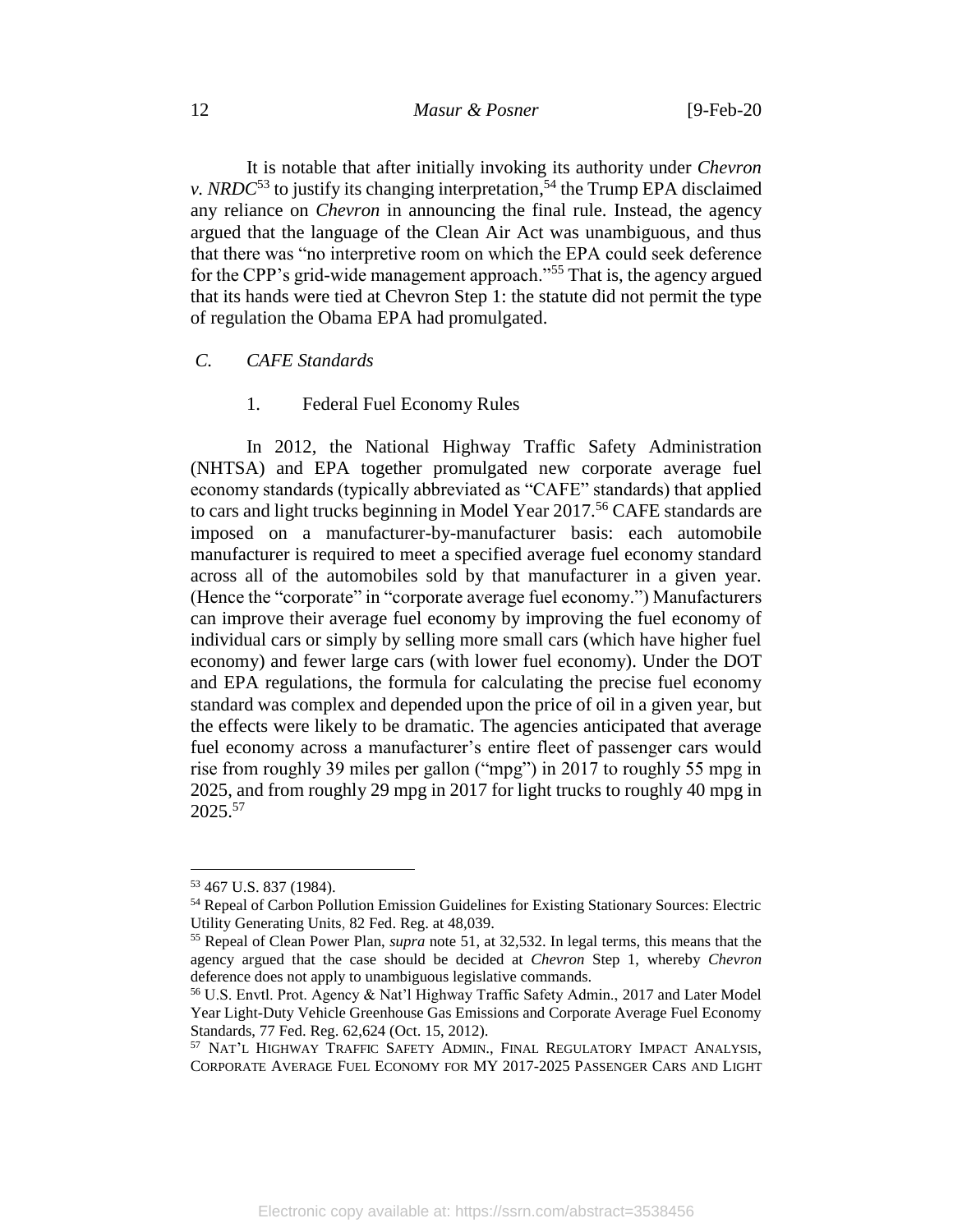<span id="page-12-1"></span>It is notable that after initially invoking its authority under *Chevron v. NRDC*<sup>53</sup> to justify its changing interpretation,<sup>54</sup> the Trump EPA disclaimed any reliance on *Chevron* in announcing the final rule. Instead, the agency argued that the language of the Clean Air Act was unambiguous, and thus that there was "no interpretive room on which the EPA could seek deference for the CPP's grid-wide management approach."<sup>55</sup> That is, the agency argued that its hands were tied at Chevron Step 1: the statute did not permit the type of regulation the Obama EPA had promulgated.

#### *C. CAFE Standards*

<span id="page-12-2"></span>1. Federal Fuel Economy Rules

In 2012, the National Highway Traffic Safety Administration (NHTSA) and EPA together promulgated new corporate average fuel economy standards (typically abbreviated as "CAFE" standards) that applied to cars and light trucks beginning in Model Year 2017.<sup>56</sup> CAFE standards are imposed on a manufacturer-by-manufacturer basis: each automobile manufacturer is required to meet a specified average fuel economy standard across all of the automobiles sold by that manufacturer in a given year. (Hence the "corporate" in "corporate average fuel economy.") Manufacturers can improve their average fuel economy by improving the fuel economy of individual cars or simply by selling more small cars (which have higher fuel economy) and fewer large cars (with lower fuel economy). Under the DOT and EPA regulations, the formula for calculating the precise fuel economy standard was complex and depended upon the price of oil in a given year, but the effects were likely to be dramatic. The agencies anticipated that average fuel economy across a manufacturer's entire fleet of passenger cars would rise from roughly 39 miles per gallon ("mpg") in 2017 to roughly 55 mpg in 2025, and from roughly 29 mpg in 2017 for light trucks to roughly 40 mpg in 2025.<sup>57</sup>

<span id="page-12-0"></span><sup>53</sup> 467 U.S. 837 (1984).

<sup>54</sup> Repeal of Carbon Pollution Emission Guidelines for Existing Stationary Sources: Electric Utility Generating Units, 82 Fed. Reg. at 48,039.

<sup>55</sup> Repeal of Clean Power Plan, *supra* note [51,](#page-11-0) at 32,532. In legal terms, this means that the agency argued that the case should be decided at *Chevron* Step 1, whereby *Chevron* deference does not apply to unambiguous legislative commands.

<sup>56</sup> U.S. Envtl. Prot. Agency & Nat'l Highway Traffic Safety Admin., 2017 and Later Model Year Light-Duty Vehicle Greenhouse Gas Emissions and Corporate Average Fuel Economy Standards, 77 Fed. Reg. 62,624 (Oct. 15, 2012).

<sup>57</sup> NAT'L HIGHWAY TRAFFIC SAFETY ADMIN., FINAL REGULATORY IMPACT ANALYSIS, CORPORATE AVERAGE FUEL ECONOMY FOR MY 2017-2025 PASSENGER CARS AND LIGHT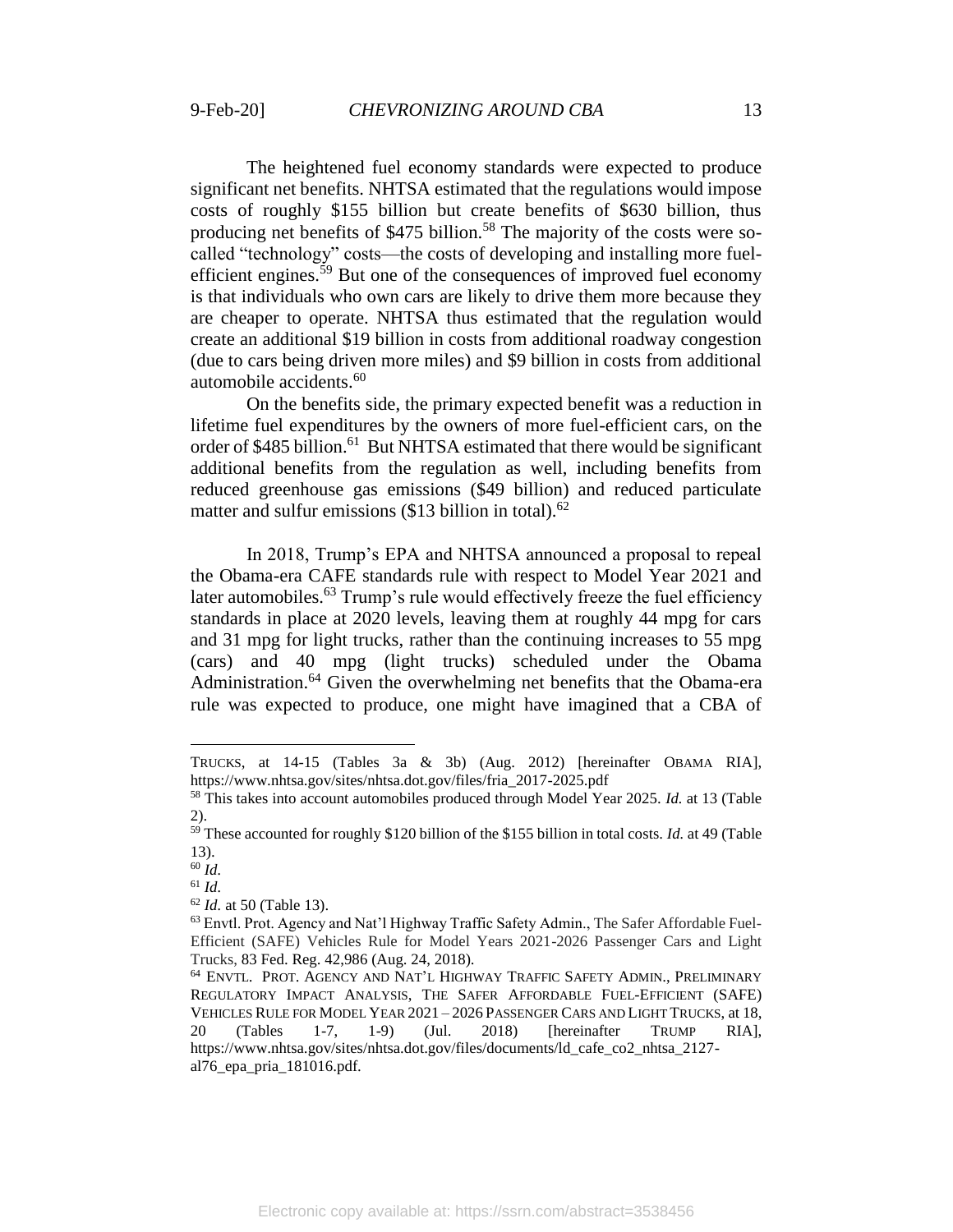The heightened fuel economy standards were expected to produce significant net benefits. NHTSA estimated that the regulations would impose costs of roughly \$155 billion but create benefits of \$630 billion, thus producing net benefits of  $$475$  billion.<sup>58</sup> The majority of the costs were socalled "technology" costs—the costs of developing and installing more fuelefficient engines.<sup>59</sup> But one of the consequences of improved fuel economy is that individuals who own cars are likely to drive them more because they are cheaper to operate. NHTSA thus estimated that the regulation would create an additional \$19 billion in costs from additional roadway congestion (due to cars being driven more miles) and \$9 billion in costs from additional automobile accidents.<sup>60</sup>

On the benefits side, the primary expected benefit was a reduction in lifetime fuel expenditures by the owners of more fuel-efficient cars, on the order of \$485 billion.<sup>61</sup> But NHTSA estimated that there would be significant additional benefits from the regulation as well, including benefits from reduced greenhouse gas emissions (\$49 billion) and reduced particulate matter and sulfur emissions  $(\$13$  billion in total).<sup>62</sup>

In 2018, Trump's EPA and NHTSA announced a proposal to repeal the Obama-era CAFE standards rule with respect to Model Year 2021 and later automobiles.<sup>63</sup> Trump's rule would effectively freeze the fuel efficiency standards in place at 2020 levels, leaving them at roughly 44 mpg for cars and 31 mpg for light trucks, rather than the continuing increases to 55 mpg (cars) and 40 mpg (light trucks) scheduled under the Obama Administration.<sup>64</sup> Given the overwhelming net benefits that the Obama-era rule was expected to produce, one might have imagined that a CBA of

<span id="page-13-0"></span>TRUCKS, at 14-15 (Tables 3a & 3b) (Aug. 2012) [hereinafter OBAMA RIA], https://www.nhtsa.gov/sites/nhtsa.dot.gov/files/fria\_2017-2025.pdf

<sup>58</sup> This takes into account automobiles produced through Model Year 2025. *Id.* at 13 (Table 2).

<sup>&</sup>lt;sup>59</sup> These accounted for roughly \$120 billion of the \$155 billion in total costs. *Id.* at 49 (Table 13).

<sup>60</sup> *Id.*

<sup>61</sup> *Id.*

<sup>62</sup> *Id.* at 50 (Table 13).

<sup>63</sup> Envtl. Prot. Agency and Nat'l Highway Traffic Safety Admin., The Safer Affordable Fuel-Efficient (SAFE) Vehicles Rule for Model Years 2021-2026 Passenger Cars and Light Trucks, 83 Fed. Reg. 42,986 (Aug. 24, 2018).

<sup>64</sup> ENVTL. PROT. AGENCY AND NAT'L HIGHWAY TRAFFIC SAFETY ADMIN., PRELIMINARY REGULATORY IMPACT ANALYSIS, THE SAFER AFFORDABLE FUEL-EFFICIENT (SAFE) VEHICLES RULE FOR MODEL YEAR 2021 – 2026 PASSENGER CARS AND LIGHT TRUCKS, at 18, 20 (Tables 1-7, 1-9) (Jul. 2018) [hereinafter TRUMP RIA], https://www.nhtsa.gov/sites/nhtsa.dot.gov/files/documents/ld\_cafe\_co2\_nhtsa\_2127 al76\_epa\_pria\_181016.pdf.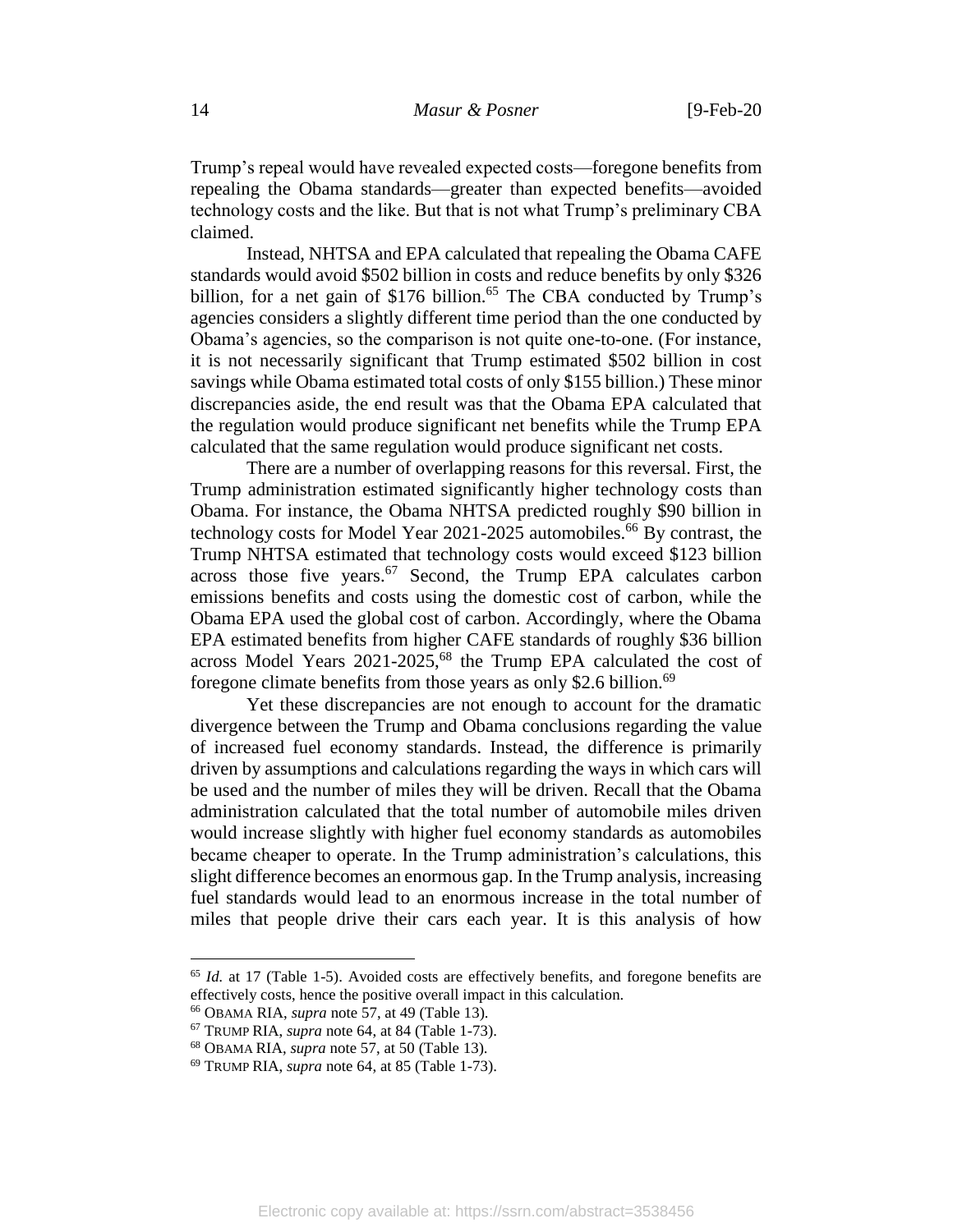Trump's repeal would have revealed expected costs—foregone benefits from repealing the Obama standards—greater than expected benefits—avoided technology costs and the like. But that is not what Trump's preliminary CBA claimed.

Instead, NHTSA and EPA calculated that repealing the Obama CAFE standards would avoid \$502 billion in costs and reduce benefits by only \$326 billion, for a net gain of \$176 billion.<sup>65</sup> The CBA conducted by Trump's agencies considers a slightly different time period than the one conducted by Obama's agencies, so the comparison is not quite one-to-one. (For instance, it is not necessarily significant that Trump estimated \$502 billion in cost savings while Obama estimated total costs of only \$155 billion.) These minor discrepancies aside, the end result was that the Obama EPA calculated that the regulation would produce significant net benefits while the Trump EPA calculated that the same regulation would produce significant net costs.

There are a number of overlapping reasons for this reversal. First, the Trump administration estimated significantly higher technology costs than Obama. For instance, the Obama NHTSA predicted roughly \$90 billion in technology costs for Model Year 2021-2025 automobiles.<sup>66</sup> By contrast, the Trump NHTSA estimated that technology costs would exceed \$123 billion across those five years.<sup>67</sup> Second, the Trump EPA calculates carbon emissions benefits and costs using the domestic cost of carbon, while the Obama EPA used the global cost of carbon. Accordingly, where the Obama EPA estimated benefits from higher CAFE standards of roughly \$36 billion across Model Years  $2021-2025$ ,  $68$  the Trump EPA calculated the cost of foregone climate benefits from those years as only \$2.6 billion.<sup>69</sup>

Yet these discrepancies are not enough to account for the dramatic divergence between the Trump and Obama conclusions regarding the value of increased fuel economy standards. Instead, the difference is primarily driven by assumptions and calculations regarding the ways in which cars will be used and the number of miles they will be driven. Recall that the Obama administration calculated that the total number of automobile miles driven would increase slightly with higher fuel economy standards as automobiles became cheaper to operate. In the Trump administration's calculations, this slight difference becomes an enormous gap. In the Trump analysis, increasing fuel standards would lead to an enormous increase in the total number of miles that people drive their cars each year. It is this analysis of how

<sup>65</sup> *Id.* at 17 (Table 1-5). Avoided costs are effectively benefits, and foregone benefits are effectively costs, hence the positive overall impact in this calculation.

<sup>66</sup> OBAMA RIA, *supra* note [57,](#page-12-0) at 49 (Table 13).

<sup>67</sup> TRUMP RIA, *supra* note [64,](#page-13-0) at 84 (Table 1-73).

<sup>68</sup> OBAMA RIA, *supra* note [57,](#page-12-0) at 50 (Table 13).

<sup>69</sup> TRUMP RIA, *supra* note [64,](#page-13-0) at 85 (Table 1-73).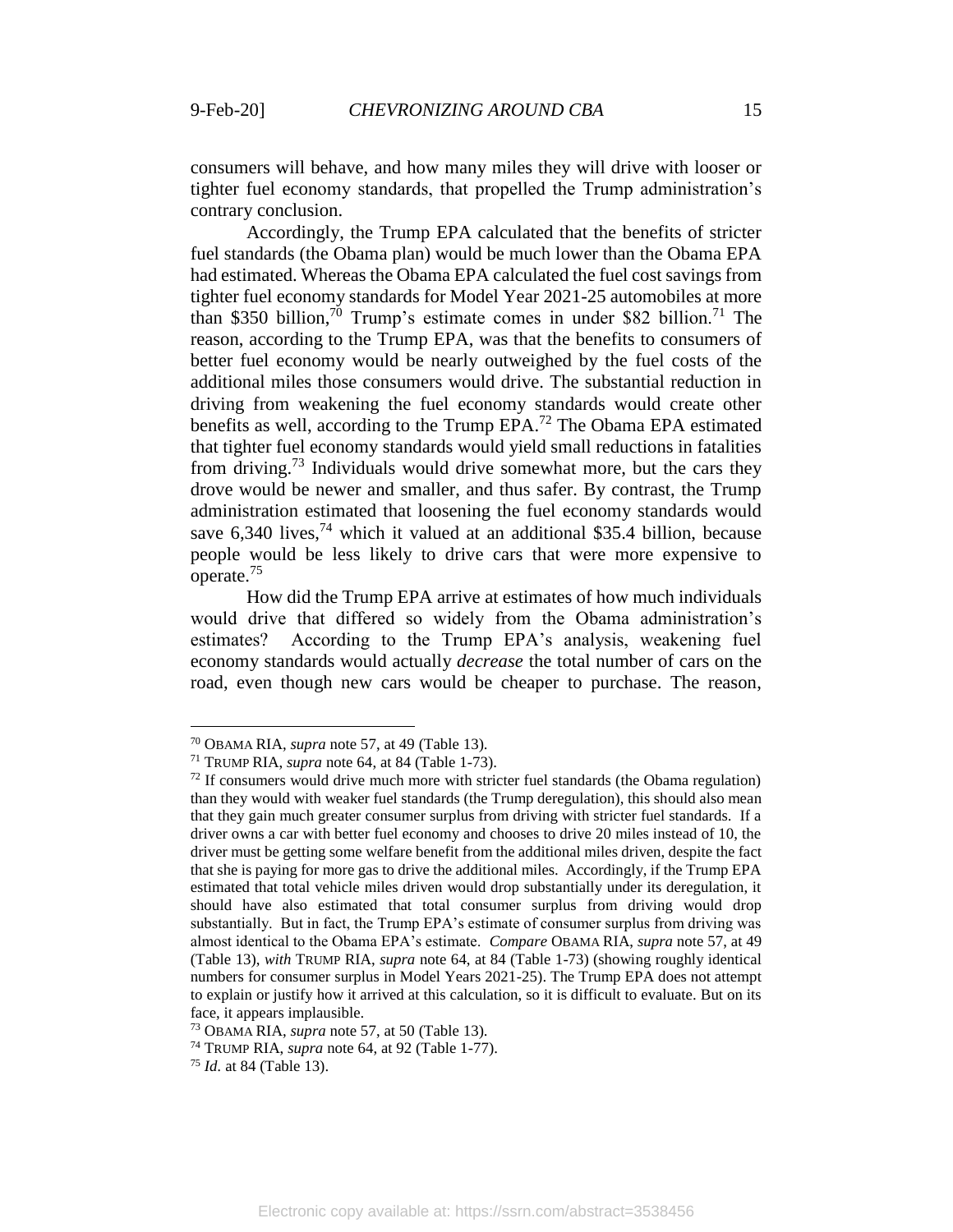consumers will behave, and how many miles they will drive with looser or tighter fuel economy standards, that propelled the Trump administration's contrary conclusion.

Accordingly, the Trump EPA calculated that the benefits of stricter fuel standards (the Obama plan) would be much lower than the Obama EPA had estimated. Whereas the Obama EPA calculated the fuel cost savings from tighter fuel economy standards for Model Year 2021-25 automobiles at more than \$350 billion,<sup>70</sup> Trump's estimate comes in under \$82 billion.<sup>71</sup> The reason, according to the Trump EPA, was that the benefits to consumers of better fuel economy would be nearly outweighed by the fuel costs of the additional miles those consumers would drive. The substantial reduction in driving from weakening the fuel economy standards would create other benefits as well, according to the Trump EPA.<sup>72</sup> The Obama EPA estimated that tighter fuel economy standards would yield small reductions in fatalities from driving.<sup>73</sup> Individuals would drive somewhat more, but the cars they drove would be newer and smaller, and thus safer. By contrast, the Trump administration estimated that loosening the fuel economy standards would save  $6.340$  lives, <sup>74</sup> which it valued at an additional \$35.4 billion, because people would be less likely to drive cars that were more expensive to operate.<sup>75</sup>

How did the Trump EPA arrive at estimates of how much individuals would drive that differed so widely from the Obama administration's estimates? According to the Trump EPA's analysis, weakening fuel economy standards would actually *decrease* the total number of cars on the road, even though new cars would be cheaper to purchase. The reason,

<sup>70</sup> OBAMA RIA, *supra* note [57,](#page-12-0) at 49 (Table 13).

<sup>71</sup> TRUMP RIA, *supra* note [64,](#page-13-0) at 84 (Table 1-73).

 $72$  If consumers would drive much more with stricter fuel standards (the Obama regulation) than they would with weaker fuel standards (the Trump deregulation), this should also mean that they gain much greater consumer surplus from driving with stricter fuel standards. If a driver owns a car with better fuel economy and chooses to drive 20 miles instead of 10, the driver must be getting some welfare benefit from the additional miles driven, despite the fact that she is paying for more gas to drive the additional miles. Accordingly, if the Trump EPA estimated that total vehicle miles driven would drop substantially under its deregulation, it should have also estimated that total consumer surplus from driving would drop substantially. But in fact, the Trump EPA's estimate of consumer surplus from driving was almost identical to the Obama EPA's estimate. *Compare* OBAMA RIA, *supra* note [57,](#page-12-0) at 49 (Table 13), *with* TRUMP RIA, *supra* note [64,](#page-13-0) at 84 (Table 1-73) (showing roughly identical numbers for consumer surplus in Model Years 2021-25). The Trump EPA does not attempt to explain or justify how it arrived at this calculation, so it is difficult to evaluate. But on its face, it appears implausible.

<sup>73</sup> OBAMA RIA, *supra* note [57,](#page-12-0) at 50 (Table 13).

<sup>74</sup> TRUMP RIA, *supra* note [64,](#page-13-0) at 92 (Table 1-77).

<sup>75</sup> *Id.* at 84 (Table 13).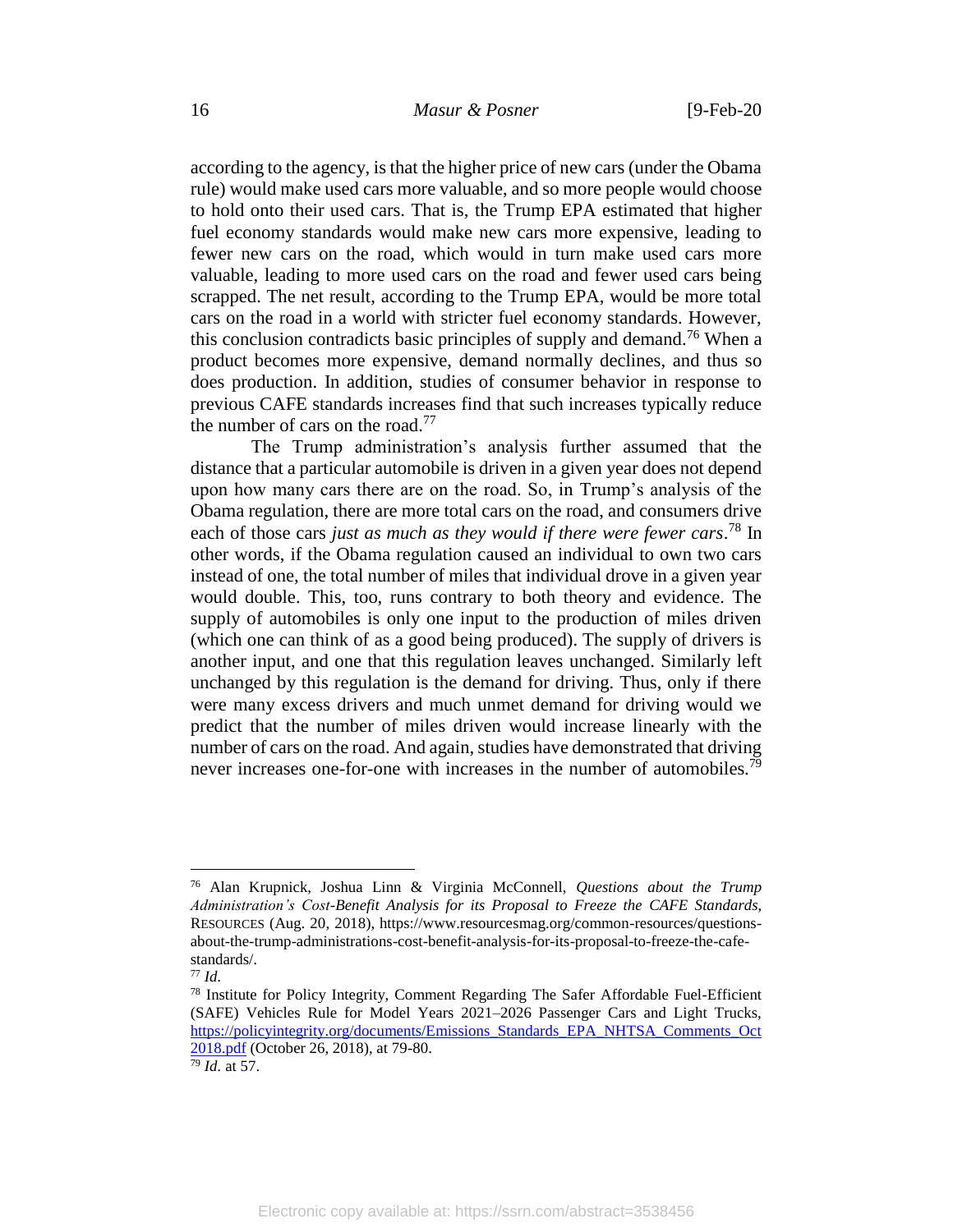according to the agency, is that the higher price of new cars (under the Obama rule) would make used cars more valuable, and so more people would choose to hold onto their used cars. That is, the Trump EPA estimated that higher fuel economy standards would make new cars more expensive, leading to fewer new cars on the road, which would in turn make used cars more valuable, leading to more used cars on the road and fewer used cars being scrapped. The net result, according to the Trump EPA, would be more total cars on the road in a world with stricter fuel economy standards. However, this conclusion contradicts basic principles of supply and demand.<sup>76</sup> When a product becomes more expensive, demand normally declines, and thus so does production. In addition, studies of consumer behavior in response to previous CAFE standards increases find that such increases typically reduce the number of cars on the road.<sup>77</sup>

<span id="page-16-0"></span>The Trump administration's analysis further assumed that the distance that a particular automobile is driven in a given year does not depend upon how many cars there are on the road. So, in Trump's analysis of the Obama regulation, there are more total cars on the road, and consumers drive each of those cars *just as much as they would if there were fewer cars*. <sup>78</sup> In other words, if the Obama regulation caused an individual to own two cars instead of one, the total number of miles that individual drove in a given year would double. This, too, runs contrary to both theory and evidence. The supply of automobiles is only one input to the production of miles driven (which one can think of as a good being produced). The supply of drivers is another input, and one that this regulation leaves unchanged. Similarly left unchanged by this regulation is the demand for driving. Thus, only if there were many excess drivers and much unmet demand for driving would we predict that the number of miles driven would increase linearly with the number of cars on the road. And again, studies have demonstrated that driving never increases one-for-one with increases in the number of automobiles.<sup>79</sup>

<sup>76</sup> Alan Krupnick, Joshua Linn & Virginia McConnell, *Questions about the Trump Administration's Cost-Benefit Analysis for its Proposal to Freeze the CAFE Standards*, RESOURCES (Aug. 20, 2018), https://www.resourcesmag.org/common-resources/questionsabout-the-trump-administrations-cost-benefit-analysis-for-its-proposal-to-freeze-the-cafestandards/.

<sup>77</sup> *Id.*

<sup>&</sup>lt;sup>78</sup> Institute for Policy Integrity, Comment Regarding The Safer Affordable Fuel-Efficient (SAFE) Vehicles Rule for Model Years 2021–2026 Passenger Cars and Light Trucks, [https://policyintegrity.org/documents/Emissions\\_Standards\\_EPA\\_NHTSA\\_Comments\\_Oct](https://policyintegrity.org/documents/Emissions_Standards_EPA_NHTSA_Comments_Oct2018.pdf) [2018.pdf](https://policyintegrity.org/documents/Emissions_Standards_EPA_NHTSA_Comments_Oct2018.pdf) (October 26, 2018), at 79-80.

 $\frac{79}{79}$  *Id.* at 57.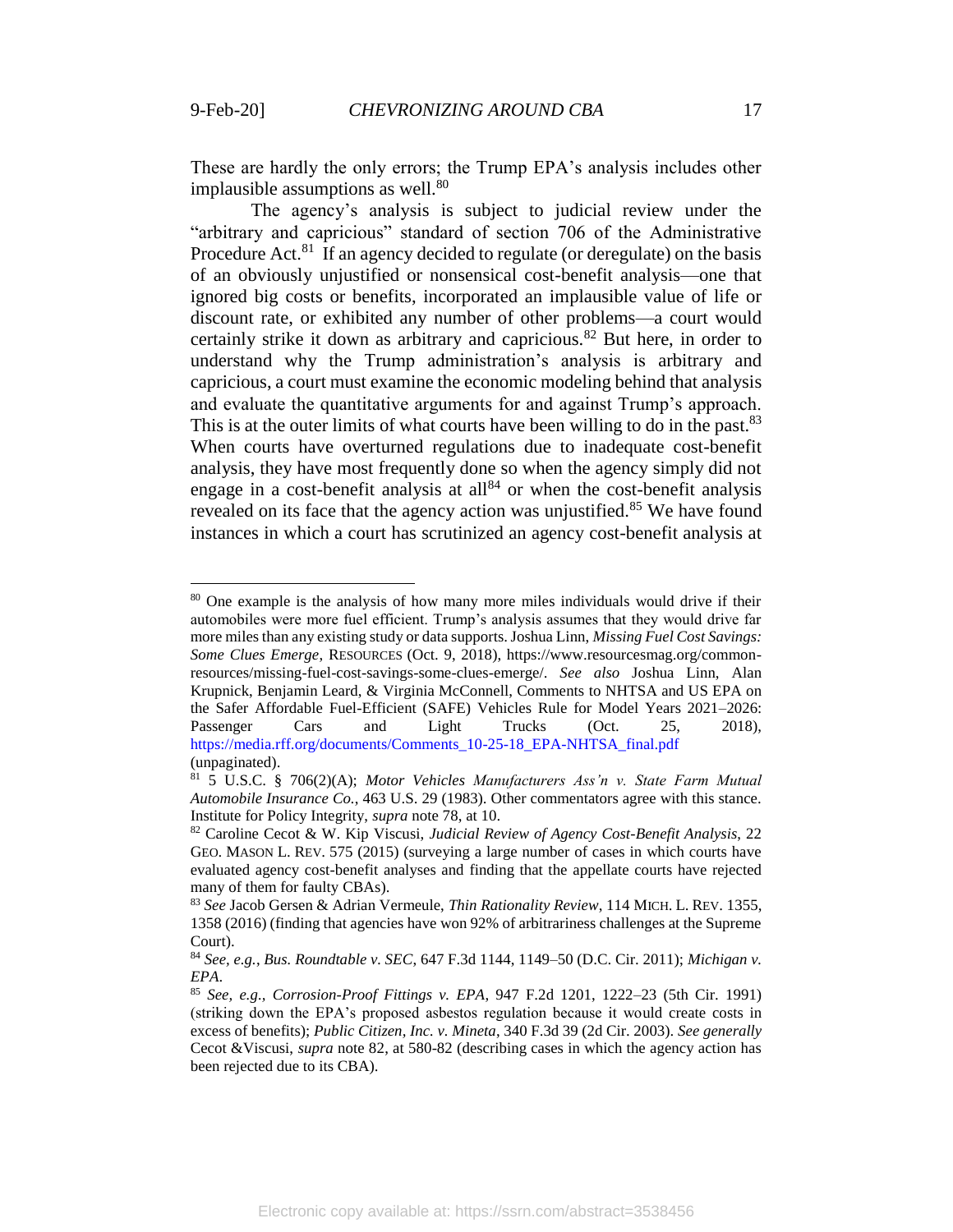<span id="page-17-1"></span> $\overline{a}$ 

These are hardly the only errors; the Trump EPA's analysis includes other implausible assumptions as well.<sup>80</sup>

<span id="page-17-0"></span>The agency's analysis is subject to judicial review under the "arbitrary and capricious" standard of section 706 of the Administrative Procedure Act.<sup>81</sup> If an agency decided to regulate (or deregulate) on the basis of an obviously unjustified or nonsensical cost-benefit analysis—one that ignored big costs or benefits, incorporated an implausible value of life or discount rate, or exhibited any number of other problems—a court would certainly strike it down as arbitrary and capricious.<sup>82</sup> But here, in order to understand why the Trump administration's analysis is arbitrary and capricious, a court must examine the economic modeling behind that analysis and evaluate the quantitative arguments for and against Trump's approach. This is at the outer limits of what courts have been willing to do in the past.<sup>83</sup> When courts have overturned regulations due to inadequate cost-benefit analysis, they have most frequently done so when the agency simply did not engage in a cost-benefit analysis at  $all<sup>84</sup>$  or when the cost-benefit analysis revealed on its face that the agency action was unjustified.<sup>85</sup> We have found instances in which a court has scrutinized an agency cost-benefit analysis at

<sup>&</sup>lt;sup>80</sup> One example is the analysis of how many more miles individuals would drive if their automobiles were more fuel efficient. Trump's analysis assumes that they would drive far more miles than any existing study or data supports. Joshua Linn, *Missing Fuel Cost Savings: Some Clues Emerge*, RESOURCES (Oct. 9, 2018), https://www.resourcesmag.org/commonresources/missing-fuel-cost-savings-some-clues-emerge/. *See also* Joshua Linn, Alan Krupnick, Benjamin Leard, & Virginia McConnell, Comments to NHTSA and US EPA on the Safer Affordable Fuel-Efficient (SAFE) Vehicles Rule for Model Years 2021–2026: Passenger Cars and Light Trucks (Oct. 25, 2018), https://media.rff.org/documents/Comments\_10-25-18\_EPA-NHTSA\_final.pdf (unpaginated).

<sup>81</sup> 5 U.S.C. § 706(2)(A); *Motor Vehicles Manufacturers Ass'n v. State Farm Mutual Automobile Insurance Co.*, 463 U.S. 29 (1983). Other commentators agree with this stance. Institute for Policy Integrity, *supra* note [78,](#page-16-0) at 10.

<sup>82</sup> Caroline Cecot & W. Kip Viscusi, *Judicial Review of Agency Cost-Benefit Analysis*, 22 GEO. MASON L. REV. 575 (2015) (surveying a large number of cases in which courts have evaluated agency cost-benefit analyses and finding that the appellate courts have rejected many of them for faulty CBAs).

<sup>83</sup> *See* Jacob Gersen & Adrian Vermeule, *Thin Rationality Review*, 114 MICH. L. REV. 1355, 1358 (2016) (finding that agencies have won 92% of arbitrariness challenges at the Supreme Court).

<sup>84</sup> *See, e.g.*, *Bus. Roundtable v. SEC*, 647 F.3d 1144, 1149–50 (D.C. Cir. 2011); *Michigan v. EPA*.

<sup>85</sup> *See, e.g., Corrosion-Proof Fittings v. EPA*, 947 F.2d 1201, 1222–23 (5th Cir. 1991) (striking down the EPA's proposed asbestos regulation because it would create costs in excess of benefits); *Public Citizen, Inc. v. Mineta*, 340 F.3d 39 (2d Cir. 2003). *See generally* Cecot &Viscusi, *supra* note [82,](#page-17-0) at 580-82 (describing cases in which the agency action has been rejected due to its CBA).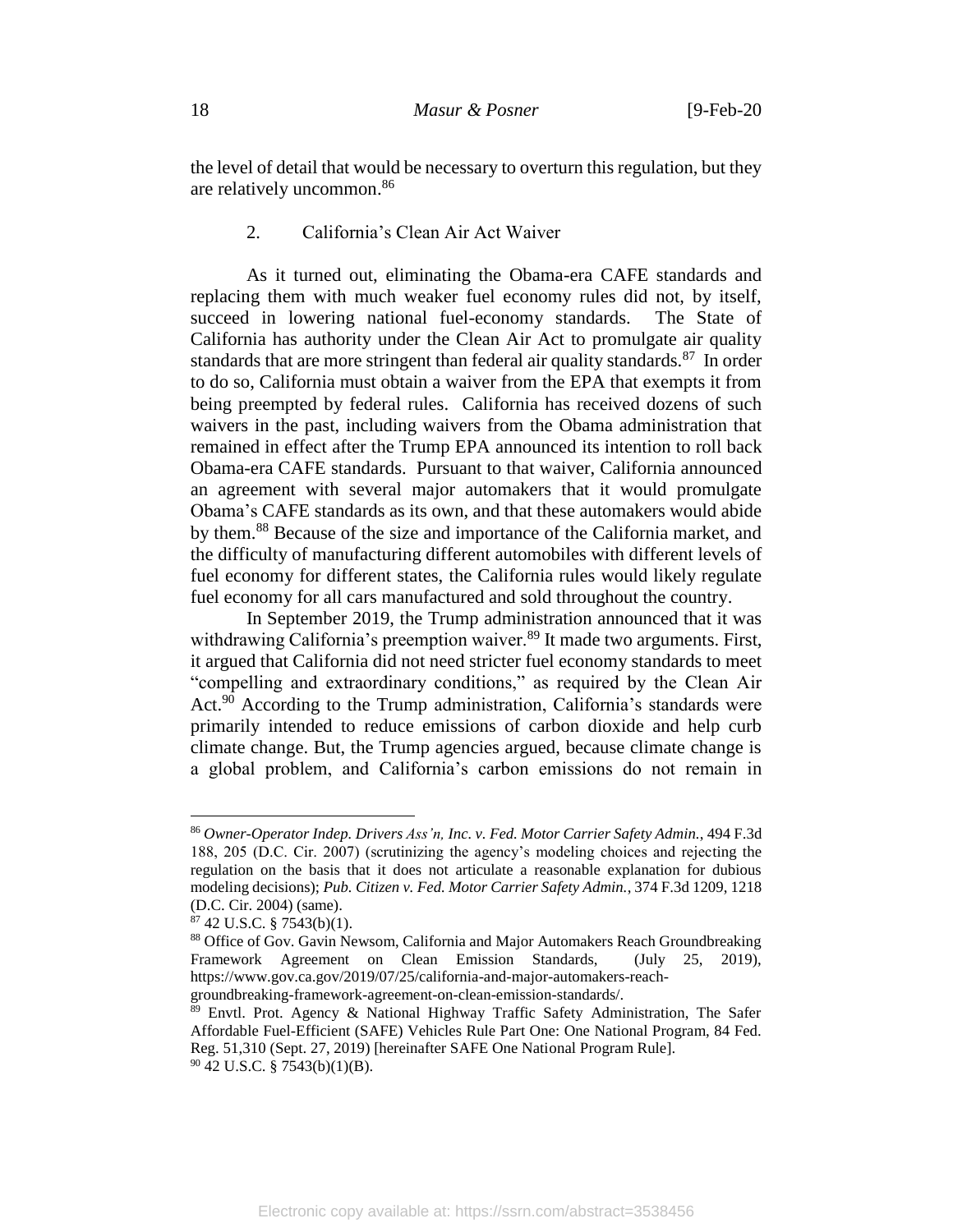the level of detail that would be necessary to overturn this regulation, but they are relatively uncommon. 86

## 2. California's Clean Air Act Waiver

As it turned out, eliminating the Obama-era CAFE standards and replacing them with much weaker fuel economy rules did not, by itself, succeed in lowering national fuel-economy standards. The State of California has authority under the Clean Air Act to promulgate air quality standards that are more stringent than federal air quality standards.<sup>87</sup> In order to do so, California must obtain a waiver from the EPA that exempts it from being preempted by federal rules. California has received dozens of such waivers in the past, including waivers from the Obama administration that remained in effect after the Trump EPA announced its intention to roll back Obama-era CAFE standards. Pursuant to that waiver, California announced an agreement with several major automakers that it would promulgate Obama's CAFE standards as its own, and that these automakers would abide by them.<sup>88</sup> Because of the size and importance of the California market, and the difficulty of manufacturing different automobiles with different levels of fuel economy for different states, the California rules would likely regulate fuel economy for all cars manufactured and sold throughout the country.

<span id="page-18-0"></span>In September 2019, the Trump administration announced that it was withdrawing California's preemption waiver.<sup>89</sup> It made two arguments. First, it argued that California did not need stricter fuel economy standards to meet "compelling and extraordinary conditions," as required by the Clean Air Act.<sup>90</sup> According to the Trump administration, California's standards were primarily intended to reduce emissions of carbon dioxide and help curb climate change. But, the Trump agencies argued, because climate change is a global problem, and California's carbon emissions do not remain in

<sup>86</sup> *Owner-Operator Indep. Drivers Ass'n, Inc. v. Fed. Motor Carrier Safety Admin.*, 494 F.3d 188, 205 (D.C. Cir. 2007) (scrutinizing the agency's modeling choices and rejecting the regulation on the basis that it does not articulate a reasonable explanation for dubious modeling decisions); *Pub. Citizen v. Fed. Motor Carrier Safety Admin.*, 374 F.3d 1209, 1218 (D.C. Cir. 2004) (same).

 $87$  42 U.S.C. § 7543(b)(1).

<sup>88</sup> Office of Gov. Gavin Newsom, California and Major Automakers Reach Groundbreaking Framework Agreement on Clean Emission Standards, (July 25, 2019), https://www.gov.ca.gov/2019/07/25/california-and-major-automakers-reachgroundbreaking-framework-agreement-on-clean-emission-standards/.

<sup>&</sup>lt;sup>89</sup> Envtl. Prot. Agency & National Highway Traffic Safety Administration, The Safer Affordable Fuel-Efficient (SAFE) Vehicles Rule Part One: One National Program, 84 Fed. Reg. 51,310 (Sept. 27, 2019) [hereinafter SAFE One National Program Rule].  $90$  42 U.S.C. § 7543(b)(1)(B).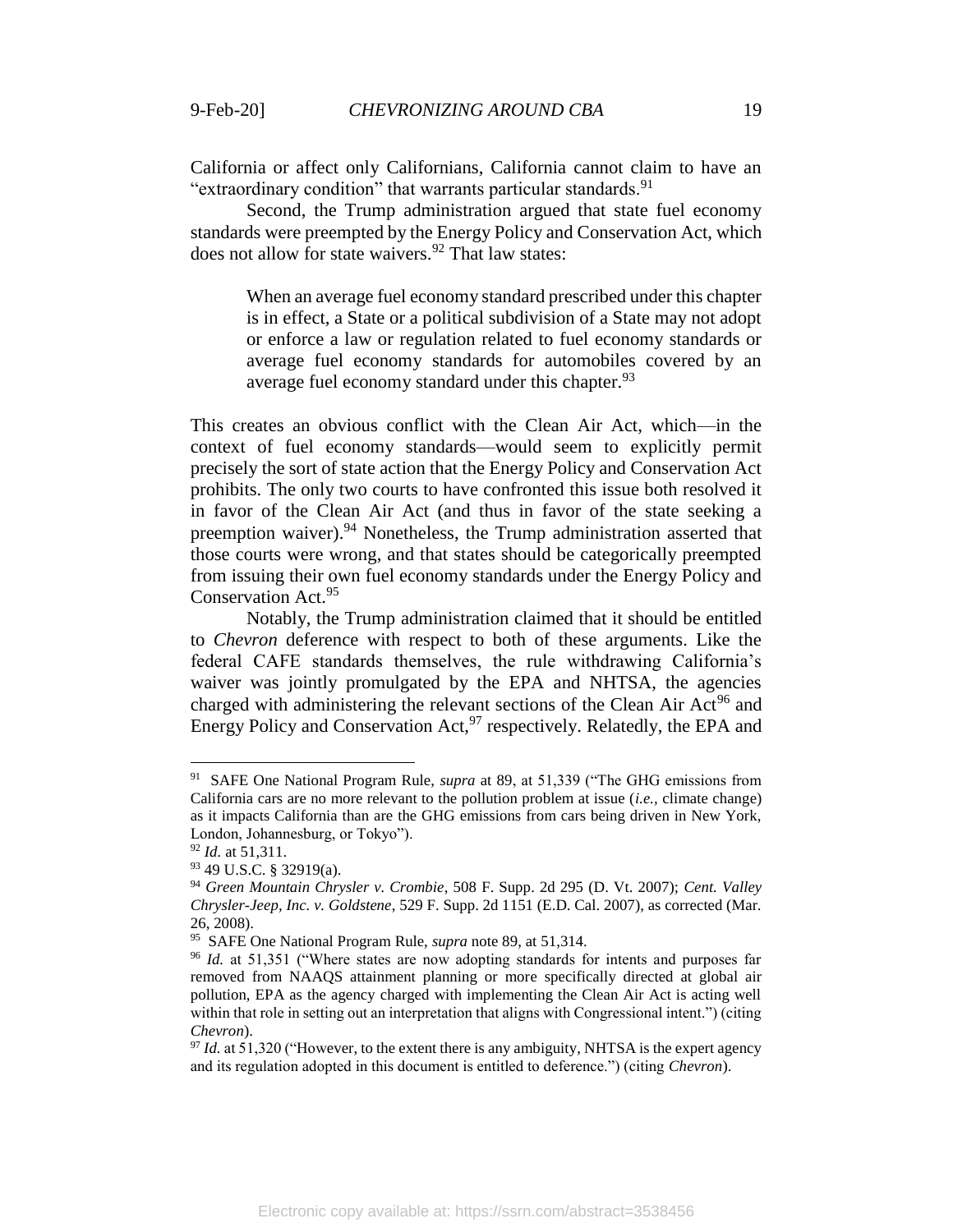California or affect only Californians, California cannot claim to have an "extraordinary condition" that warrants particular standards.<sup>91</sup>

Second, the Trump administration argued that state fuel economy standards were preempted by the Energy Policy and Conservation Act, which does not allow for state waivers. $92$  That law states:

When an average fuel economy standard prescribed under this chapter is in effect, a State or a political subdivision of a State may not adopt or enforce a law or regulation related to fuel economy standards or average fuel economy standards for automobiles covered by an average fuel economy standard under this chapter.<sup>93</sup>

This creates an obvious conflict with the Clean Air Act, which—in the context of fuel economy standards—would seem to explicitly permit precisely the sort of state action that the Energy Policy and Conservation Act prohibits. The only two courts to have confronted this issue both resolved it in favor of the Clean Air Act (and thus in favor of the state seeking a preemption waiver).<sup>94</sup> Nonetheless, the Trump administration asserted that those courts were wrong, and that states should be categorically preempted from issuing their own fuel economy standards under the Energy Policy and Conservation Act.<sup>95</sup>

Notably, the Trump administration claimed that it should be entitled to *Chevron* deference with respect to both of these arguments. Like the federal CAFE standards themselves, the rule withdrawing California's waiver was jointly promulgated by the EPA and NHTSA, the agencies charged with administering the relevant sections of the Clean Air Act<sup>96</sup> and Energy Policy and Conservation Act,  $97$  respectively. Relatedly, the EPA and

<sup>91</sup> SAFE One National Program Rule, *supra* at [89,](#page-18-0) at 51,339 ("The GHG emissions from California cars are no more relevant to the pollution problem at issue (*i.e.,* climate change) as it impacts California than are the GHG emissions from cars being driven in New York, London, Johannesburg, or Tokyo").

<sup>92</sup> *Id.* at 51,311.

<sup>93</sup> 49 U.S.C. § 32919(a).

<sup>94</sup> *Green Mountain Chrysler v. Crombie*, 508 F. Supp. 2d 295 (D. Vt. 2007); *Cent. Valley Chrysler-Jeep, Inc. v. Goldstene*, 529 F. Supp. 2d 1151 (E.D. Cal. 2007), as corrected (Mar. 26, 2008).

<sup>95</sup> SAFE One National Program Rule, *supra* note [89,](#page-18-0) at 51,314.

<sup>&</sup>lt;sup>96</sup> *Id.* at 51,351 ("Where states are now adopting standards for intents and purposes far removed from NAAQS attainment planning or more specifically directed at global air pollution, EPA as the agency charged with implementing the Clean Air Act is acting well within that role in setting out an interpretation that aligns with Congressional intent.") (citing *Chevron*).

<sup>&</sup>lt;sup>97</sup> *Id.* at 51,320 ("However, to the extent there is any ambiguity, NHTSA is the expert agency and its regulation adopted in this document is entitled to deference.") (citing *Chevron*).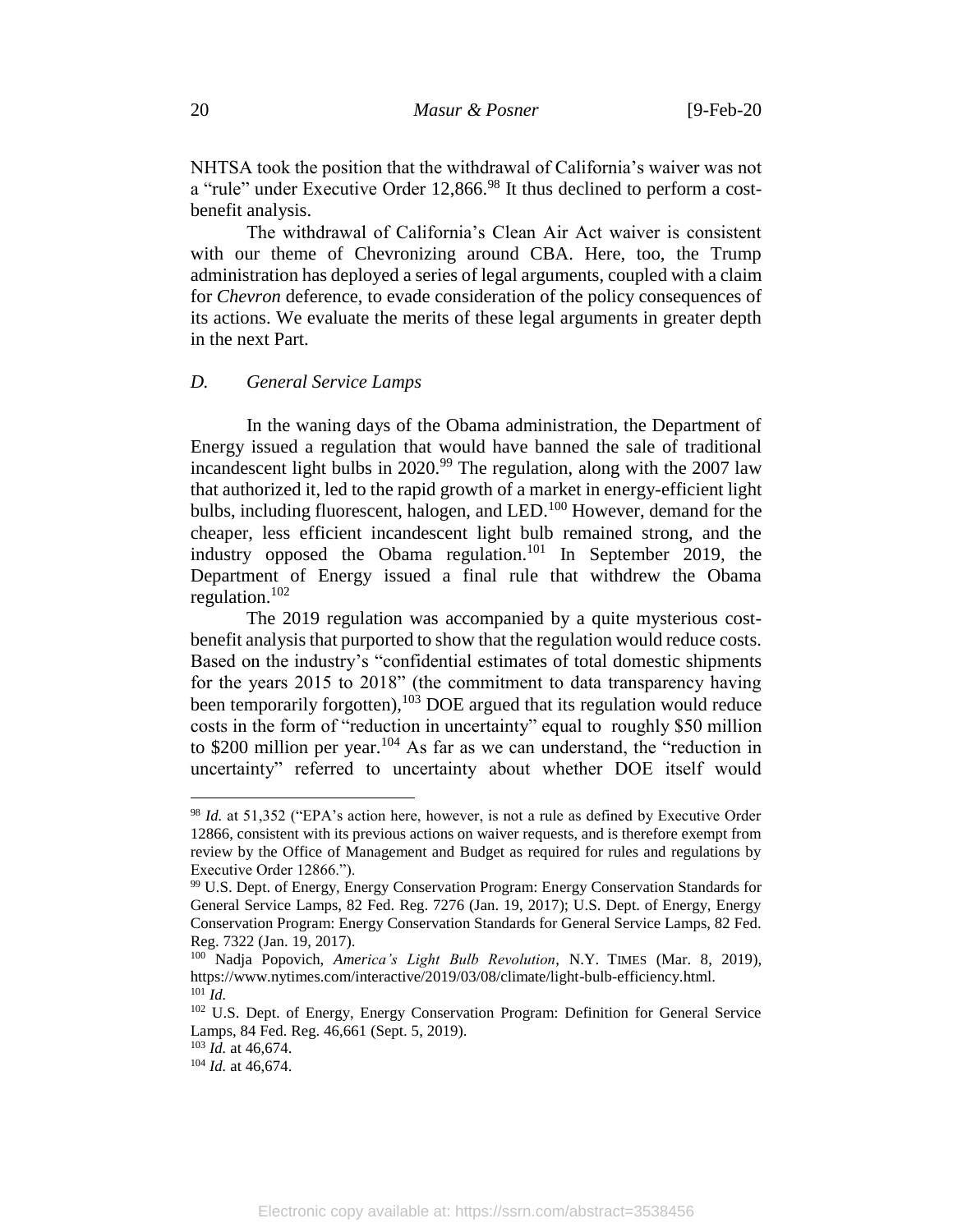NHTSA took the position that the withdrawal of California's waiver was not a "rule" under Executive Order 12,866.<sup>98</sup> It thus declined to perform a costbenefit analysis.

The withdrawal of California's Clean Air Act waiver is consistent with our theme of Chevronizing around CBA. Here, too, the Trump administration has deployed a series of legal arguments, coupled with a claim for *Chevron* deference, to evade consideration of the policy consequences of its actions. We evaluate the merits of these legal arguments in greater depth in the next Part.

#### *D. General Service Lamps*

In the waning days of the Obama administration, the Department of Energy issued a regulation that would have banned the sale of traditional incandescent light bulbs in  $2020.^{99}$  The regulation, along with the  $2007$  law that authorized it, led to the rapid growth of a market in energy-efficient light bulbs, including fluorescent, halogen, and LED.<sup>100</sup> However, demand for the cheaper, less efficient incandescent light bulb remained strong, and the industry opposed the Obama regulation.<sup>101</sup> In September 2019, the Department of Energy issued a final rule that withdrew the Obama regulation. $102$ 

The 2019 regulation was accompanied by a quite mysterious costbenefit analysis that purported to show that the regulation would reduce costs. Based on the industry's "confidential estimates of total domestic shipments for the years 2015 to 2018" (the commitment to data transparency having been temporarily forgotten), $10\overline{3}$  DOE argued that its regulation would reduce costs in the form of "reduction in uncertainty" equal to roughly \$50 million to \$200 million per year.<sup>104</sup> As far as we can understand, the "reduction in uncertainty" referred to uncertainty about whether DOE itself would

<sup>98</sup> *Id.* at 51,352 ("EPA's action here, however, is not a rule as defined by Executive Order 12866, consistent with its previous actions on waiver requests, and is therefore exempt from review by the Office of Management and Budget as required for rules and regulations by Executive Order 12866.").

<sup>99</sup> U.S. Dept. of Energy, Energy Conservation Program: Energy Conservation Standards for General Service Lamps, 82 Fed. Reg. 7276 (Jan. 19, 2017); U.S. Dept. of Energy, Energy Conservation Program: Energy Conservation Standards for General Service Lamps, 82 Fed. Reg. 7322 (Jan. 19, 2017).

<sup>100</sup> Nadja Popovich, *America's Light Bulb Revolution*, N.Y. TIMES (Mar. 8, 2019), https://www.nytimes.com/interactive/2019/03/08/climate/light-bulb-efficiency.html. <sup>101</sup> *Id.*

<sup>102</sup> U.S. Dept. of Energy, Energy Conservation Program: Definition for General Service Lamps, 84 Fed. Reg. 46,661 (Sept. 5, 2019).

<sup>103</sup> *Id.* at 46,674.

<sup>104</sup> *Id.* at 46,674.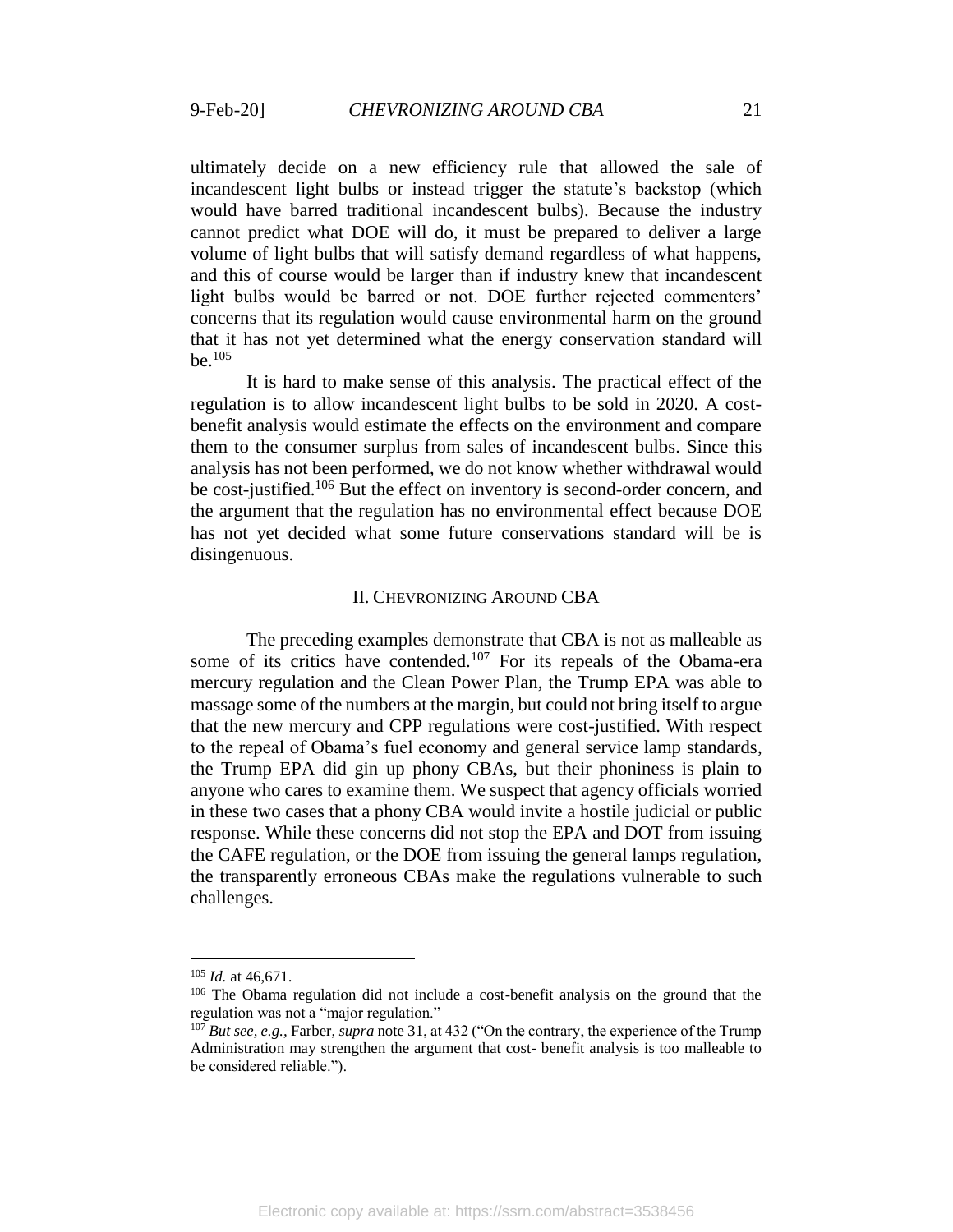ultimately decide on a new efficiency rule that allowed the sale of incandescent light bulbs or instead trigger the statute's backstop (which would have barred traditional incandescent bulbs). Because the industry cannot predict what DOE will do, it must be prepared to deliver a large volume of light bulbs that will satisfy demand regardless of what happens, and this of course would be larger than if industry knew that incandescent light bulbs would be barred or not. DOE further rejected commenters' concerns that its regulation would cause environmental harm on the ground that it has not yet determined what the energy conservation standard will  $be.$ <sup>105</sup>

It is hard to make sense of this analysis. The practical effect of the regulation is to allow incandescent light bulbs to be sold in 2020. A costbenefit analysis would estimate the effects on the environment and compare them to the consumer surplus from sales of incandescent bulbs. Since this analysis has not been performed, we do not know whether withdrawal would be cost-justified.<sup>106</sup> But the effect on inventory is second-order concern, and the argument that the regulation has no environmental effect because DOE has not yet decided what some future conservations standard will be is disingenuous.

## II. CHEVRONIZING AROUND CBA

The preceding examples demonstrate that CBA is not as malleable as some of its critics have contended.<sup>107</sup> For its repeals of the Obama-era mercury regulation and the Clean Power Plan, the Trump EPA was able to massage some of the numbers at the margin, but could not bring itself to argue that the new mercury and CPP regulations were cost-justified. With respect to the repeal of Obama's fuel economy and general service lamp standards, the Trump EPA did gin up phony CBAs, but their phoniness is plain to anyone who cares to examine them. We suspect that agency officials worried in these two cases that a phony CBA would invite a hostile judicial or public response. While these concerns did not stop the EPA and DOT from issuing the CAFE regulation, or the DOE from issuing the general lamps regulation, the transparently erroneous CBAs make the regulations vulnerable to such challenges.

<sup>105</sup> *Id.* at 46,671.

<sup>&</sup>lt;sup>106</sup> The Obama regulation did not include a cost-benefit analysis on the ground that the regulation was not a "major regulation."

<sup>&</sup>lt;sup>107</sup> *But see, e.g., Farber, supra* note [31,](#page-8-1) at 432 ("On the contrary, the experience of the Trump Administration may strengthen the argument that cost- benefit analysis is too malleable to be considered reliable.").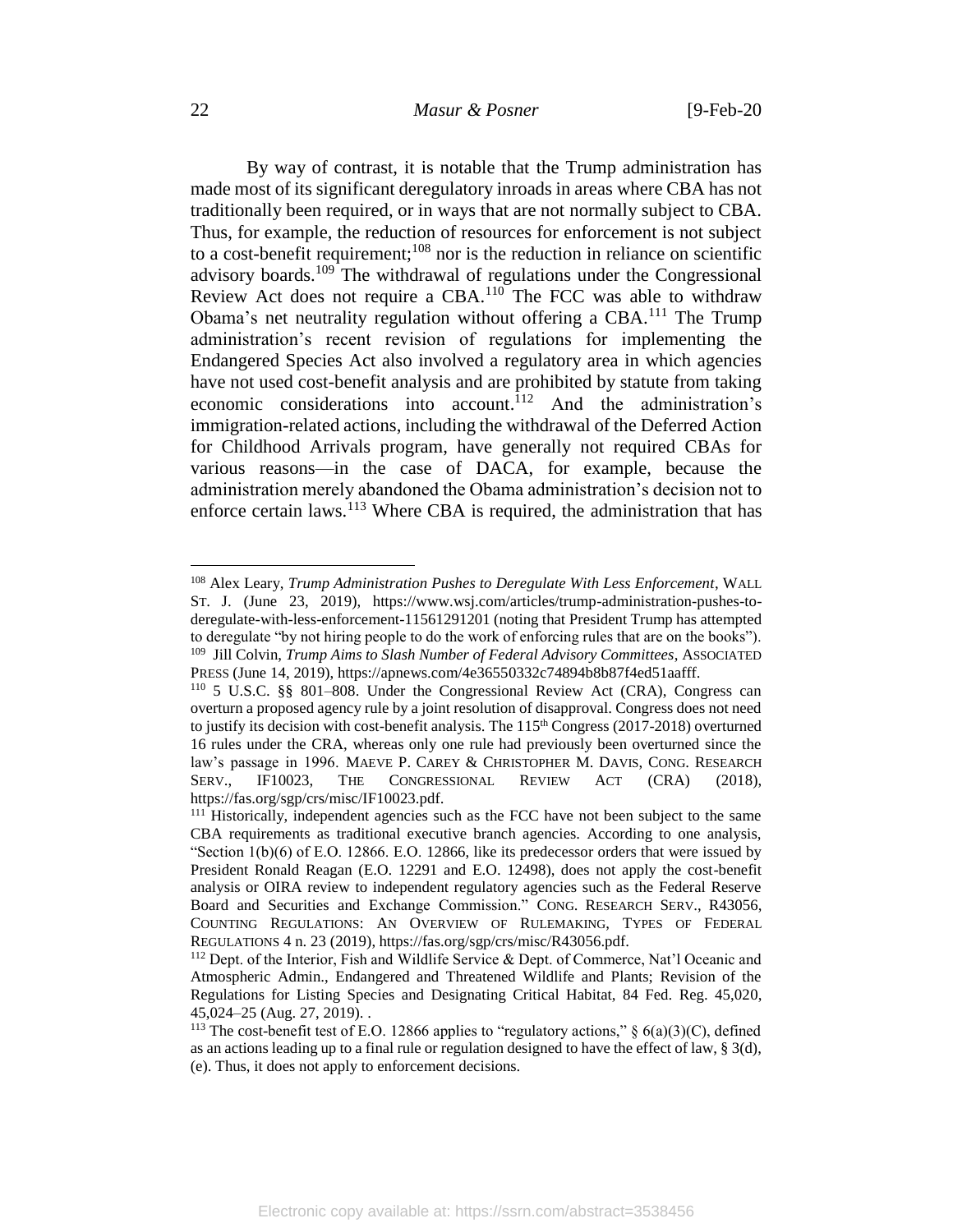## 22 *Masur & Posner* [9-Feb-20

By way of contrast, it is notable that the Trump administration has made most of its significant deregulatory inroads in areas where CBA has not traditionally been required, or in ways that are not normally subject to CBA. Thus, for example, the reduction of resources for enforcement is not subject to a cost-benefit requirement;<sup>108</sup> nor is the reduction in reliance on scientific advisory boards.<sup>109</sup> The withdrawal of regulations under the Congressional Review Act does not require a CBA.<sup>110</sup> The FCC was able to withdraw Obama's net neutrality regulation without offering a  $CBA$ <sup>111</sup>. The Trump administration's recent revision of regulations for implementing the Endangered Species Act also involved a regulatory area in which agencies have not used cost-benefit analysis and are prohibited by statute from taking economic considerations into account.<sup>112</sup> And the administration's immigration-related actions, including the withdrawal of the Deferred Action for Childhood Arrivals program, have generally not required CBAs for various reasons—in the case of DACA, for example, because the administration merely abandoned the Obama administration's decision not to enforce certain laws.<sup>113</sup> Where CBA is required, the administration that has

<sup>108</sup> Alex Leary, *Trump Administration Pushes to Deregulate With Less Enforcement*, WALL ST. J. (June 23, 2019), https://www.wsj.com/articles/trump-administration-pushes-toderegulate-with-less-enforcement-11561291201 (noting that President Trump has attempted to deregulate "by not hiring people to do the work of enforcing rules that are on the books"). 109 Jill Colvin, *Trump Aims to Slash Number of Federal Advisory Committees*, ASSOCIATED PRESS (June 14, 2019), https://apnews.com/4e36550332c74894b8b87f4ed51aafff.

<sup>110</sup> 5 U.S.C. §§ 801–808. Under the Congressional Review Act (CRA), Congress can overturn a proposed agency rule by a joint resolution of disapproval. Congress does not need to justify its decision with cost-benefit analysis. The  $115<sup>th</sup>$  Congress (2017-2018) overturned 16 rules under the CRA, whereas only one rule had previously been overturned since the law's passage in 1996. MAEVE P. CAREY & CHRISTOPHER M. DAVIS, CONG. RESEARCH SERV., IF10023, THE CONGRESSIONAL REVIEW ACT (CRA) (2018), https://fas.org/sgp/crs/misc/IF10023.pdf.

<sup>&</sup>lt;sup>111</sup> Historically, independent agencies such as the FCC have not been subject to the same CBA requirements as traditional executive branch agencies. According to one analysis, "Section  $1(b)(6)$  of E.O. 12866. E.O. 12866, like its predecessor orders that were issued by President Ronald Reagan (E.O. 12291 and E.O. 12498), does not apply the cost-benefit analysis or OIRA review to independent regulatory agencies such as the Federal Reserve Board and Securities and Exchange Commission." CONG. RESEARCH SERV., R43056, COUNTING REGULATIONS: AN OVERVIEW OF RULEMAKING, TYPES OF FEDERAL REGULATIONS 4 n. 23 (2019), https://fas.org/sgp/crs/misc/R43056.pdf.

<sup>112</sup> Dept. of the Interior, Fish and Wildlife Service & Dept. of Commerce, Nat'l Oceanic and Atmospheric Admin., Endangered and Threatened Wildlife and Plants; Revision of the Regulations for Listing Species and Designating Critical Habitat, 84 Fed. Reg. 45,020, 45,024–25 (Aug. 27, 2019). .

<sup>&</sup>lt;sup>113</sup> The cost-benefit test of E.O. 12866 applies to "regulatory actions,"  $\S$  6(a)(3)(C), defined as an actions leading up to a final rule or regulation designed to have the effect of law, § 3(d), (e). Thus, it does not apply to enforcement decisions.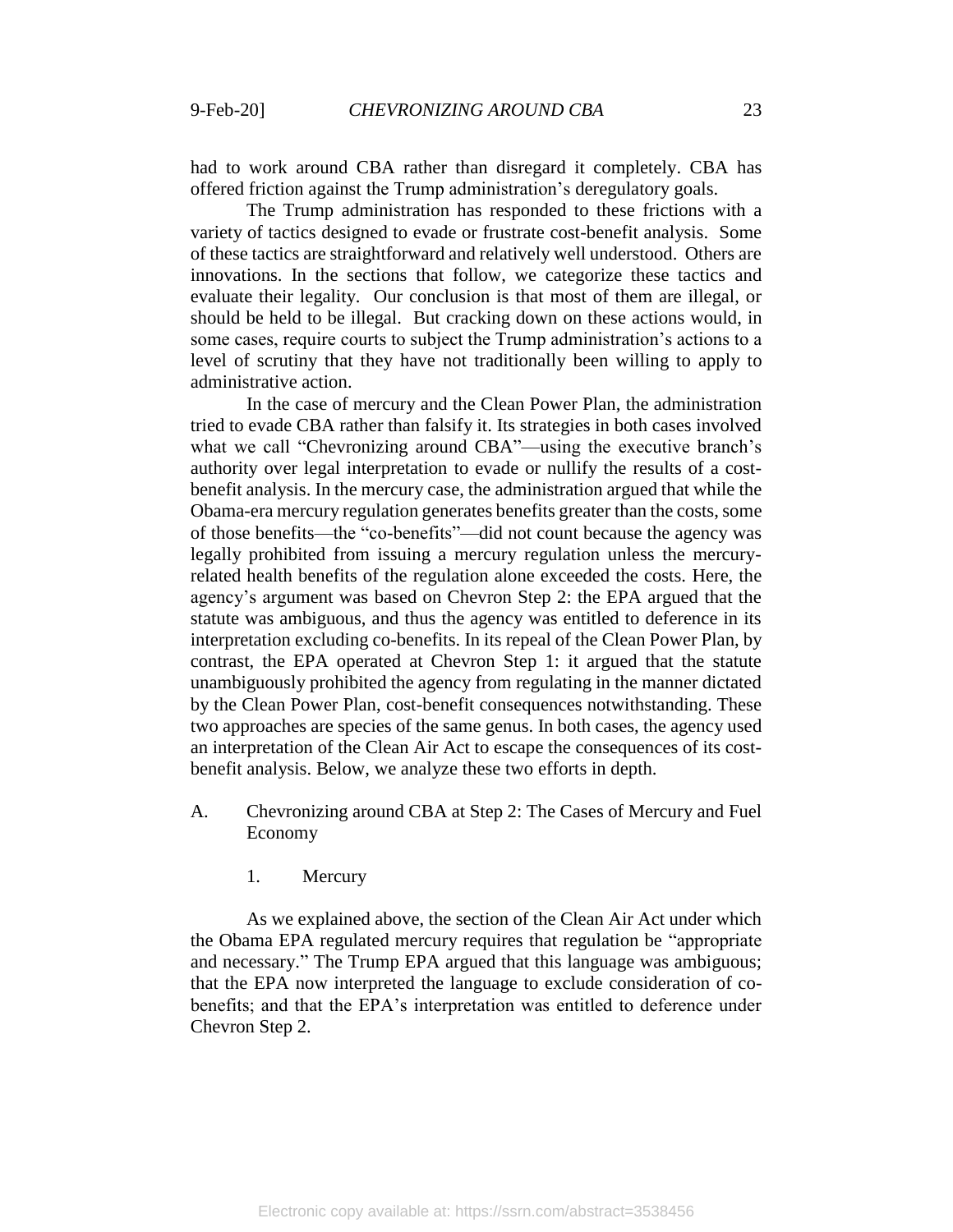had to work around CBA rather than disregard it completely. CBA has offered friction against the Trump administration's deregulatory goals.

The Trump administration has responded to these frictions with a variety of tactics designed to evade or frustrate cost-benefit analysis. Some of these tactics are straightforward and relatively well understood. Others are innovations. In the sections that follow, we categorize these tactics and evaluate their legality. Our conclusion is that most of them are illegal, or should be held to be illegal. But cracking down on these actions would, in some cases, require courts to subject the Trump administration's actions to a level of scrutiny that they have not traditionally been willing to apply to administrative action.

In the case of mercury and the Clean Power Plan, the administration tried to evade CBA rather than falsify it. Its strategies in both cases involved what we call "Chevronizing around CBA"—using the executive branch's authority over legal interpretation to evade or nullify the results of a costbenefit analysis. In the mercury case, the administration argued that while the Obama-era mercury regulation generates benefits greater than the costs, some of those benefits—the "co-benefits"—did not count because the agency was legally prohibited from issuing a mercury regulation unless the mercuryrelated health benefits of the regulation alone exceeded the costs. Here, the agency's argument was based on Chevron Step 2: the EPA argued that the statute was ambiguous, and thus the agency was entitled to deference in its interpretation excluding co-benefits. In its repeal of the Clean Power Plan, by contrast, the EPA operated at Chevron Step 1: it argued that the statute unambiguously prohibited the agency from regulating in the manner dictated by the Clean Power Plan, cost-benefit consequences notwithstanding. These two approaches are species of the same genus. In both cases, the agency used an interpretation of the Clean Air Act to escape the consequences of its costbenefit analysis. Below, we analyze these two efforts in depth.

- A. Chevronizing around CBA at Step 2: The Cases of Mercury and Fuel Economy
	- 1. Mercury

As we explained above, the section of the Clean Air Act under which the Obama EPA regulated mercury requires that regulation be "appropriate and necessary." The Trump EPA argued that this language was ambiguous; that the EPA now interpreted the language to exclude consideration of cobenefits; and that the EPA's interpretation was entitled to deference under Chevron Step 2.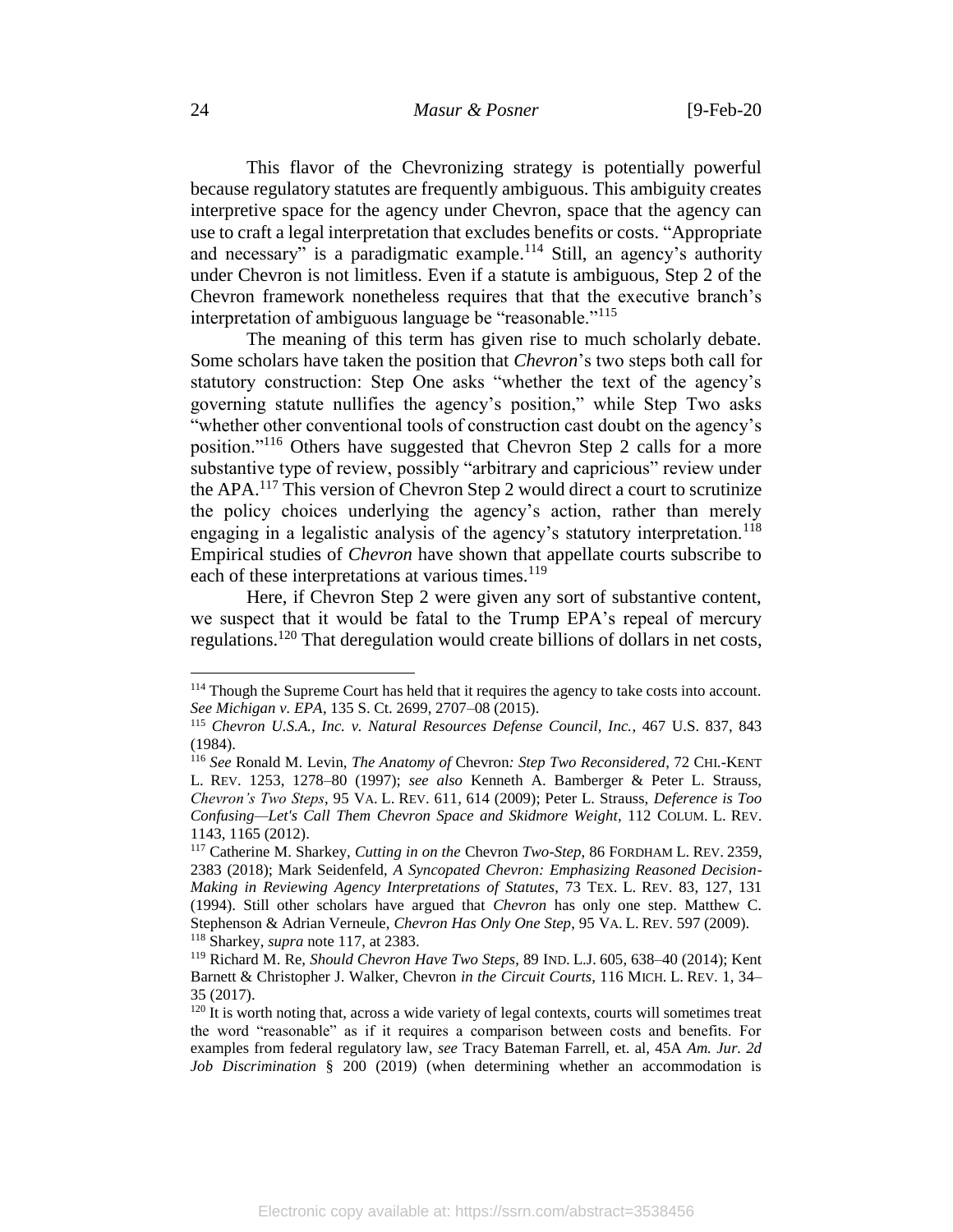This flavor of the Chevronizing strategy is potentially powerful because regulatory statutes are frequently ambiguous. This ambiguity creates interpretive space for the agency under Chevron, space that the agency can use to craft a legal interpretation that excludes benefits or costs. "Appropriate and necessary" is a paradigmatic example.<sup>114</sup> Still, an agency's authority under Chevron is not limitless. Even if a statute is ambiguous, Step 2 of the Chevron framework nonetheless requires that that the executive branch's interpretation of ambiguous language be "reasonable."<sup>115</sup>

The meaning of this term has given rise to much scholarly debate. Some scholars have taken the position that *Chevron*'s two steps both call for statutory construction: Step One asks "whether the text of the agency's governing statute nullifies the agency's position," while Step Two asks "whether other conventional tools of construction cast doubt on the agency's position."<sup>116</sup> Others have suggested that Chevron Step 2 calls for a more substantive type of review, possibly "arbitrary and capricious" review under the APA.<sup>117</sup> This version of Chevron Step 2 would direct a court to scrutinize the policy choices underlying the agency's action, rather than merely engaging in a legalistic analysis of the agency's statutory interpretation.<sup>118</sup> Empirical studies of *Chevron* have shown that appellate courts subscribe to each of these interpretations at various times.<sup>119</sup>

<span id="page-24-0"></span>Here, if Chevron Step 2 were given any sort of substantive content, we suspect that it would be fatal to the Trump EPA's repeal of mercury regulations.<sup>120</sup> That deregulation would create billions of dollars in net costs,

<sup>&</sup>lt;sup>114</sup> Though the Supreme Court has held that it requires the agency to take costs into account. *See Michigan v. EPA*, 135 S. Ct. 2699, 2707–08 (2015).

<sup>115</sup> *Chevron U.S.A., Inc. v. Natural Resources Defense Council, Inc.*, 467 U.S. 837, 843 (1984).

<sup>116</sup> *See* Ronald M. Levin, *The Anatomy of* Chevron*: Step Two Reconsidered*, 72 CHI.-KENT L. REV. 1253, 1278–80 (1997); *see also* Kenneth A. Bamberger & Peter L. Strauss, *Chevron's Two Steps*, 95 VA. L. REV. 611, 614 (2009); Peter L. Strauss, *Deference is Too Confusing—Let's Call Them Chevron Space and Skidmore Weight*, 112 COLUM. L. REV. 1143, 1165 (2012).

<sup>117</sup> Catherine M. Sharkey*, Cutting in on the* Chevron *Two-Step*, 86 FORDHAM L. REV. 2359, 2383 (2018); Mark Seidenfeld, *A Syncopated Chevron: Emphasizing Reasoned Decision-Making in Reviewing Agency Interpretations of Statutes*, 73 TEX. L. REV. 83, 127, 131 (1994). Still other scholars have argued that *Chevron* has only one step. Matthew C. Stephenson & Adrian Verneule, *Chevron Has Only One Step*, 95 VA. L. REV. 597 (2009). <sup>118</sup> Sharkey, *supra* note [117,](#page-24-0) at 2383.

<sup>119</sup> Richard M. Re, *Should Chevron Have Two Steps*, 89 IND. L.J. 605, 638–40 (2014); Kent Barnett & Christopher J. Walker, Chevron *in the Circuit Courts*, 116 MICH. L. REV. 1, 34– 35 (2017).

<sup>&</sup>lt;sup>120</sup> It is worth noting that, across a wide variety of legal contexts, courts will sometimes treat the word "reasonable" as if it requires a comparison between costs and benefits. For examples from federal regulatory law, *see* Tracy Bateman Farrell, et. al, 45A *Am. Jur. 2d Job Discrimination* § 200 (2019) (when determining whether an accommodation is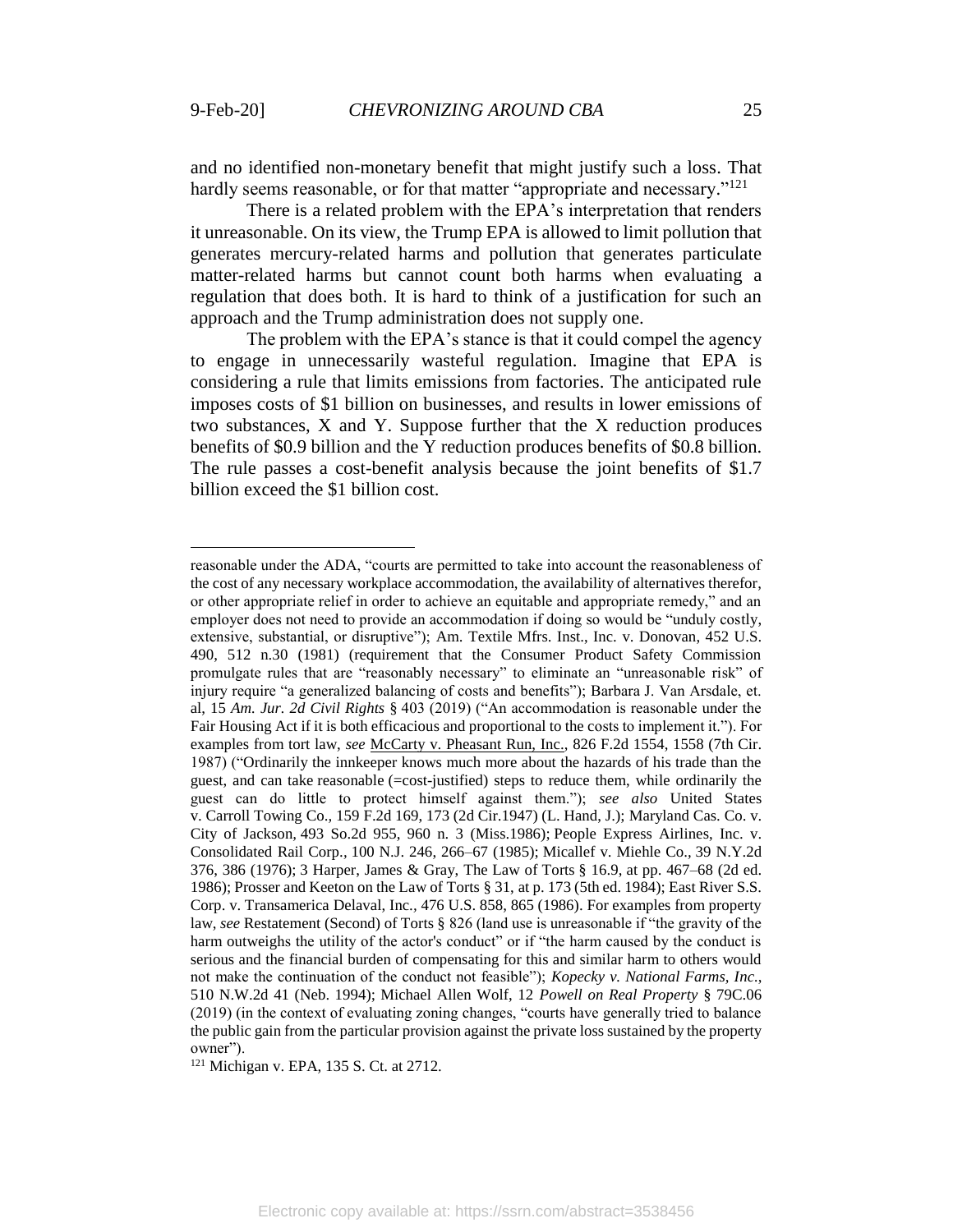$\overline{a}$ 

and no identified non-monetary benefit that might justify such a loss. That hardly seems reasonable, or for that matter "appropriate and necessary."<sup>121</sup>

There is a related problem with the EPA's interpretation that renders it unreasonable. On its view, the Trump EPA is allowed to limit pollution that generates mercury-related harms and pollution that generates particulate matter-related harms but cannot count both harms when evaluating a regulation that does both. It is hard to think of a justification for such an approach and the Trump administration does not supply one.

The problem with the EPA's stance is that it could compel the agency to engage in unnecessarily wasteful regulation. Imagine that EPA is considering a rule that limits emissions from factories. The anticipated rule imposes costs of \$1 billion on businesses, and results in lower emissions of two substances, X and Y. Suppose further that the X reduction produces benefits of \$0.9 billion and the Y reduction produces benefits of \$0.8 billion. The rule passes a cost-benefit analysis because the joint benefits of \$1.7 billion exceed the \$1 billion cost.

reasonable under the ADA, "courts are permitted to take into account the reasonableness of the cost of any necessary workplace accommodation, the availability of alternatives therefor, or other appropriate relief in order to achieve an equitable and appropriate remedy," and an employer does not need to provide an accommodation if doing so would be "unduly costly, extensive, substantial, or disruptive"); Am. Textile Mfrs. Inst., Inc. v. Donovan, 452 U.S. 490, 512 n.30 (1981) (requirement that the Consumer Product Safety Commission promulgate rules that are "reasonably necessary" to eliminate an "unreasonable risk" of injury require "a generalized balancing of costs and benefits"); Barbara J. Van Arsdale, et. al, 15 *Am. Jur. 2d Civil Rights* § 403 (2019) ("An accommodation is reasonable under the Fair Housing Act if it is both efficacious and proportional to the costs to implement it."). For examples from tort law, *see* McCarty v. Pheasant Run, Inc., 826 F.2d 1554, 1558 (7th Cir. 1987) ("Ordinarily the innkeeper knows much more about the hazards of his trade than the guest, and can take reasonable (=cost-justified) steps to reduce them, while ordinarily the guest can do little to protect himself against them."); *see also* United States v. Carroll Towing Co.*,* 159 F.2d 169, 173 (2d Cir.1947) (L. Hand, J.); Maryland Cas. Co. v. City of Jackson*,* 493 So.2d 955, 960 n. 3 (Miss.1986); People Express Airlines, Inc. v. Consolidated Rail Corp.*,* 100 N.J. 246, 266–67 (1985); Micallef v. Miehle Co.*,* 39 N.Y.2d 376, 386 (1976); 3 Harper, James & Gray, The Law of Torts § 16.9, at pp. 467–68 (2d ed. 1986); Prosser and Keeton on the Law of Torts § 31, at p. 173 (5th ed. 1984); East River S.S. Corp. v. Transamerica Delaval, Inc.*,* 476 U.S. 858, 865 (1986). For examples from property law, *see* Restatement (Second) of Torts § 826 (land use is unreasonable if "the gravity of the harm outweighs the utility of the actor's conduct" or if "the harm caused by the conduct is serious and the financial burden of compensating for this and similar harm to others would not make the continuation of the conduct not feasible"); *Kopecky v. National Farms, Inc.*, 510 N.W.2d 41 (Neb. 1994); Michael Allen Wolf, 12 *Powell on Real Property* § 79C.06 (2019) (in the context of evaluating zoning changes, "courts have generally tried to balance the public gain from the particular provision against the private loss sustained by the property owner").

<sup>121</sup> Michigan v. EPA, 135 S. Ct. at 2712.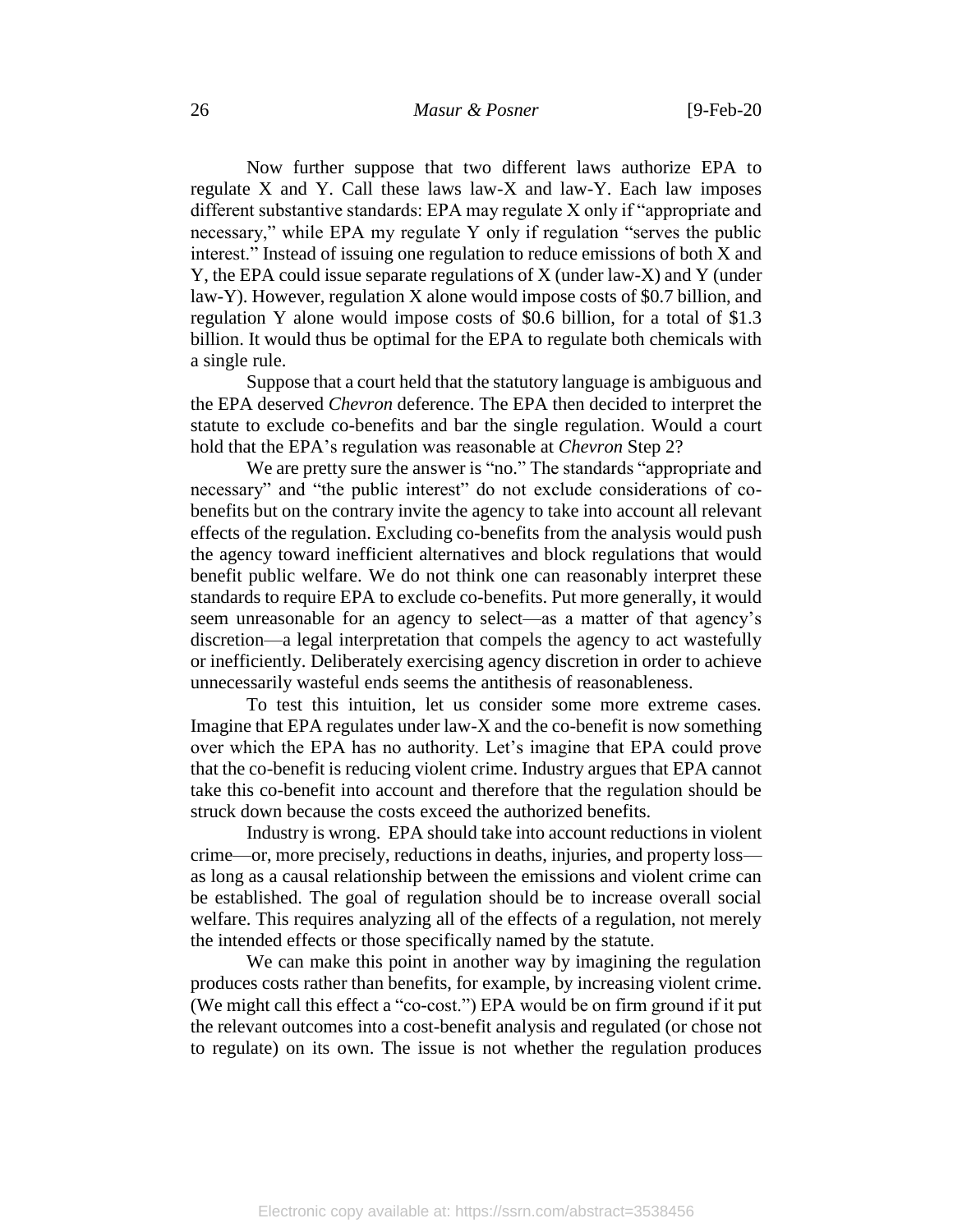Now further suppose that two different laws authorize EPA to regulate X and Y. Call these laws law-X and law-Y. Each law imposes different substantive standards: EPA may regulate X only if "appropriate and necessary," while EPA my regulate Y only if regulation "serves the public interest." Instead of issuing one regulation to reduce emissions of both X and Y, the EPA could issue separate regulations of X (under law-X) and Y (under law-Y). However, regulation X alone would impose costs of \$0.7 billion, and regulation Y alone would impose costs of \$0.6 billion, for a total of \$1.3 billion. It would thus be optimal for the EPA to regulate both chemicals with a single rule.

Suppose that a court held that the statutory language is ambiguous and the EPA deserved *Chevron* deference. The EPA then decided to interpret the statute to exclude co-benefits and bar the single regulation. Would a court hold that the EPA's regulation was reasonable at *Chevron* Step 2?

We are pretty sure the answer is "no." The standards "appropriate and necessary" and "the public interest" do not exclude considerations of cobenefits but on the contrary invite the agency to take into account all relevant effects of the regulation. Excluding co-benefits from the analysis would push the agency toward inefficient alternatives and block regulations that would benefit public welfare. We do not think one can reasonably interpret these standards to require EPA to exclude co-benefits. Put more generally, it would seem unreasonable for an agency to select—as a matter of that agency's discretion—a legal interpretation that compels the agency to act wastefully or inefficiently. Deliberately exercising agency discretion in order to achieve unnecessarily wasteful ends seems the antithesis of reasonableness.

To test this intuition, let us consider some more extreme cases. Imagine that EPA regulates under law-X and the co-benefit is now something over which the EPA has no authority. Let's imagine that EPA could prove that the co-benefit is reducing violent crime. Industry argues that EPA cannot take this co-benefit into account and therefore that the regulation should be struck down because the costs exceed the authorized benefits.

Industry is wrong. EPA should take into account reductions in violent crime—or, more precisely, reductions in deaths, injuries, and property loss as long as a causal relationship between the emissions and violent crime can be established. The goal of regulation should be to increase overall social welfare. This requires analyzing all of the effects of a regulation, not merely the intended effects or those specifically named by the statute.

We can make this point in another way by imagining the regulation produces costs rather than benefits, for example, by increasing violent crime. (We might call this effect a "co-cost.") EPA would be on firm ground if it put the relevant outcomes into a cost-benefit analysis and regulated (or chose not to regulate) on its own. The issue is not whether the regulation produces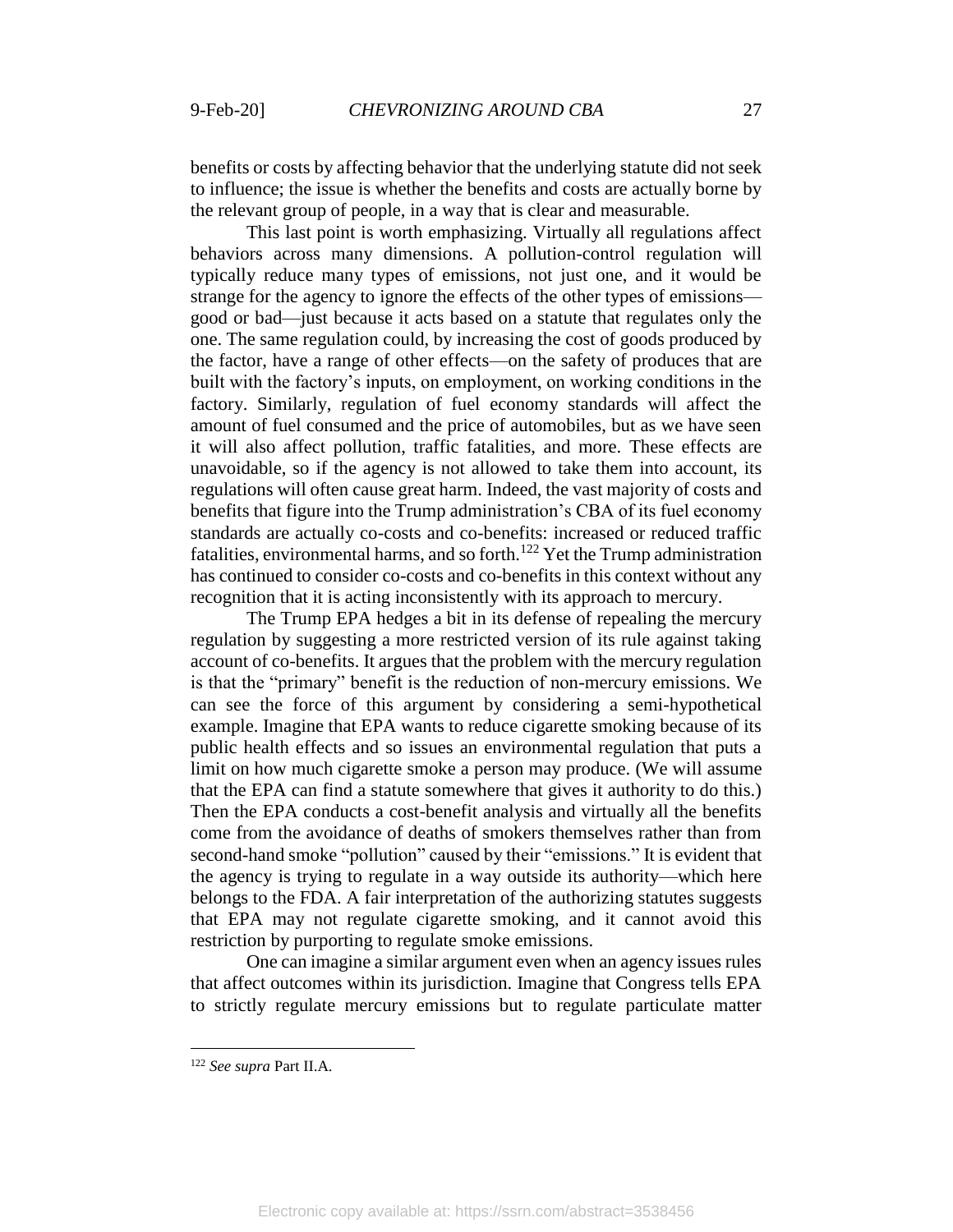benefits or costs by affecting behavior that the underlying statute did not seek to influence; the issue is whether the benefits and costs are actually borne by the relevant group of people, in a way that is clear and measurable.

This last point is worth emphasizing. Virtually all regulations affect behaviors across many dimensions. A pollution-control regulation will typically reduce many types of emissions, not just one, and it would be strange for the agency to ignore the effects of the other types of emissions good or bad—just because it acts based on a statute that regulates only the one. The same regulation could, by increasing the cost of goods produced by the factor, have a range of other effects—on the safety of produces that are built with the factory's inputs, on employment, on working conditions in the factory. Similarly, regulation of fuel economy standards will affect the amount of fuel consumed and the price of automobiles, but as we have seen it will also affect pollution, traffic fatalities, and more. These effects are unavoidable, so if the agency is not allowed to take them into account, its regulations will often cause great harm. Indeed, the vast majority of costs and benefits that figure into the Trump administration's CBA of its fuel economy standards are actually co-costs and co-benefits: increased or reduced traffic fatalities, environmental harms, and so forth.<sup>122</sup> Yet the Trump administration has continued to consider co-costs and co-benefits in this context without any recognition that it is acting inconsistently with its approach to mercury.

The Trump EPA hedges a bit in its defense of repealing the mercury regulation by suggesting a more restricted version of its rule against taking account of co-benefits. It argues that the problem with the mercury regulation is that the "primary" benefit is the reduction of non-mercury emissions. We can see the force of this argument by considering a semi-hypothetical example. Imagine that EPA wants to reduce cigarette smoking because of its public health effects and so issues an environmental regulation that puts a limit on how much cigarette smoke a person may produce. (We will assume that the EPA can find a statute somewhere that gives it authority to do this.) Then the EPA conducts a cost-benefit analysis and virtually all the benefits come from the avoidance of deaths of smokers themselves rather than from second-hand smoke "pollution" caused by their "emissions." It is evident that the agency is trying to regulate in a way outside its authority—which here belongs to the FDA. A fair interpretation of the authorizing statutes suggests that EPA may not regulate cigarette smoking, and it cannot avoid this restriction by purporting to regulate smoke emissions.

One can imagine a similar argument even when an agency issues rules that affect outcomes within its jurisdiction. Imagine that Congress tells EPA to strictly regulate mercury emissions but to regulate particulate matter

<sup>122</sup> *See supra* Part II.A.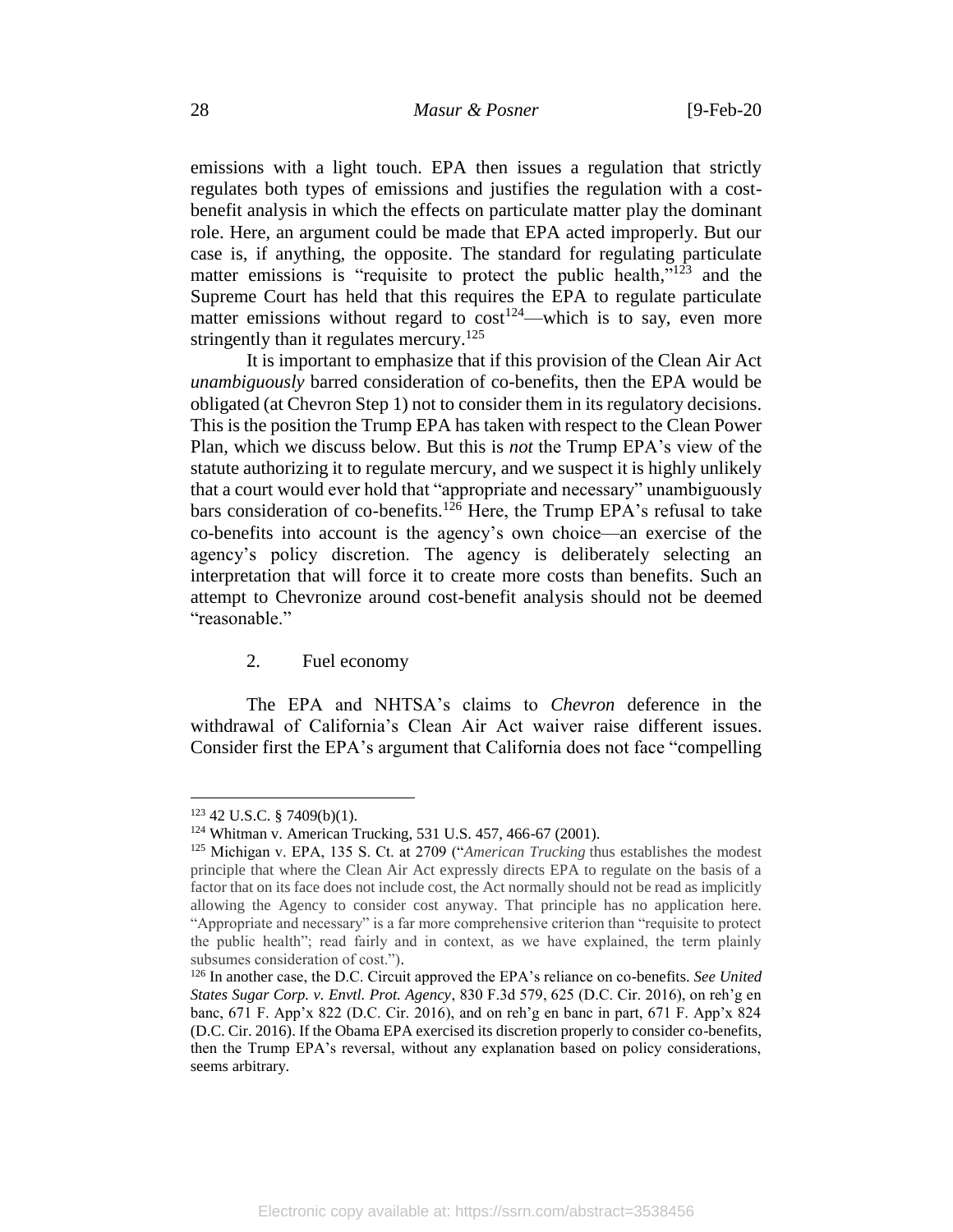emissions with a light touch. EPA then issues a regulation that strictly regulates both types of emissions and justifies the regulation with a costbenefit analysis in which the effects on particulate matter play the dominant role. Here, an argument could be made that EPA acted improperly. But our case is, if anything, the opposite. The standard for regulating particulate matter emissions is "requisite to protect the public health,"<sup>123</sup> and the Supreme Court has held that this requires the EPA to regulate particulate matter emissions without regard to  $\cos t^{124}$ —which is to say, even more stringently than it regulates mercury.<sup>125</sup>

It is important to emphasize that if this provision of the Clean Air Act *unambiguously* barred consideration of co-benefits, then the EPA would be obligated (at Chevron Step 1) not to consider them in its regulatory decisions. This is the position the Trump EPA has taken with respect to the Clean Power Plan, which we discuss below. But this is *not* the Trump EPA's view of the statute authorizing it to regulate mercury, and we suspect it is highly unlikely that a court would ever hold that "appropriate and necessary" unambiguously bars consideration of co-benefits.<sup>126</sup> Here, the Trump EPA's refusal to take co-benefits into account is the agency's own choice—an exercise of the agency's policy discretion. The agency is deliberately selecting an interpretation that will force it to create more costs than benefits. Such an attempt to Chevronize around cost-benefit analysis should not be deemed "reasonable."

2. Fuel economy

The EPA and NHTSA's claims to *Chevron* deference in the withdrawal of California's Clean Air Act waiver raise different issues. Consider first the EPA's argument that California does not face "compelling

<sup>123</sup> 42 U.S.C. § 7409(b)(1).

<sup>124</sup> Whitman v. American Trucking, 531 U.S. 457, 466-67 (2001).

<sup>125</sup> Michigan v. EPA, 135 S. Ct. at 2709 ("*American Trucking* thus establishes the modest principle that where the Clean Air Act expressly directs EPA to regulate on the basis of a factor that on its face does not include cost, the Act normally should not be read as implicitly allowing the Agency to consider cost anyway. That principle has no application here. "Appropriate and necessary" is a far more comprehensive criterion than "requisite to protect the public health"; read fairly and in context, as we have explained, the term plainly subsumes consideration of cost.").

<sup>126</sup> In another case, the D.C. Circuit approved the EPA's reliance on co-benefits. *See United States Sugar Corp. v. Envtl. Prot. Agency*, 830 F.3d 579, 625 (D.C. Cir. 2016), on reh'g en banc, 671 F. App'x 822 (D.C. Cir. 2016), and on reh'g en banc in part, 671 F. App'x 824 (D.C. Cir. 2016). If the Obama EPA exercised its discretion properly to consider co-benefits, then the Trump EPA's reversal, without any explanation based on policy considerations, seems arbitrary.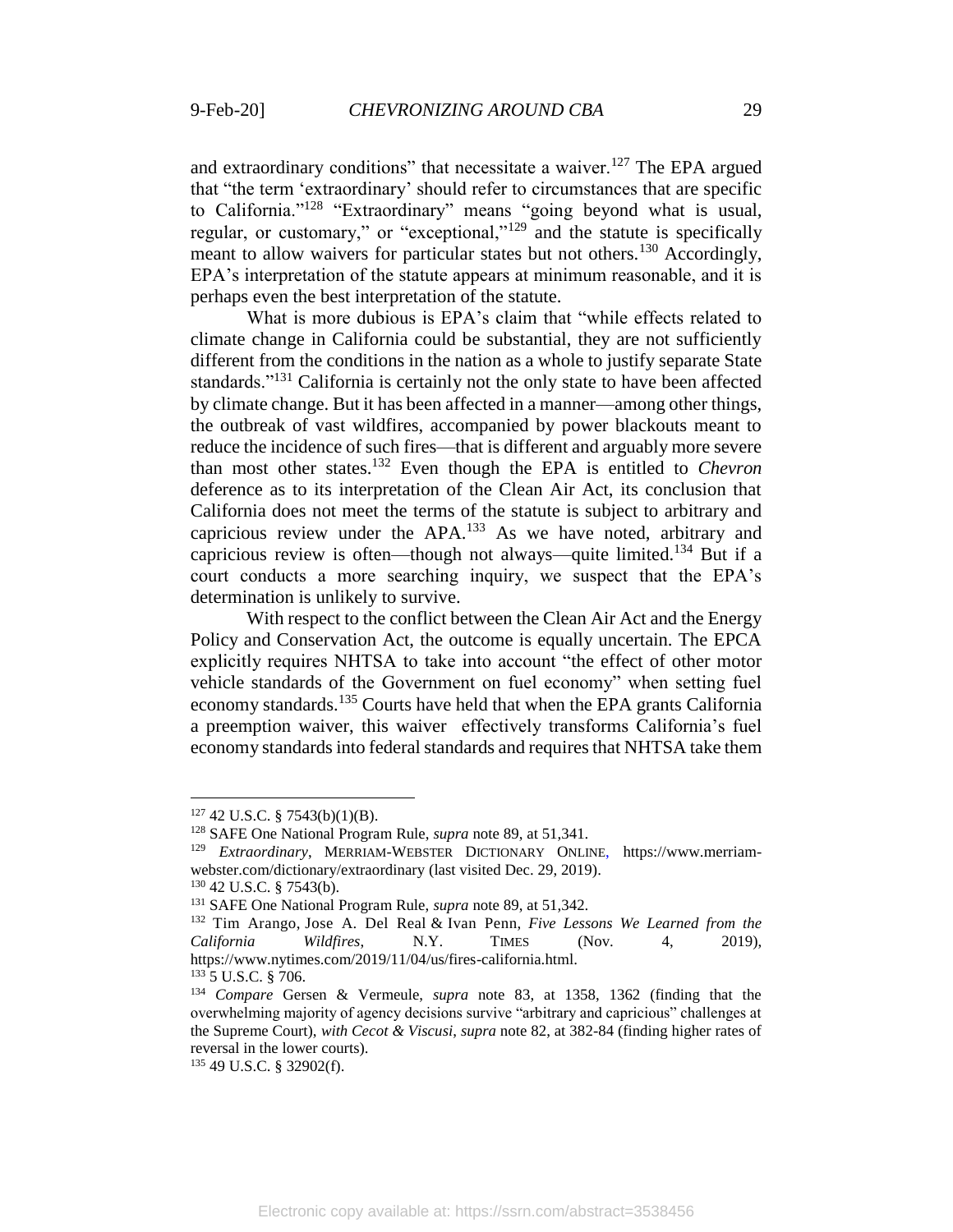and extraordinary conditions" that necessitate a waiver.<sup>127</sup> The EPA argued that "the term 'extraordinary' should refer to circumstances that are specific to California."<sup>128</sup> "Extraordinary" means "going beyond what is usual, regular, or customary," or "exceptional,"<sup>129</sup> and the statute is specifically meant to allow waivers for particular states but not others.<sup>130</sup> Accordingly, EPA's interpretation of the statute appears at minimum reasonable, and it is perhaps even the best interpretation of the statute.

What is more dubious is EPA's claim that "while effects related to climate change in California could be substantial, they are not sufficiently different from the conditions in the nation as a whole to justify separate State standards."<sup>131</sup> California is certainly not the only state to have been affected by climate change. But it has been affected in a manner—among other things, the outbreak of vast wildfires, accompanied by power blackouts meant to reduce the incidence of such fires—that is different and arguably more severe than most other states.<sup>132</sup> Even though the EPA is entitled to *Chevron*  deference as to its interpretation of the Clean Air Act, its conclusion that California does not meet the terms of the statute is subject to arbitrary and capricious review under the APA.<sup>133</sup> As we have noted, arbitrary and capricious review is often—though not always—quite limited.<sup>134</sup> But if a court conducts a more searching inquiry, we suspect that the EPA's determination is unlikely to survive.

With respect to the conflict between the Clean Air Act and the Energy Policy and Conservation Act, the outcome is equally uncertain. The EPCA explicitly requires NHTSA to take into account "the effect of other motor vehicle standards of the Government on fuel economy" when setting fuel economy standards.<sup>135</sup> Courts have held that when the EPA grants California a preemption waiver, this waiver effectively transforms California's fuel economy standards into federal standards and requires that NHTSA take them

 $127$  42 U.S.C. § 7543(b)(1)(B).

<sup>128</sup> SAFE One National Program Rule, *supra* not[e 89,](#page-18-0) at 51,341.

<sup>129</sup> *Extraordinary*, MERRIAM-WEBSTER DICTIONARY ONLINE, https://www.merriamwebster.com/dictionary/extraordinary (last visited Dec. 29, 2019).

 $130$  42 U.S.C. § 7543(b).

<sup>131</sup> SAFE One National Program Rule, *supra* not[e 89,](#page-18-0) at 51,342.

<sup>132</sup> Tim [Arango,](https://www.nytimes.com/by/tim-arango) Jose A. Del [Real](https://www.nytimes.com/by/jose-a-del-real) & Ivan [Penn,](https://www.nytimes.com/by/ivan-penn) *Five Lessons We Learned from the California Wildfires*, N.Y. TIMES (Nov. 4, 2019), https://www.nytimes.com/2019/11/04/us/fires-california.html.

<sup>133</sup> 5 U.S.C. § 706.

<sup>134</sup> *Compare* Gersen & Vermeule, *supra* note [83,](#page-17-1) at 1358, 1362 (finding that the overwhelming majority of agency decisions survive "arbitrary and capricious" challenges at the Supreme Court), *with Cecot & Viscusi*, *supra* note [82,](#page-17-0) at 382-84 (finding higher rates of reversal in the lower courts).

<sup>135</sup> 49 U.S.C. § 32902(f).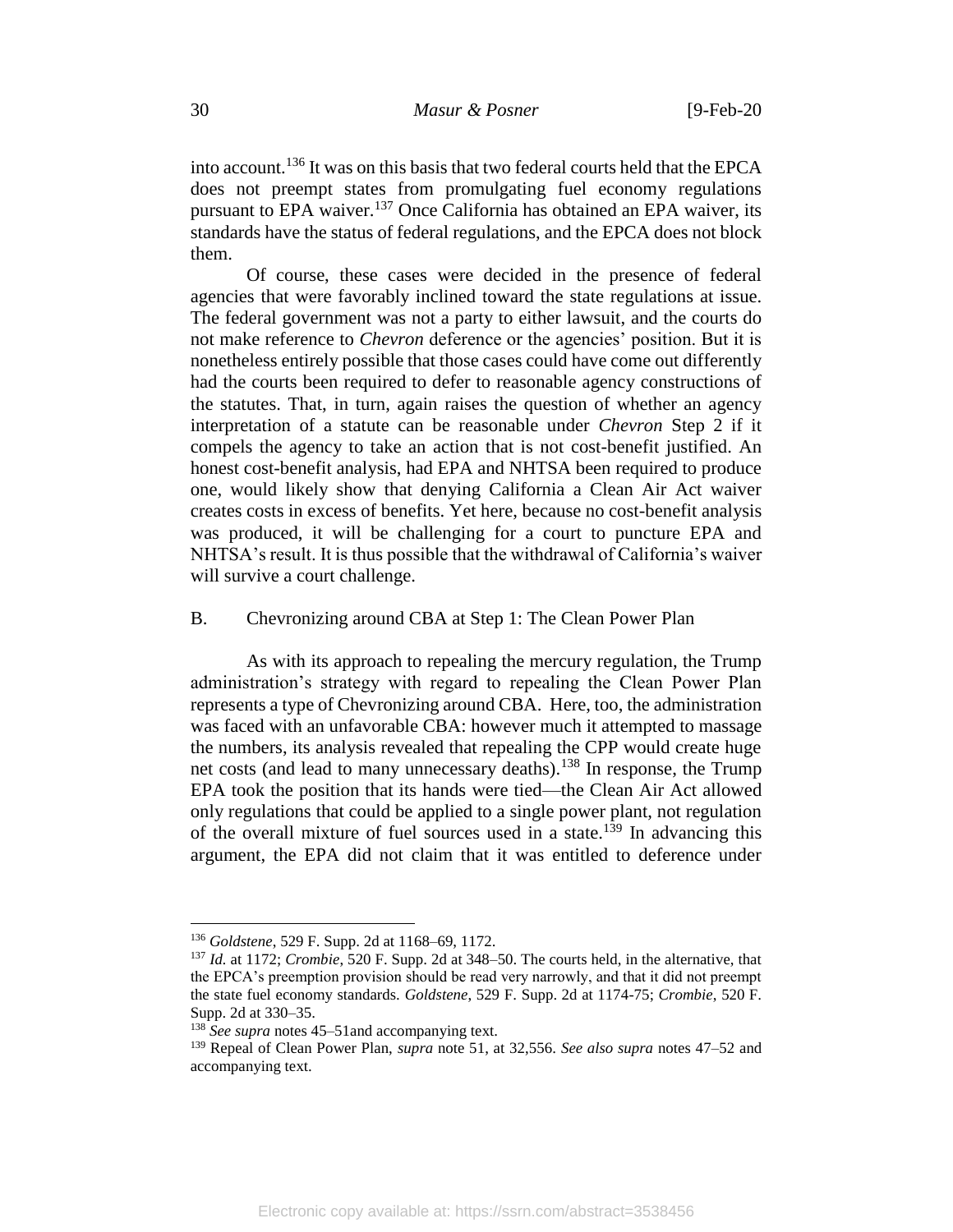into account.<sup>136</sup> It was on this basis that two federal courts held that the EPCA does not preempt states from promulgating fuel economy regulations pursuant to EPA waiver.<sup>137</sup> Once California has obtained an EPA waiver, its standards have the status of federal regulations, and the EPCA does not block them.

Of course, these cases were decided in the presence of federal agencies that were favorably inclined toward the state regulations at issue. The federal government was not a party to either lawsuit, and the courts do not make reference to *Chevron* deference or the agencies' position. But it is nonetheless entirely possible that those cases could have come out differently had the courts been required to defer to reasonable agency constructions of the statutes. That, in turn, again raises the question of whether an agency interpretation of a statute can be reasonable under *Chevron* Step 2 if it compels the agency to take an action that is not cost-benefit justified. An honest cost-benefit analysis, had EPA and NHTSA been required to produce one, would likely show that denying California a Clean Air Act waiver creates costs in excess of benefits. Yet here, because no cost-benefit analysis was produced, it will be challenging for a court to puncture EPA and NHTSA's result. It is thus possible that the withdrawal of California's waiver will survive a court challenge.

## B. Chevronizing around CBA at Step 1: The Clean Power Plan

As with its approach to repealing the mercury regulation, the Trump administration's strategy with regard to repealing the Clean Power Plan represents a type of Chevronizing around CBA. Here, too, the administration was faced with an unfavorable CBA: however much it attempted to massage the numbers, its analysis revealed that repealing the CPP would create huge net costs (and lead to many unnecessary deaths).<sup>138</sup> In response, the Trump EPA took the position that its hands were tied—the Clean Air Act allowed only regulations that could be applied to a single power plant, not regulation of the overall mixture of fuel sources used in a state.<sup>139</sup> In advancing this argument, the EPA did not claim that it was entitled to deference under

<sup>136</sup> *Goldstene*, 529 F. Supp. 2d at 1168–69, 1172.

<sup>137</sup> *Id.* at 1172; *Crombie*, 520 F. Supp. 2d at 348–50. The courts held, in the alternative, that the EPCA's preemption provision should be read very narrowly, and that it did not preempt the state fuel economy standards. *Goldstene*, 529 F. Supp. 2d at 1174-75; *Crombie*, 520 F. Supp. 2d at 330–35.

<sup>&</sup>lt;sup>138</sup> See supra notes [45](#page-10-0)–51 and accompanying text.

<sup>139</sup> Repeal of Clean Power Plan, *supra* note [51,](#page-11-0) at 32,556. *See also supra* notes [47](#page-11-1)[–52](#page-11-2) and accompanying text.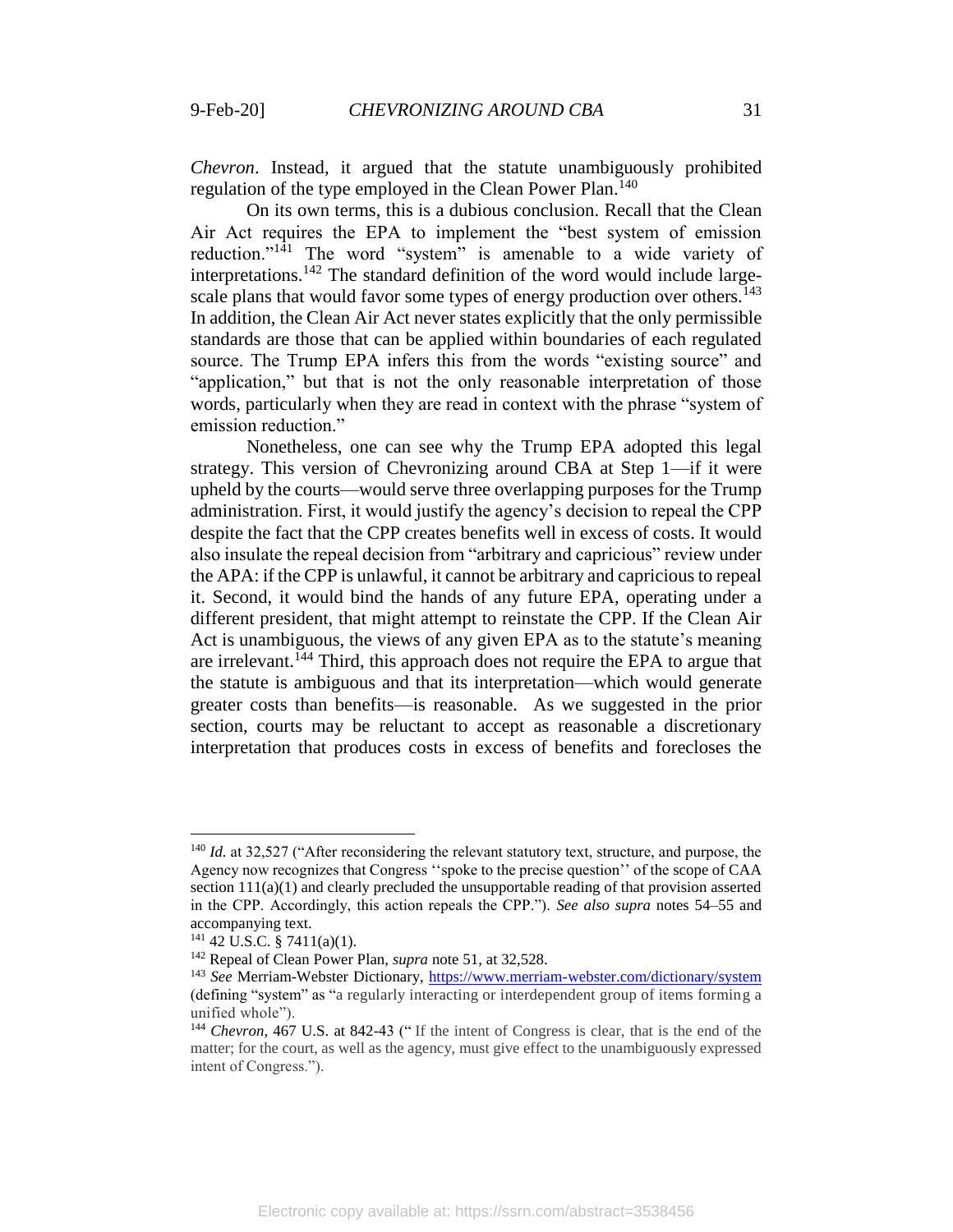*Chevron*. Instead, it argued that the statute unambiguously prohibited regulation of the type employed in the Clean Power Plan.<sup>140</sup>

On its own terms, this is a dubious conclusion. Recall that the Clean Air Act requires the EPA to implement the "best system of emission reduction."<sup>141</sup> The word "system" is amenable to a wide variety of interpretations.<sup>142</sup> The standard definition of the word would include largescale plans that would favor some types of energy production over others.<sup>143</sup> In addition, the Clean Air Act never states explicitly that the only permissible standards are those that can be applied within boundaries of each regulated source. The Trump EPA infers this from the words "existing source" and "application," but that is not the only reasonable interpretation of those words, particularly when they are read in context with the phrase "system of emission reduction."

Nonetheless, one can see why the Trump EPA adopted this legal strategy. This version of Chevronizing around CBA at Step 1—if it were upheld by the courts—would serve three overlapping purposes for the Trump administration. First, it would justify the agency's decision to repeal the CPP despite the fact that the CPP creates benefits well in excess of costs. It would also insulate the repeal decision from "arbitrary and capricious" review under the APA: if the CPP is unlawful, it cannot be arbitrary and capricious to repeal it. Second, it would bind the hands of any future EPA, operating under a different president, that might attempt to reinstate the CPP. If the Clean Air Act is unambiguous, the views of any given EPA as to the statute's meaning are irrelevant.<sup>144</sup> Third, this approach does not require the EPA to argue that the statute is ambiguous and that its interpretation—which would generate greater costs than benefits—is reasonable. As we suggested in the prior section, courts may be reluctant to accept as reasonable a discretionary interpretation that produces costs in excess of benefits and forecloses the

<sup>&</sup>lt;sup>140</sup> *Id.* at 32,527 ("After reconsidering the relevant statutory text, structure, and purpose, the Agency now recognizes that Congress ''spoke to the precise question'' of the scope of CAA section  $111(a)(1)$  and clearly precluded the unsupportable reading of that provision asserted in the CPP. Accordingly, this action repeals the CPP."). *See also supra* notes [54](#page-12-1)[–55](#page-12-2) and accompanying text.

 $141$  42 U.S.C. § 7411(a)(1).

<sup>142</sup> Repeal of Clean Power Plan, *supra* note [51,](#page-11-0) at 32,528.

<sup>143</sup> *See* Merriam-Webster Dictionary,<https://www.merriam-webster.com/dictionary/system> (defining "system" as "a regularly interacting or interdependent group of items forming a unified whole").

<sup>144</sup> *Chevron*, 467 U.S. at 842-43 (" If the intent of Congress is clear, that is the end of the matter; for the court, as well as the agency, must give effect to the unambiguously expressed intent of Congress.").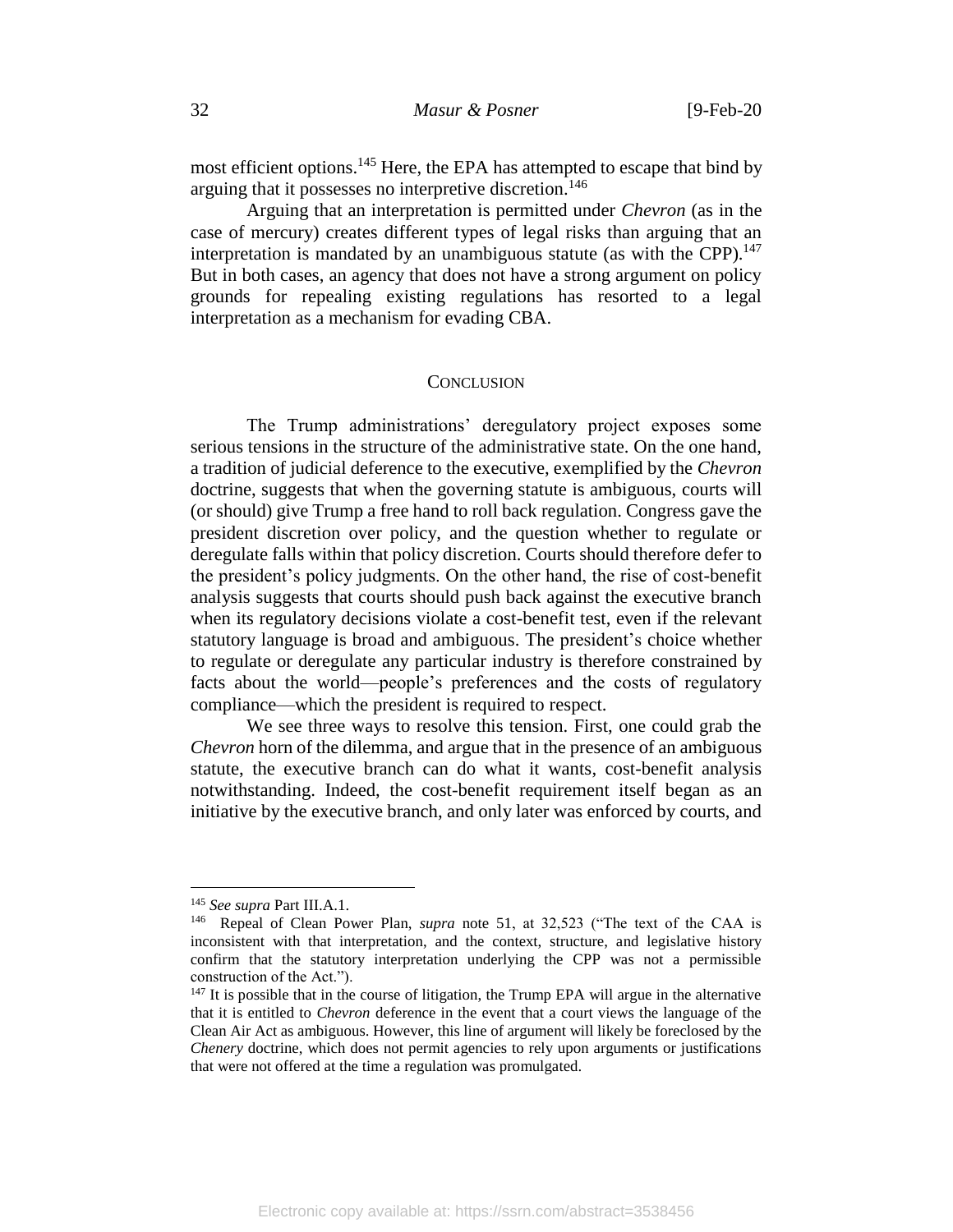most efficient options.<sup>145</sup> Here, the EPA has attempted to escape that bind by arguing that it possesses no interpretive discretion.<sup>146</sup>

Arguing that an interpretation is permitted under *Chevron* (as in the case of mercury) creates different types of legal risks than arguing that an interpretation is mandated by an unambiguous statute (as with the CPP).<sup>147</sup> But in both cases, an agency that does not have a strong argument on policy grounds for repealing existing regulations has resorted to a legal interpretation as a mechanism for evading CBA.

#### **CONCLUSION**

The Trump administrations' deregulatory project exposes some serious tensions in the structure of the administrative state. On the one hand, a tradition of judicial deference to the executive, exemplified by the *Chevron* doctrine, suggests that when the governing statute is ambiguous, courts will (or should) give Trump a free hand to roll back regulation. Congress gave the president discretion over policy, and the question whether to regulate or deregulate falls within that policy discretion. Courts should therefore defer to the president's policy judgments. On the other hand, the rise of cost-benefit analysis suggests that courts should push back against the executive branch when its regulatory decisions violate a cost-benefit test, even if the relevant statutory language is broad and ambiguous. The president's choice whether to regulate or deregulate any particular industry is therefore constrained by facts about the world—people's preferences and the costs of regulatory compliance—which the president is required to respect.

We see three ways to resolve this tension. First, one could grab the *Chevron* horn of the dilemma, and argue that in the presence of an ambiguous statute, the executive branch can do what it wants, cost-benefit analysis notwithstanding. Indeed, the cost-benefit requirement itself began as an initiative by the executive branch, and only later was enforced by courts, and

<sup>145</sup> *See supra* Part III.A.1.

<sup>146</sup> Repeal of Clean Power Plan, *supra* note [51,](#page-11-0) at 32,523 ("The text of the CAA is inconsistent with that interpretation, and the context, structure, and legislative history confirm that the statutory interpretation underlying the CPP was not a permissible construction of the Act.").

 $147$  It is possible that in the course of litigation, the Trump EPA will argue in the alternative that it is entitled to *Chevron* deference in the event that a court views the language of the Clean Air Act as ambiguous. However, this line of argument will likely be foreclosed by the *Chenery* doctrine, which does not permit agencies to rely upon arguments or justifications that were not offered at the time a regulation was promulgated.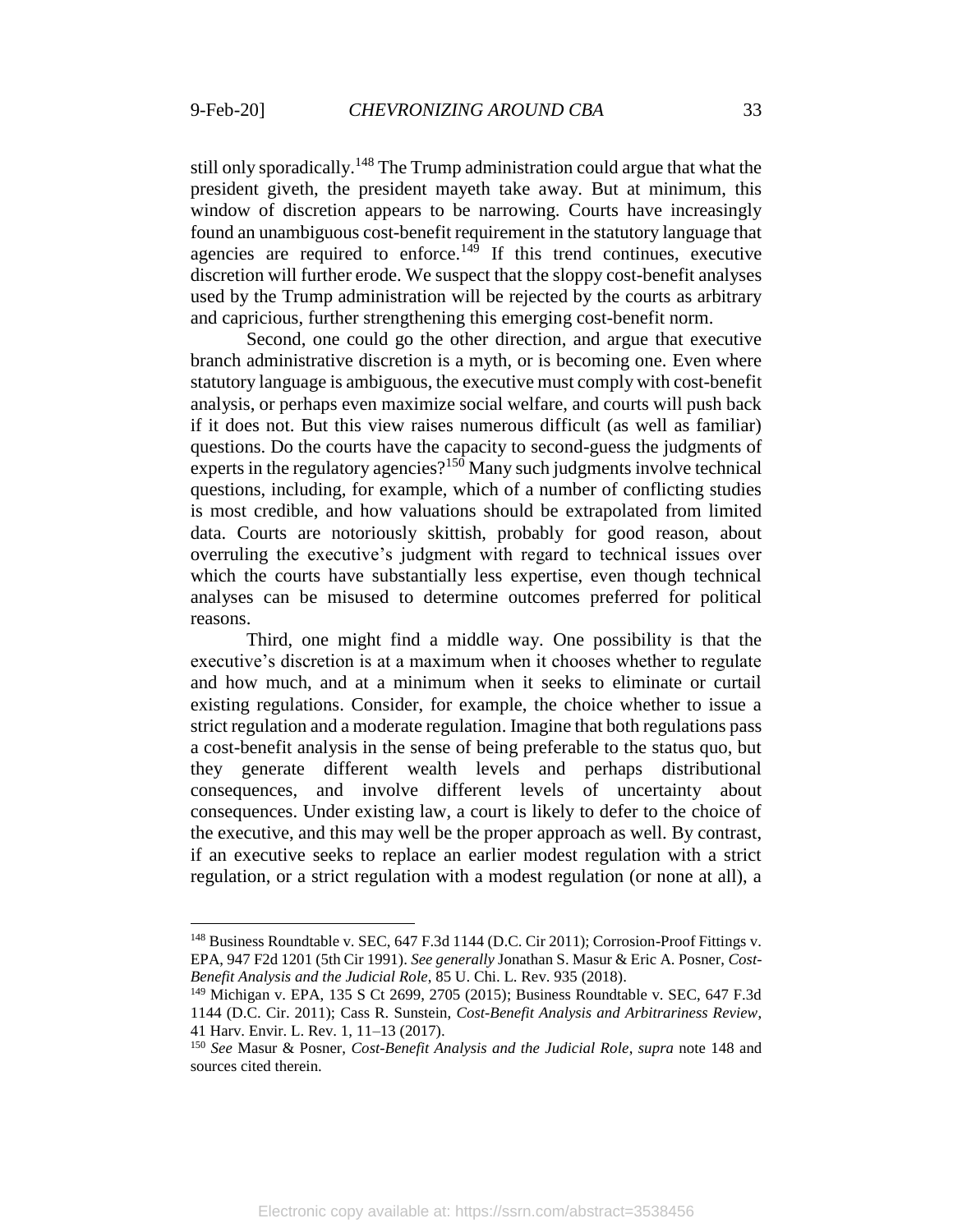$\overline{a}$ 

<span id="page-33-0"></span>still only sporadically.<sup>148</sup> The Trump administration could argue that what the president giveth, the president mayeth take away. But at minimum, this window of discretion appears to be narrowing. Courts have increasingly found an unambiguous cost-benefit requirement in the statutory language that agencies are required to enforce.<sup>149</sup> If this trend continues, executive discretion will further erode. We suspect that the sloppy cost-benefit analyses used by the Trump administration will be rejected by the courts as arbitrary and capricious, further strengthening this emerging cost-benefit norm.

Second, one could go the other direction, and argue that executive branch administrative discretion is a myth, or is becoming one. Even where statutory language is ambiguous, the executive must comply with cost-benefit analysis, or perhaps even maximize social welfare, and courts will push back if it does not. But this view raises numerous difficult (as well as familiar) questions. Do the courts have the capacity to second-guess the judgments of experts in the regulatory agencies?<sup>150</sup> Many such judgments involve technical questions, including, for example, which of a number of conflicting studies is most credible, and how valuations should be extrapolated from limited data. Courts are notoriously skittish, probably for good reason, about overruling the executive's judgment with regard to technical issues over which the courts have substantially less expertise, even though technical analyses can be misused to determine outcomes preferred for political reasons.

Third, one might find a middle way. One possibility is that the executive's discretion is at a maximum when it chooses whether to regulate and how much, and at a minimum when it seeks to eliminate or curtail existing regulations. Consider, for example, the choice whether to issue a strict regulation and a moderate regulation. Imagine that both regulations pass a cost-benefit analysis in the sense of being preferable to the status quo, but they generate different wealth levels and perhaps distributional consequences, and involve different levels of uncertainty about consequences. Under existing law, a court is likely to defer to the choice of the executive, and this may well be the proper approach as well. By contrast, if an executive seeks to replace an earlier modest regulation with a strict regulation, or a strict regulation with a modest regulation (or none at all), a

<sup>148</sup> Business Roundtable v. SEC, 647 F.3d 1144 (D.C. Cir 2011); Corrosion-Proof Fittings v. EPA, 947 F2d 1201 (5th Cir 1991). *See generally* Jonathan S. Masur & Eric A. Posner, *Cost-Benefit Analysis and the Judicial Role*, 85 U. Chi. L. Rev. 935 (2018).

<sup>149</sup> Michigan v. EPA, 135 S Ct 2699, 2705 (2015); Business Roundtable v. SEC, 647 F.3d 1144 (D.C. Cir. 2011); Cass R. Sunstein, *Cost-Benefit Analysis and Arbitrariness Review*, 41 Harv. Envir. L. Rev. 1, 11–13 (2017).

<sup>150</sup> *See* Masur & Posner, *Cost-Benefit Analysis and the Judicial Role*, *supra* note [148](#page-33-0) and sources cited therein.